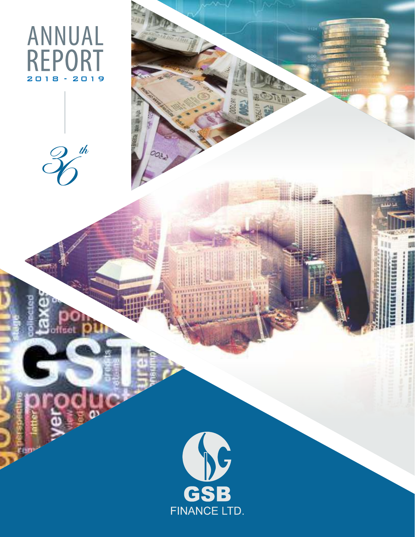# **ANNUAL<br>REPORT** 2018 - 2019



201



**TIPS** 

**THEFT REAL PROPERTY**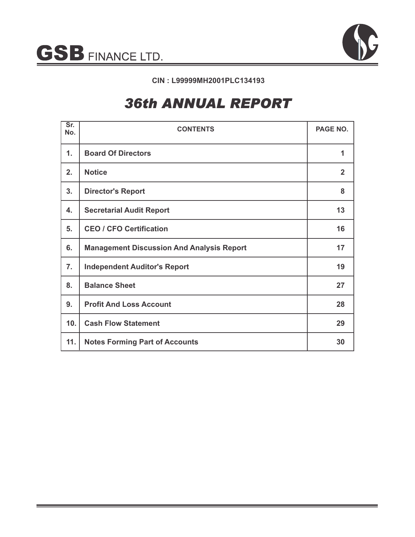



#### **CIN : L99999MH2001PLC134193**

#### **36th ANNUAL REPORT**

| $\overline{\text{Sr.}}$<br>No. | <b>CONTENTS</b>                                  | PAGE NO.     |
|--------------------------------|--------------------------------------------------|--------------|
| 1.                             | <b>Board Of Directors</b>                        | 1            |
| 2.                             | <b>Notice</b>                                    | $\mathbf{2}$ |
| 3.                             | <b>Director's Report</b>                         | 8            |
| 4.                             | <b>Secretarial Audit Report</b>                  | 13           |
| 5.                             | <b>CEO / CFO Certification</b>                   | 16           |
| 6.                             | <b>Management Discussion And Analysis Report</b> | 17           |
| 7.                             | <b>Independent Auditor's Report</b>              | 19           |
| 8.                             | <b>Balance Sheet</b>                             | 27           |
| 9.                             | <b>Profit And Loss Account</b>                   | 28           |
| 10.                            | <b>Cash Flow Statement</b>                       | 29           |
| 11.                            | <b>Notes Forming Part of Accounts</b>            | 30           |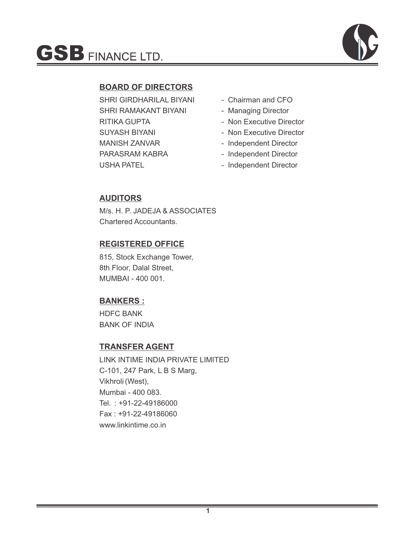

#### **BOARD OF DIRECTORS**

SHRI GIRDHARILAL BIYANI - Chairman and CFO SHRI RAMAKANT BIYANI - Managing Director RITIKA GUPTA - Non Executive Director SUYASH BIYANI - Non Executive Director MANISH ZANVAR - Independent Director PARASRAM KABRA - Independent Director USHA PATEL **All Accords** - Independent Director

- 
- 
- 
- 
- 
- 
- 

#### **AUDITORS**

M/s. H. P. JADEJA & ASSOCIATES Chartered Accountants.

#### **REGISTERED OFFICE**

815, Stock Exchange Tower, 8th Floor, Dalal Street, MUMBAI - 400 001.

#### **BANKERS :**

HDFC BANK BANK OF INDIA

#### **TRANSFER AGENT**

LINK INTIME INDIA PRIVATE LIMITED C-101, 247 Park, L B S Marg, Vikhroli (West), Mumbai - 400 083. Tel. : +91-22-49186000 Fax : +91-22-49186060 www.linkintime.co.in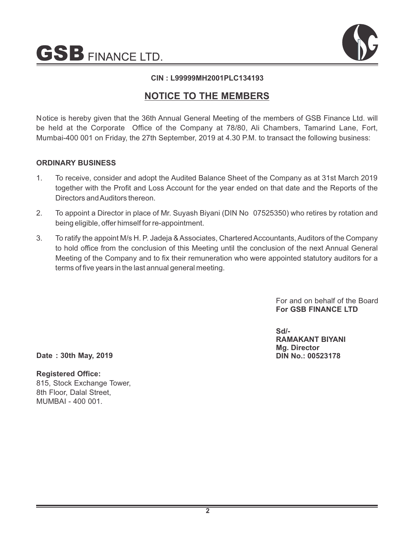

#### **CIN : L99999MH2001PLC134193**

#### **NOTICE TO THE MEMBERS**

Notice is hereby given that the 36th Annual General Meeting of the members of GSB Finance Ltd. will be held at the Corporate Office of the Company at 78/80, Ali Chambers, Tamarind Lane, Fort, Mumbai-400 001 on Friday, the 27th September, 2019 at 4.30 P.M. to transact the following business:

#### **ORDINARY BUSINESS**

- 1. To receive, consider and adopt the Audited Balance Sheet of the Company as at 31st March 2019 together with the Profit and Loss Account for the year ended on that date and the Reports of the Directors and Auditors thereon.
- 2. To appoint a Director in place of Mr. Suyash Biyani (DIN No 07525350) who retires by rotation and being eligible, offer himself for re-appointment.
- 3. To ratify the appoint M/s H. P. Jadeja & Associates, Chartered Accountants, Auditors of the Company to hold office from the conclusion of this Meeting until the conclusion of the next Annual General Meeting of the Company and to fix their remuneration who were appointed statutory auditors for a terms of five years in the last annual general meeting.

For and on behalf of the Board **For GSB FINANCE LTD**

**Sd/- RAMAKANT BIYANI Mg. Director DIN No.: 00523178**

**Date : 30th May, 2019**

#### **Registered Office:**

815, Stock Exchange Tower, 8th Floor, Dalal Street, MUMBAI - 400 001.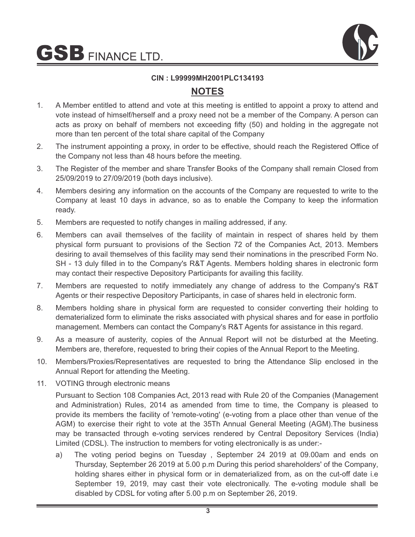

#### **CIN : L99999MH2001PLC134193**

#### **NOTES**

- 1. A Member entitled to attend and vote at this meeting is entitled to appoint a proxy to attend and vote instead of himself/herself and a proxy need not be a member of the Company. A person can acts as proxy on behalf of members not exceeding fifty (50) and holding in the aggregate not more than ten percent of the total share capital of the Company
- 2. The instrument appointing a proxy, in order to be effective, should reach the Registered Office of the Company not less than 48 hours before the meeting.
- 3. The Register of the member and share Transfer Books of the Company shall remain Closed from 25/09/2019 to 27/09/2019 (both days inclusive).
- 4. Members desiring any information on the accounts of the Company are requested to write to the Company at least 10 days in advance, so as to enable the Company to keep the information ready.
- 5. Members are requested to notify changes in mailing addressed, if any.
- 6. Members can avail themselves of the facility of maintain in respect of shares held by them physical form pursuant to provisions of the Section 72 of the Companies Act, 2013. Members desiring to avail themselves of this facility may send their nominations in the prescribed Form No. SH - 13 duly filled in to the Company's R&T Agents. Members holding shares in electronic form may contact their respective Depository Participants for availing this facility.
- 7. Members are requested to notify immediately any change of address to the Company's R&T Agents or their respective Depository Participants, in case of shares held in electronic form.
- 8. Members holding share in physical form are requested to consider converting their holding to dematerialized form to eliminate the risks associated with physical shares and for ease in portfolio management. Members can contact the Company's R&T Agents for assistance in this regard.
- 9. As a measure of austerity, copies of the Annual Report will not be disturbed at the Meeting. Members are, therefore, requested to bring their copies of the Annual Report to the Meeting.
- 10. Members/Proxies/Representatives are requested to bring the Attendance Slip enclosed in the Annual Report for attending the Meeting.
- 11. VOTING through electronic means

Pursuant to Section 108 Companies Act, 2013 read with Rule 20 of the Companies (Management and Administration) Rules, 2014 as amended from time to time, the Company is pleased to provide its members the facility of 'remote-voting' (e-voting from a place other than venue of the AGM) to exercise their right to vote at the 35Th Annual General Meeting (AGM).The business may be transacted through e-voting services rendered by Central Depository Services (India) Limited (CDSL). The instruction to members for voting electronically is as under:-

a) The voting period begins on Tuesday , September 24 2019 at 09.00am and ends on Thursday, September 26 2019 at 5.00 p.m During this period shareholders' of the Company, holding shares either in physical form or in dematerialized from, as on the cut-off date i.e September 19, 2019, may cast their vote electronically. The e-voting module shall be disabled by CDSL for voting after 5.00 p.m on September 26, 2019.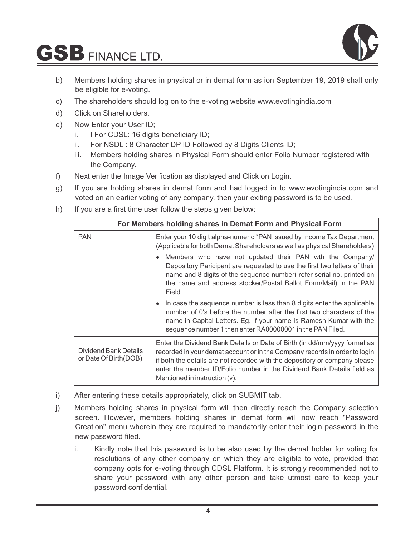

- b) Members holding shares in physical or in demat form as ion September 19, 2019 shall only be eligible for e-voting.
- c) The shareholders should log on to the e-voting website www.evotingindia.com
- d) Click on Shareholders.
- e) Now Enter your User ID;
	- i. I For CDSL: 16 digits beneficiary ID;
	- ii. For NSDL : 8 Character DP ID Followed by 8 Digits Clients ID;
	- iii. Members holding shares in Physical Form should enter Folio Number registered with the Company.
- f) Next enter the Image Verification as displayed and Click on Login.
- g) If you are holding shares in demat form and had logged in to www.evotingindia.com and voted on an earlier voting of any company, then your exiting password is to be used.
- h) If you are a first time user follow the steps given below:

| For Members holding shares in Demat Form and Physical Form |                                                                                                                                                                                                                                                                                                                                                  |  |  |  |
|------------------------------------------------------------|--------------------------------------------------------------------------------------------------------------------------------------------------------------------------------------------------------------------------------------------------------------------------------------------------------------------------------------------------|--|--|--|
| <b>PAN</b>                                                 | Enter your 10 digit alpha-numeric *PAN issued by Income Tax Department<br>(Applicable for both Demat Shareholders as well as physical Shareholders)                                                                                                                                                                                              |  |  |  |
|                                                            | Members who have not updated their PAN wth the Company/<br>Depository Paricipant are requested to use the first two letters of their<br>name and 8 digits of the sequence number (refer serial no. printed on<br>the name and address stocker/Postal Ballot Form/Mail) in the PAN<br>Field.                                                      |  |  |  |
|                                                            | In case the sequence number is less than 8 digits enter the applicable<br>number of 0's before the number after the first two characters of the<br>name in Capital Letters. Eg. If your name is Ramesh Kumar with the<br>sequence number 1 then enter RA00000001 in the PAN Filed.                                                               |  |  |  |
| <b>Dividend Bank Details</b><br>or Date Of Birth (DOB)     | Enter the Dividend Bank Details or Date of Birth (in dd/mm/yyyy format as<br>recorded in your demat account or in the Company records in order to login<br>if both the details are not recorded with the depository or company please<br>enter the member ID/Folio number in the Dividend Bank Details field as<br>Mentioned in instruction (v). |  |  |  |

- i) After entering these details appropriately, click on SUBMIT tab.
- j) Members holding shares in physical form will then directly reach the Company selection screen. However, members holding shares in demat form will now reach "Password Creation" menu wherein they are required to mandatorily enter their login password in the new password filed.
	- i. Kindly note that this password is to be also used by the demat holder for voting for resolutions of any other company on which they are eligible to vote, provided that company opts for e-voting through CDSL Platform. It is strongly recommended not to share your password with any other person and take utmost care to keep your password confidential.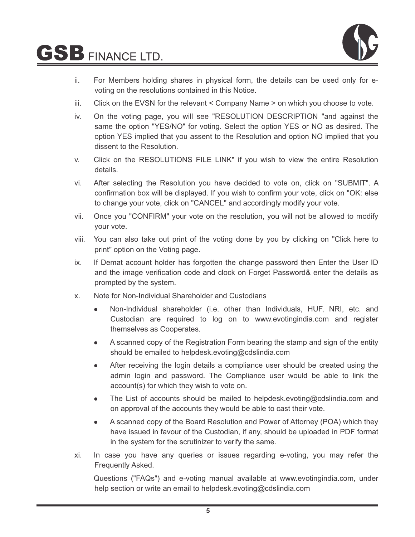

- ii. For Members holding shares in physical form, the details can be used only for evoting on the resolutions contained in this Notice.
- iii. Click on the EVSN for the relevant < Company Name > on which you choose to vote.
- iv. On the voting page, you will see "RESOLUTION DESCRIPTION "and against the same the option "YES/NO" for voting. Select the option YES or NO as desired. The option YES implied that you assent to the Resolution and option NO implied that you dissent to the Resolution.
- v. Click on the RESOLUTIONS FILE LINK" if you wish to view the entire Resolution details.
- vi. After selecting the Resolution you have decided to vote on, click on "SUBMIT". A confirmation box will be displayed. If you wish to confirm your vote, click on "OK: else to change your vote, click on "CANCEL" and accordingly modify your vote.
- vii. Once you "CONFIRM" your vote on the resolution, you will not be allowed to modify your vote.
- viii. You can also take out print of the voting done by you by clicking on "Click here to print" option on the Voting page.
- ix. If Demat account holder has forgotten the change password then Enter the User ID and the image verification code and clock on Forget Password& enter the details as prompted by the system.
- x. Note for Non-Individual Shareholder and Custodians
	- Non-Individual shareholder (i.e. other than Individuals, HUF, NRI, etc. and Custodian are required to log on to www.evotingindia.com and register themselves as Cooperates.
	- A scanned copy of the Registration Form bearing the stamp and sign of the entity should be emailed to helpdesk.evoting@cdslindia.com
	- After receiving the login details a compliance user should be created using the admin login and password. The Compliance user would be able to link the account(s) for which they wish to vote on.
	- $\bullet$  The List of accounts should be mailed to helpdesk.evoting@cdslindia.com and on approval of the accounts they would be able to cast their vote.
	- A scanned copy of the Board Resolution and Power of Attorney (POA) which they have issued in favour of the Custodian, if any, should be uploaded in PDF format in the system for the scrutinizer to verify the same.
- xi. In case you have any queries or issues regarding e-voting, you may refer the Frequently Asked.

Questions ("FAQs") and e-voting manual available at www.evotingindia.com, under help section or write an email to helpdesk.evoting@cdslindia.com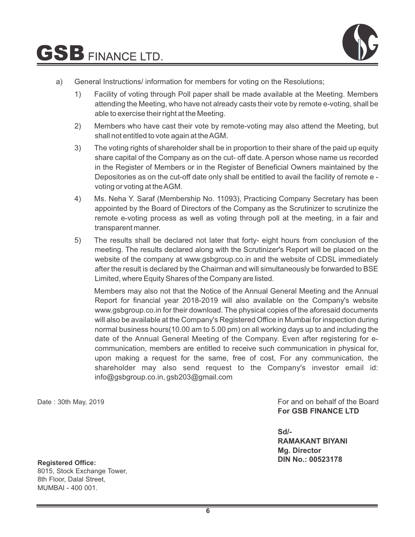

- a) General Instructions/ information for members for voting on the Resolutions;
	- 1) Facility of voting through Poll paper shall be made available at the Meeting. Members attending the Meeting, who have not already casts their vote by remote e-voting, shall be able to exercise their right at the Meeting.
	- 2) Members who have cast their vote by remote-voting may also attend the Meeting, but shall not entitled to vote again at the AGM.
	- 3) The voting rights of shareholder shall be in proportion to their share of the paid up equity share capital of the Company as on the cut- off date. A person whose name us recorded in the Register of Members or in the Register of Beneficial Owners maintained by the Depositories as on the cut-off date only shall be entitled to avail the facility of remote e voting or voting at the AGM.
	- 4) Ms. Neha Y. Saraf (Membership No. 11093), Practicing Company Secretary has been appointed by the Board of Directors of the Company as the Scrutinizer to scrutinize the remote e-voting process as well as voting through poll at the meeting, in a fair and transparent manner.
	- 5) The results shall be declared not later that forty- eight hours from conclusion of the meeting. The results declared along with the Scrutinizer's Report will be placed on the website of the company at www.gsbgroup.co.in and the website of CDSL immediately after the result is declared by the Chairman and will simultaneously be forwarded to BSE Limited, where Equity Shares of the Company are listed.

Members may also not that the Notice of the Annual General Meeting and the Annual Report for financial year 2018-2019 will also available on the Company's website www.gsbgroup.co.in for their download. The physical copies of the aforesaid documents will also be available at the Company's Registered Office in Mumbai for inspection during normal business hours(10.00 am to 5.00 pm) on all working days up to and including the date of the Annual General Meeting of the Company. Even after registering for ecommunication, members are entitled to receive such communication in physical for, upon making a request for the same, free of cost, For any communication, the shareholder may also send request to the Company's investor email id: info@gsbgroup.co.in, gsb203@gmail.com

Date : 30th May, 2019

For and on behalf of the Board **For GSB FINANCE LTD**

**Sd/- RAMAKANT BIYANI Mg. Director DIN No.: 00523178**

**Registered Office:** 8015, Stock Exchange Tower, 8th Floor, Dalal Street, MUMBAI - 400 001.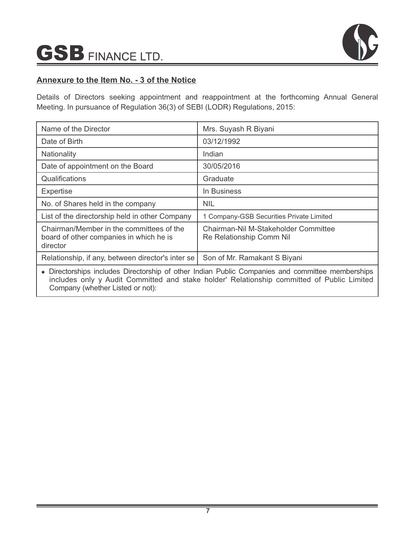

#### **Annexure to the Item No. - 3 of the Notice**

Details of Directors seeking appointment and reappointment at the forthcoming Annual General Meeting. In pursuance of Regulation 36(3) of SEBI (LODR) Regulations, 2015:

| Name of the Director                                                                                                                                                                                                                          | Mrs. Suyash R Biyani                                             |  |  |
|-----------------------------------------------------------------------------------------------------------------------------------------------------------------------------------------------------------------------------------------------|------------------------------------------------------------------|--|--|
| Date of Birth                                                                                                                                                                                                                                 | 03/12/1992                                                       |  |  |
| Nationality                                                                                                                                                                                                                                   | Indian                                                           |  |  |
| Date of appointment on the Board                                                                                                                                                                                                              | 30/05/2016                                                       |  |  |
| Qualifications                                                                                                                                                                                                                                | Graduate                                                         |  |  |
| Expertise                                                                                                                                                                                                                                     | In Business                                                      |  |  |
| No. of Shares held in the company                                                                                                                                                                                                             | <b>NIL</b>                                                       |  |  |
| List of the directorship held in other Company                                                                                                                                                                                                | 1 Company-GSB Securities Private Limited                         |  |  |
| Chairman/Member in the committees of the<br>board of other companies in which he is<br>director                                                                                                                                               | Chairman-Nil M-Stakeholder Committee<br>Re Relationship Comm Nil |  |  |
| Relationship, if any, between director's inter se<br>Son of Mr. Ramakant S Biyani                                                                                                                                                             |                                                                  |  |  |
| Directorships includes Directorship of other Indian Public Companies and committee memberships<br>$\bullet$<br>includes only y Audit Committed and stake holder' Relationship committed of Public Limited<br>Company (whether Listed or not): |                                                                  |  |  |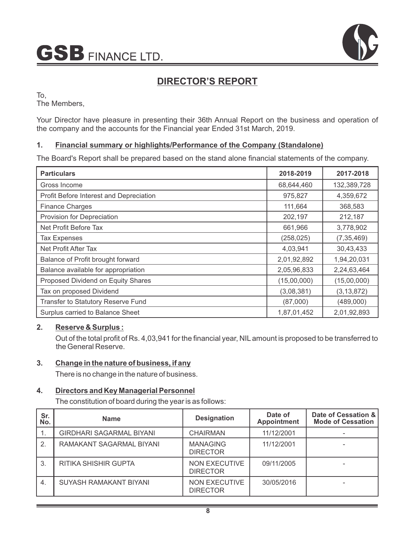

#### **DIRECTOR'S REPORT**

To, The Members,

Your Director have pleasure in presenting their 36th Annual Report on the business and operation of the company and the accounts for the Financial year Ended 31st March, 2019.

#### **1. Financial summary or highlights/Performance of the Company (Standalone)**

The Board's Report shall be prepared based on the stand alone financial statements of the company.

| <b>Particulars</b>                      | 2018-2019   | 2017-2018    |
|-----------------------------------------|-------------|--------------|
| Gross Income                            | 68,644,460  | 132,389,728  |
| Profit Before Interest and Depreciation | 975,827     | 4,359,672    |
| <b>Finance Charges</b>                  | 111,664     | 368,583      |
| Provision for Depreciation              | 202,197     | 212,187      |
| Net Profit Before Tax                   | 661,966     | 3,778,902    |
| <b>Tax Expenses</b>                     | (258, 025)  | (7, 35, 469) |
| Net Profit After Tax                    | 4,03,941    | 30,43,433    |
| Balance of Profit brought forward       | 2,01,92,892 | 1,94,20,031  |
| Balance available for appropriation     | 2,05,96,833 | 2,24,63,464  |
| Proposed Dividend on Equity Shares      | (15,00,000) | (15,00,000)  |
| Tax on proposed Dividend                | (3,08,381)  | (3, 13, 872) |
| Transfer to Statutory Reserve Fund      | (87,000)    | (489,000)    |
| Surplus carried to Balance Sheet        | 1,87,01,452 | 2,01,92,893  |

#### **2. Reserve & Surplus :**

Out of the total profit of Rs. 4,03,941 for the financial year, NIL amount is proposed to be transferred to the General Reserve.

#### **3. Change in the nature of business, if any**

There is no change in the nature of business.

#### **4. Directors and Key Managerial Personnel**

The constitution of board during the year is as follows:

| Sr.<br>No. | <b>Name</b>                     | <b>Designation</b>                 | Date of<br><b>Appointment</b> | Date of Cessation &<br><b>Mode of Cessation</b> |
|------------|---------------------------------|------------------------------------|-------------------------------|-------------------------------------------------|
|            | <b>GIRDHARI SAGARMAL BIYANI</b> | <b>CHAIRMAN</b>                    | 11/12/2001                    |                                                 |
| 2.         | RAMAKANT SAGARMAL BIYANI        | <b>MANAGING</b><br><b>DIRECTOR</b> | 11/12/2001                    |                                                 |
| 3.         | RITIKA SHISHIR GUPTA            | NON EXECUTIVE<br><b>DIRECTOR</b>   | 09/11/2005                    |                                                 |
| -4.        | <b>SUYASH RAMAKANT BIYANI</b>   | NON EXECUTIVE<br><b>DIRECTOR</b>   | 30/05/2016                    |                                                 |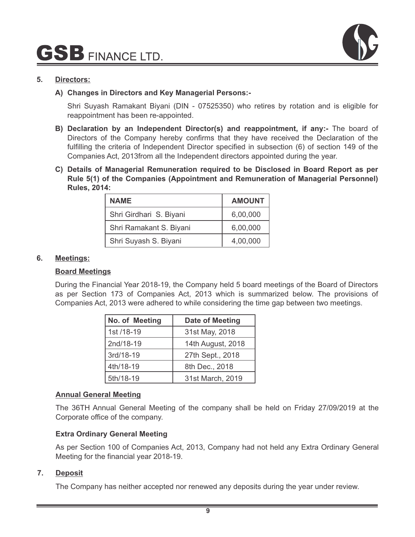

#### **5. Directors:**

#### **A) Changes in Directors and Key Managerial Persons:-**

Shri Suyash Ramakant Biyani (DIN - 07525350) who retires by rotation and is eligible for reappointment has been re-appointed.

- **B) Declaration by an Independent Director(s) and reappointment, if any:-** The board of Directors of the Company hereby confirms that they have received the Declaration of the fulfilling the criteria of Independent Director specified in subsection (6) of section 149 of the Companies Act, 2013from all the Independent directors appointed during the year.
- **C) Details of Managerial Remuneration required to be Disclosed in Board Report as per Rule 5(1) of the Companies (Appointment and Remuneration of Managerial Personnel) Rules, 2014:**

| <b>NAME</b>             | <b>AMOUNT</b> |
|-------------------------|---------------|
| Shri Girdhari S. Biyani | 6,00,000      |
| Shri Ramakant S. Biyani | 6,00,000      |
| Shri Suyash S. Biyani   | 4,00,000      |

#### **6. Meetings:**

#### **Board Meetings**

During the Financial Year 2018-19, the Company held 5 board meetings of the Board of Directors as per Section 173 of Companies Act, 2013 which is summarized below. The provisions of Companies Act, 2013 were adhered to while considering the time gap between two meetings.

| No. of Meeting | Date of Meeting   |  |  |
|----------------|-------------------|--|--|
| 1st /18-19     | 31st May, 2018    |  |  |
| 2nd/18-19      | 14th August, 2018 |  |  |
| 3rd/18-19      | 27th Sept., 2018  |  |  |
| 4th/18-19      | 8th Dec., 2018    |  |  |
| 5th/18-19      | 31st March, 2019  |  |  |

#### **Annual General Meeting**

The 36TH Annual General Meeting of the company shall be held on Friday 27/09/2019 at the Corporate office of the company.

#### **Extra Ordinary General Meeting**

As per Section 100 of Companies Act, 2013, Company had not held any Extra Ordinary General Meeting for the financial year 2018-19.

#### **7. Deposit**

The Company has neither accepted nor renewed any deposits during the year under review.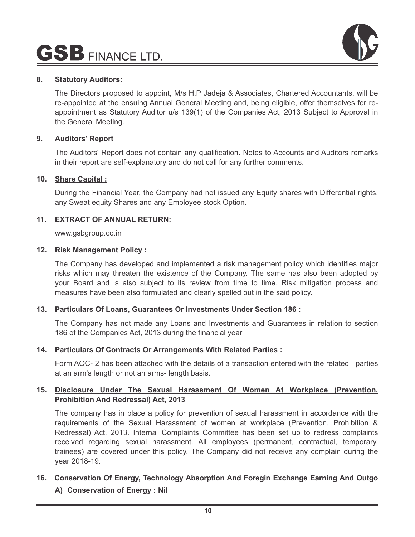

#### **8. Statutory Auditors:**

The Directors proposed to appoint, M/s H.P Jadeja & Associates, Chartered Accountants, will be re-appointed at the ensuing Annual General Meeting and, being eligible, offer themselves for reappointment as Statutory Auditor u/s 139(1) of the Companies Act, 2013 Subject to Approval in the General Meeting.

#### **9. Auditors' Report**

The Auditors' Report does not contain any qualification. Notes to Accounts and Auditors remarks in their report are self-explanatory and do not call for any further comments.

#### **10. Share Capital :**

During the Financial Year, the Company had not issued any Equity shares with Differential rights, any Sweat equity Shares and any Employee stock Option.

#### **11. EXTRACT OF ANNUAL RETURN:**

www.gsbgroup.co.in

#### **12. Risk Management Policy :**

The Company has developed and implemented a risk management policy which identifies major risks which may threaten the existence of the Company. The same has also been adopted by your Board and is also subject to its review from time to time. Risk mitigation process and measures have been also formulated and clearly spelled out in the said policy.

#### **13. Particulars Of Loans, Guarantees Or Investments Under Section 186 :**

The Company has not made any Loans and Investments and Guarantees in relation to section 186 of the Companies Act, 2013 during the financial year

#### **14. Particulars Of Contracts Or Arrangements With Related Parties :**

Form AOC- 2 has been attached with the details of a transaction entered with the related parties at an arm's length or not an arms- length basis.

#### **15. Disclosure Under The Sexual Harassment Of Women At Workplace (Prevention, Prohibition And Redressal) Act, 2013**

The company has in place a policy for prevention of sexual harassment in accordance with the requirements of the Sexual Harassment of women at workplace (Prevention, Prohibition & Redressal) Act, 2013. Internal Complaints Committee has been set up to redress complaints received regarding sexual harassment. All employees (permanent, contractual, temporary, trainees) are covered under this policy. The Company did not receive any complain during the year 2018-19.

### **16. Conservation Of Energy, Technology Absorption And Foregin Exchange Earning And Outgo**

**A) Conservation of Energy : Nil**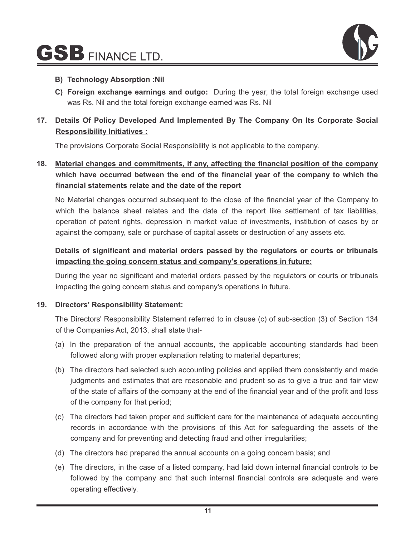

- **B) Technology Absorption :Nil**
- **C) Foreign exchange earnings and outgo:** During the year, the total foreign exchange used was Rs. Nil and the total foreign exchange earned was Rs. Nil

#### **17. Details Of Policy Developed And Implemented By The Company On Its Corporate Social Responsibility Initiatives :**

The provisions Corporate Social Responsibility is not applicable to the company.

#### **18. Material changes and commitments, if any, affecting the financial position of the company which have occurred between the end of the financial year of the company to which the financial statements relate and the date of the report**

No Material changes occurred subsequent to the close of the financial year of the Company to which the balance sheet relates and the date of the report like settlement of tax liabilities, operation of patent rights, depression in market value of investments, institution of cases by or against the company, sale or purchase of capital assets or destruction of any assets etc.

#### **Details of significant and material orders passed by the regulators or courts or tribunals impacting the going concern status and company's operations in future:**

During the year no significant and material orders passed by the regulators or courts or tribunals impacting the going concern status and company's operations in future.

#### **19. Directors' Responsibility Statement:**

The Directors' Responsibility Statement referred to in clause (c) of sub-section (3) of Section 134 of the Companies Act, 2013, shall state that-

- (a) In the preparation of the annual accounts, the applicable accounting standards had been followed along with proper explanation relating to material departures;
- (b) The directors had selected such accounting policies and applied them consistently and made judgments and estimates that are reasonable and prudent so as to give a true and fair view of the state of affairs of the company at the end of the financial year and of the profit and loss of the company for that period;
- (c) The directors had taken proper and sufficient care for the maintenance of adequate accounting records in accordance with the provisions of this Act for safeguarding the assets of the company and for preventing and detecting fraud and other irregularities;
- (d) The directors had prepared the annual accounts on a going concern basis; and
- (e) The directors, in the case of a listed company, had laid down internal financial controls to be followed by the company and that such internal financial controls are adequate and were operating effectively.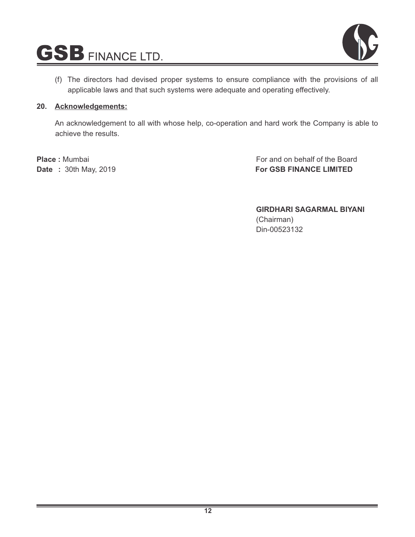



(f) The directors had devised proper systems to ensure compliance with the provisions of all applicable laws and that such systems were adequate and operating effectively.

#### **20. Acknowledgements:**

An acknowledgement to all with whose help, co-operation and hard work the Company is able to achieve the results.

**Place :** Mumbai **For and on behalf of the Board** For and on behalf of the Board **Date : 30th May, 2019 For GSB FINANCE LIMITED** 

> **GIRDHARI SAGARMAL BIYANI** (Chairman) Din-00523132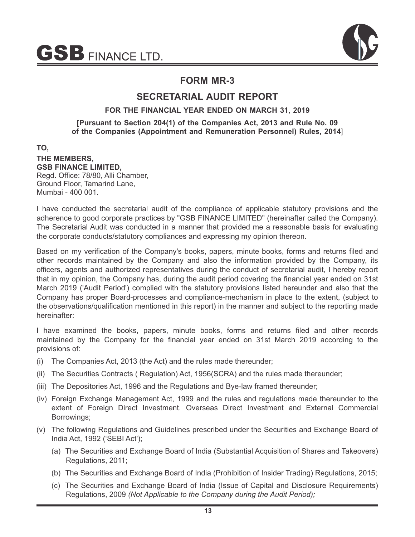

#### **FORM MR-3**

#### **SECRETARIAL AUDIT REPORT**

#### **FOR THE FINANCIAL YEAR ENDED ON MARCH 31, 2019**

#### **[Pursuant to Section 204(1) of the Companies Act, 2013 and Rule No. 09 of the Companies (Appointment and Remuneration Personnel) Rules, 2014**]

**TO, THE MEMBERS, GSB FINANCE LIMITED,** Regd. Office: 78/80, Alli Chamber, Ground Floor, Tamarind Lane, Mumbai - 400 001.

I have conducted the secretarial audit of the compliance of applicable statutory provisions and the adherence to good corporate practices by "GSB FINANCE LIMITED" (hereinafter called the Company). The Secretarial Audit was conducted in a manner that provided me a reasonable basis for evaluating the corporate conducts/statutory compliances and expressing my opinion thereon.

Based on my verification of the Company's books, papers, minute books, forms and returns filed and other records maintained by the Company and also the information provided by the Company, its officers, agents and authorized representatives during the conduct of secretarial audit, I hereby report that in my opinion, the Company has, during the audit period covering the financial year ended on 31st March 2019 ('Audit Period') complied with the statutory provisions listed hereunder and also that the Company has proper Board-processes and compliance-mechanism in place to the extent, (subject to the observations/qualification mentioned in this report) in the manner and subject to the reporting made hereinafter:

I have examined the books, papers, minute books, forms and returns filed and other records maintained by the Company for the financial year ended on 31st March 2019 according to the provisions of:

- (i) The Companies Act, 2013 (the Act) and the rules made thereunder;
- (ii) The Securities Contracts ( Regulation) Act, 1956(SCRA) and the rules made thereunder;
- (iii) The Depositories Act, 1996 and the Regulations and Bye-law framed thereunder;
- (iv) Foreign Exchange Management Act, 1999 and the rules and regulations made thereunder to the extent of Foreign Direct Investment. Overseas Direct Investment and External Commercial Borrowings;
- (v) The following Regulations and Guidelines prescribed under the Securities and Exchange Board of India Act, 1992 ('SEBI Act');
	- (a) The Securities and Exchange Board of India (Substantial Acquisition of Shares and Takeovers) Regulations, 2011;
	- (b) The Securities and Exchange Board of India (Prohibition of Insider Trading) Regulations, 2015;
	- (c) The Securities and Exchange Board of India (Issue of Capital and Disclosure Requirements) Regulations, 2009 *(Not Applicable to the Company during the Audit Period);*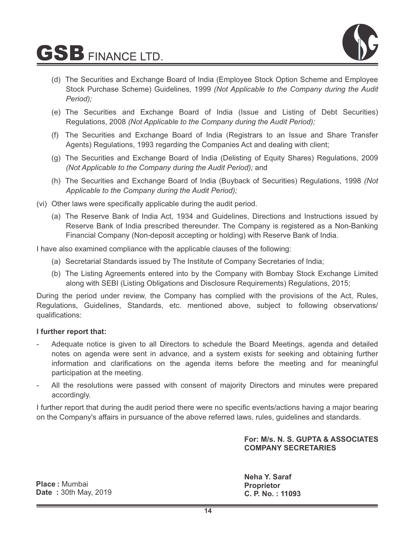

- (d) The Securities and Exchange Board of India (Employee Stock Option Scheme and Employee Stock Purchase Scheme) Guidelines, 1999 *(Not Applicable to the Company during the Audit Period);*
- (e) The Securities and Exchange Board of India (Issue and Listing of Debt Securities) Regulations, 2008 *(Not Applicable to the Company during the Audit Period);*
- (f) The Securities and Exchange Board of India (Registrars to an Issue and Share Transfer Agents) Regulations, 1993 regarding the Companies Act and dealing with client;
- (g) The Securities and Exchange Board of India (Delisting of Equity Shares) Regulations, 2009 *(Not Applicable to the Company during the Audit Period);* and
- (h) The Securities and Exchange Board of India (Buyback of Securities) Regulations, 1998 *(Not Applicable to the Company during the Audit Period);*
- (vi) Other laws were specifically applicable during the audit period.
	- (a) The Reserve Bank of India Act, 1934 and Guidelines, Directions and Instructions issued by Reserve Bank of India prescribed thereunder. The Company is registered as a Non-Banking Financial Company (Non-deposit accepting or holding) with Reserve Bank of India.

I have also examined compliance with the applicable clauses of the following:

- (a) Secretarial Standards issued by The Institute of Company Secretaries of India;
- (b) The Listing Agreements entered into by the Company with Bombay Stock Exchange Limited along with SEBI (Listing Obligations and Disclosure Requirements) Regulations, 2015;

During the period under review, the Company has complied with the provisions of the Act, Rules, Regulations, Guidelines, Standards, etc. mentioned above, subject to following observations/ qualifications:

#### **I further report that:**

- Adequate notice is given to all Directors to schedule the Board Meetings, agenda and detailed notes on agenda were sent in advance, and a system exists for seeking and obtaining further information and clarifications on the agenda items before the meeting and for meaningful participation at the meeting.
- All the resolutions were passed with consent of majority Directors and minutes were prepared accordingly.

I further report that during the audit period there were no specific events/actions having a major bearing on the Company's affairs in pursuance of the above referred laws, rules, guidelines and standards.

#### **For: M/s. N. S. GUPTA & ASSOCIATES COMPANY SECRETARIES**

**Place :** Mumbai **Date :** 30th May, 2019 **Neha Y. Saraf Proprietor C. P. No. : 11093**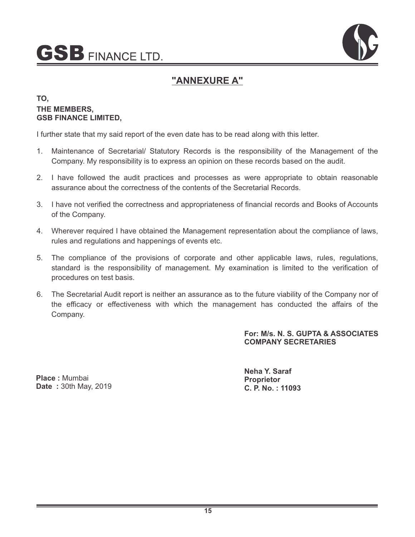

#### **"ANNEXURE A"**

#### **TO, THE MEMBERS, GSB FINANCE LIMITED,**

I further state that my said report of the even date has to be read along with this letter.

- 1. Maintenance of Secretarial/ Statutory Records is the responsibility of the Management of the Company. My responsibility is to express an opinion on these records based on the audit.
- 2. I have followed the audit practices and processes as were appropriate to obtain reasonable assurance about the correctness of the contents of the Secretarial Records.
- 3. I have not verified the correctness and appropriateness of financial records and Books of Accounts of the Company.
- 4. Wherever required I have obtained the Management representation about the compliance of laws, rules and regulations and happenings of events etc.
- 5. The compliance of the provisions of corporate and other applicable laws, rules, regulations, standard is the responsibility of management. My examination is limited to the verification of procedures on test basis.
- 6. The Secretarial Audit report is neither an assurance as to the future viability of the Company nor of the efficacy or effectiveness with which the management has conducted the affairs of the Company.

**For: M/s. N. S. GUPTA & ASSOCIATES COMPANY SECRETARIES** 

**Place :** Mumbai **Date :** 30th May, 2019 **Neha Y. Saraf Proprietor C. P. No. : 11093**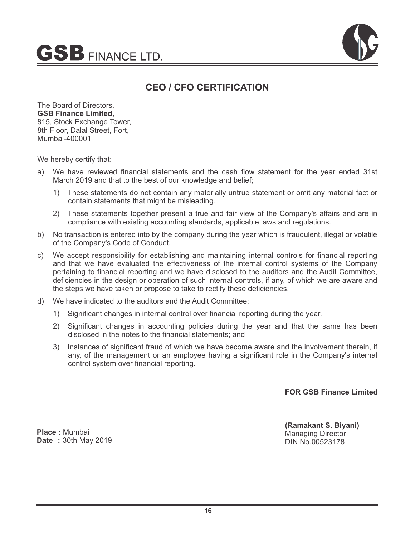

#### **CEO / CFO CERTIFICATION**

The Board of Directors, **GSB Finance Limited,** 815, Stock Exchange Tower, 8th Floor, Dalal Street, Fort, Mumbai-400001

We hereby certify that:

- a) We have reviewed financial statements and the cash flow statement for the year ended 31st March 2019 and that to the best of our knowledge and belief;
	- 1) These statements do not contain any materially untrue statement or omit any material fact or contain statements that might be misleading.
	- 2) These statements together present a true and fair view of the Company's affairs and are in compliance with existing accounting standards, applicable laws and regulations.
- b) No transaction is entered into by the company during the year which is fraudulent, illegal or volatile of the Company's Code of Conduct.
- c) We accept responsibility for establishing and maintaining internal controls for financial reporting and that we have evaluated the effectiveness of the internal control systems of the Company pertaining to financial reporting and we have disclosed to the auditors and the Audit Committee, deficiencies in the design or operation of such internal controls, if any, of which we are aware and the steps we have taken or propose to take to rectify these deficiencies.
- d) We have indicated to the auditors and the Audit Committee:
	- 1) Significant changes in internal control over financial reporting during the year.
	- 2) Significant changes in accounting policies during the year and that the same has been disclosed in the notes to the financial statements; and
	- 3) Instances of significant fraud of which we have become aware and the involvement therein, if any, of the management or an employee having a significant role in the Company's internal control system over financial reporting.

**FOR GSB Finance Limited**

**Place :** Mumbai **Date :** 30th May 2019 **(Ramakant S. Biyani)** Managing Director DIN No.00523178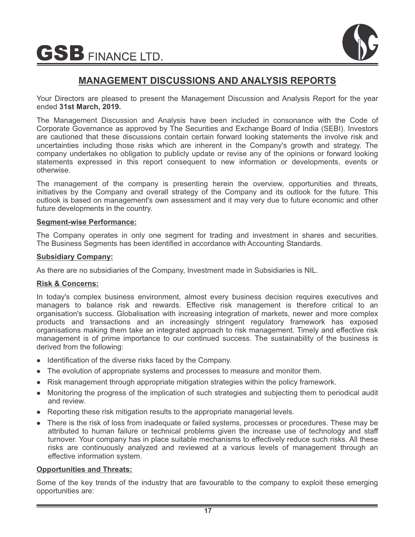

#### **MANAGEMENT DISCUSSIONS AND ANALYSIS REPORTS**

Your Directors are pleased to present the Management Discussion and Analysis Report for the year ended **31st March, 2019.**

The Management Discussion and Analysis have been included in consonance with the Code of Corporate Governance as approved by The Securities and Exchange Board of India (SEBI). Investors are cautioned that these discussions contain certain forward looking statements the involve risk and uncertainties including those risks which are inherent in the Company's growth and strategy. The company undertakes no obligation to publicly update or revise any of the opinions or forward looking statements expressed in this report consequent to new information or developments, events or otherwise.

The management of the company is presenting herein the overview, opportunities and threats, initiatives by the Company and overall strategy of the Company and its outlook for the future. This outlook is based on management's own assessment and it may very due to future economic and other future developments in the country.

#### **Segment-wise Performance:**

The Company operates in only one segment for trading and investment in shares and securities. The Business Segments has been identified in accordance with Accounting Standards.

#### **Subsidiary Company:**

As there are no subsidiaries of the Company, Investment made in Subsidiaries is NIL.

#### **Risk & Concerns:**

In today's complex business environment, almost every business decision requires executives and managers to balance risk and rewards. Effective risk management is therefore critical to an organisation's success. Globalisation with increasing integration of markets, newer and more complex products and transactions and an increasingly stringent regulatory framework has exposed organisations making them take an integrated approach to risk management. Timely and effective risk management is of prime importance to our continued success. The sustainability of the business is derived from the following:

- Identification of the diverse risks faced by the Company.
- The evolution of appropriate systems and processes to measure and monitor them.
- Risk management through appropriate mitigation strategies within the policy framework.
- Monitoring the progress of the implication of such strategies and subjecting them to periodical audit and review.
- Reporting these risk mitigation results to the appropriate managerial levels.
- There is the risk of loss from inadequate or failed systems, processes or procedures. These may be attributed to human failure or technical problems given the increase use of technology and staff turnover. Your company has in place suitable mechanisms to effectively reduce such risks. All these risks are continuously analyzed and reviewed at a various levels of management through an effective information system.

#### **Opportunities and Threats:**

Some of the key trends of the industry that are favourable to the company to exploit these emerging opportunities are: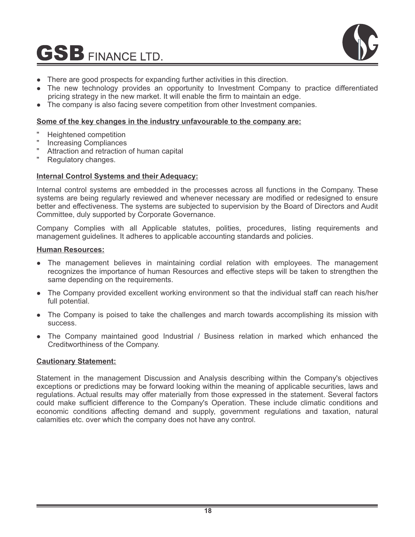

- There are good prospects for expanding further activities in this direction.
- The new technology provides an opportunity to Investment Company to practice differentiated pricing strategy in the new market. It will enable the firm to maintain an edge.
- The company is also facing severe competition from other Investment companies.

#### **Some of the key changes in the industry unfavourable to the company are:**

- Heightened competition
- Increasing Compliances
- Attraction and retraction of human capital
- Regulatory changes.

#### **Internal Control Systems and their Adequacy:**

Internal control systems are embedded in the processes across all functions in the Company. These systems are being regularly reviewed and whenever necessary are modified or redesigned to ensure better and effectiveness. The systems are subjected to supervision by the Board of Directors and Audit Committee, duly supported by Corporate Governance.

Company Complies with all Applicable statutes, polities, procedures, listing requirements and management guidelines. It adheres to applicable accounting standards and policies.

#### **Human Resources:**

- The management believes in maintaining cordial relation with employees. The management recognizes the importance of human Resources and effective steps will be taken to strengthen the same depending on the requirements.
- The Company provided excellent working environment so that the individual staff can reach his/her full potential.
- The Company is poised to take the challenges and march towards accomplishing its mission with success.
- The Company maintained good Industrial / Business relation in marked which enhanced the Creditworthiness of the Company.

#### **Cautionary Statement:**

Statement in the management Discussion and Analysis describing within the Company's objectives exceptions or predictions may be forward looking within the meaning of applicable securities, laws and regulations. Actual results may offer materially from those expressed in the statement. Several factors could make sufficient difference to the Company's Operation. These include climatic conditions and economic conditions affecting demand and supply, government regulations and taxation, natural calamities etc. over which the company does not have any control.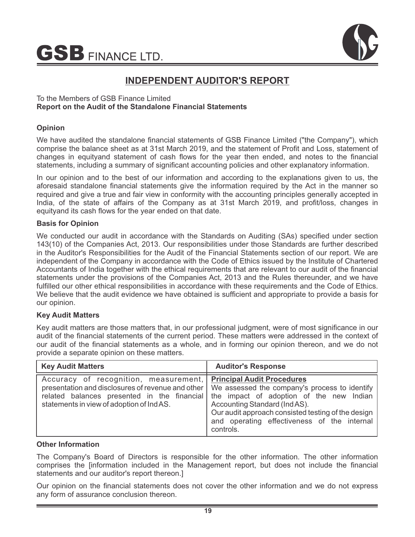

#### **INDEPENDENT AUDITOR'S REPORT**

#### To the Members of GSB Finance Limited **Report on the Audit of the Standalone Financial Statements**

#### **Opinion**

We have audited the standalone financial statements of GSB Finance Limited ("the Company"), which comprise the balance sheet as at 31st March 2019, and the statement of Profit and Loss, statement of changes in equityand statement of cash flows for the year then ended, and notes to the financial statements, including a summary of significant accounting policies and other explanatory information.

In our opinion and to the best of our information and according to the explanations given to us, the aforesaid standalone financial statements give the information required by the Act in the manner so required and give a true and fair view in conformity with the accounting principles generally accepted in India, of the state of affairs of the Company as at 31st March 2019, and profit/loss, changes in equityand its cash flows for the year ended on that date.

#### **Basis for Opinion**

We conducted our audit in accordance with the Standards on Auditing (SAs) specified under section 143(10) of the Companies Act, 2013. Our responsibilities under those Standards are further described in the Auditor's Responsibilities for the Audit of the Financial Statements section of our report. We are independent of the Company in accordance with the Code of Ethics issued by the Institute of Chartered Accountants of India together with the ethical requirements that are relevant to our audit of the financial statements under the provisions of the Companies Act, 2013 and the Rules thereunder, and we have fulfilled our other ethical responsibilities in accordance with these requirements and the Code of Ethics. We believe that the audit evidence we have obtained is sufficient and appropriate to provide a basis for our opinion.

#### **Key Audit Matters**

Key audit matters are those matters that, in our professional judgment, were of most significance in our audit of the financial statements of the current period. These matters were addressed in the context of our audit of the financial statements as a whole, and in forming our opinion thereon, and we do not provide a separate opinion on these matters.

| <b>Key Audit Matters</b>                                                                                                                                                                                                   | <b>Auditor's Response</b>                                                                                                                                                                                                                    |  |  |
|----------------------------------------------------------------------------------------------------------------------------------------------------------------------------------------------------------------------------|----------------------------------------------------------------------------------------------------------------------------------------------------------------------------------------------------------------------------------------------|--|--|
| Accuracy of recognition, measurement, <b>Principal Audit Procedures</b><br>presentation and disclosures of revenue and other  <br>related balances presented in the financial<br>statements in view of adoption of Ind AS. | We assessed the company's process to identify<br>the impact of adoption of the new Indian<br>Accounting Standard (Ind AS).<br>Our audit approach consisted testing of the design<br>and operating effectiveness of the internal<br>controls. |  |  |

#### **Other Information**

The Company's Board of Directors is responsible for the other information. The other information comprises the [information included in the Management report, but does not include the financial statements and our auditor's report thereon.]

Our opinion on the financial statements does not cover the other information and we do not express any form of assurance conclusion thereon.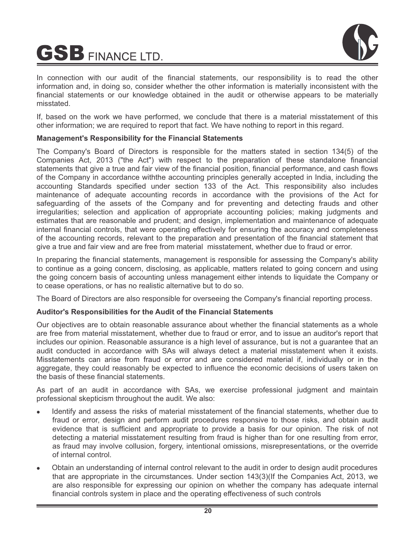



In connection with our audit of the financial statements, our responsibility is to read the other information and, in doing so, consider whether the other information is materially inconsistent with the financial statements or our knowledge obtained in the audit or otherwise appears to be materially misstated.

If, based on the work we have performed, we conclude that there is a material misstatement of this other information; we are required to report that fact. We have nothing to report in this regard.

#### **Management's Responsibility for the Financial Statements**

The Company's Board of Directors is responsible for the matters stated in section 134(5) of the Companies Act, 2013 ("the Act") with respect to the preparation of these standalone financial statements that give a true and fair view of the financial position, financial performance, and cash flows of the Company in accordance withthe accounting principles generally accepted in India, including the accounting Standards specified under section 133 of the Act. This responsibility also includes maintenance of adequate accounting records in accordance with the provisions of the Act for safeguarding of the assets of the Company and for preventing and detecting frauds and other irregularities; selection and application of appropriate accounting policies; making judgments and estimates that are reasonable and prudent; and design, implementation and maintenance of adequate internal financial controls, that were operating effectively for ensuring the accuracy and completeness of the accounting records, relevant to the preparation and presentation of the financial statement that give a true and fair view and are free from material misstatement, whether due to fraud or error.

In preparing the financial statements, management is responsible for assessing the Company's ability to continue as a going concern, disclosing, as applicable, matters related to going concern and using the going concern basis of accounting unless management either intends to liquidate the Company or to cease operations, or has no realistic alternative but to do so.

The Board of Directors are also responsible for overseeing the Company's financial reporting process.

#### **Auditor's Responsibilities for the Audit of the Financial Statements**

Our objectives are to obtain reasonable assurance about whether the financial statements as a whole are free from material misstatement, whether due to fraud or error, and to issue an auditor's report that includes our opinion. Reasonable assurance is a high level of assurance, but is not a guarantee that an audit conducted in accordance with SAs will always detect a material misstatement when it exists. Misstatements can arise from fraud or error and are considered material if, individually or in the aggregate, they could reasonably be expected to influence the economic decisions of users taken on the basis of these financial statements.

As part of an audit in accordance with SAs, we exercise professional judgment and maintain professional skepticism throughout the audit. We also:

- Identify and assess the risks of material misstatement of the financial statements, whether due to fraud or error, design and perform audit procedures responsive to those risks, and obtain audit evidence that is sufficient and appropriate to provide a basis for our opinion. The risk of not detecting a material misstatement resulting from fraud is higher than for one resulting from error, as fraud may involve collusion, forgery, intentional omissions, misrepresentations, or the override of internal control.
- Obtain an understanding of internal control relevant to the audit in order to design audit procedures that are appropriate in the circumstances. Under section 143(3)(If the Companies Act, 2013, we are also responsible for expressing our opinion on whether the company has adequate internal financial controls system in place and the operating effectiveness of such controls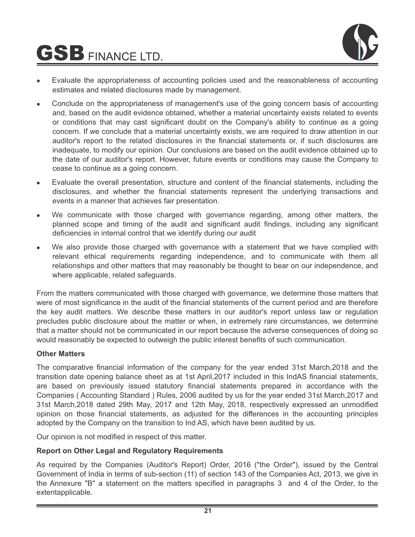

- Evaluate the appropriateness of accounting policies used and the reasonableness of accounting estimates and related disclosures made by management.
- Conclude on the appropriateness of management's use of the going concern basis of accounting and, based on the audit evidence obtained, whether a material uncertainty exists related to events or conditions that may cast significant doubt on the Company's ability to continue as a going concern. If we conclude that a material uncertainty exists, we are required to draw attention in our auditor's report to the related disclosures in the financial statements or, if such disclosures are inadequate, to modify our opinion. Our conclusions are based on the audit evidence obtained up to the date of our auditor's report. However, future events or conditions may cause the Company to cease to continue as a going concern.
- Evaluate the overall presentation, structure and content of the financial statements, including the disclosures, and whether the financial statements represent the underlying transactions and events in a manner that achieves fair presentation.
- We communicate with those charged with governance regarding, among other matters, the planned scope and timing of the audit and significant audit findings, including any significant deficiencies in internal control that we identify during our audit
- We also provide those charged with governance with a statement that we have complied with relevant ethical requirements regarding independence, and to communicate with them all relationships and other matters that may reasonably be thought to bear on our independence, and where applicable, related safeguards.

From the matters communicated with those charged with governance, we determine those matters that were of most significance in the audit of the financial statements of the current period and are therefore the key audit matters. We describe these matters in our auditor's report unless law or regulation precludes public disclosure about the matter or when, in extremely rare circumstances, we determine that a matter should not be communicated in our report because the adverse consequences of doing so would reasonably be expected to outweigh the public interest benefits of such communication.

#### **Other Matters**

The comparative financial information of the company for the year ended 31st March, 2018 and the transition date opening balance sheet as at 1st April, 2017 included in this IndAS financial statements, are based on previously issued statutory financial statements prepared in accordance with the Companies ( Accounting Standard ) Rules, 2006 audited by us for the year ended 31st March,2017 and 31st March, 2018 dated 29th May, 2017 and 12th May, 2018, respectively expressed an unmodified opinion on those financial statements, as adjusted for the differences in the accounting principles adopted by the Company on the transition to Ind AS, which have been audited by us.

Our opinion is not modified in respect of this matter.

#### **Report on Other Legal and Regulatory Requirements**

As required by the Companies (Auditor's Report) Order, 2016 ("the Order"), issued by the Central Government of India in terms of sub-section (11) of section 143 of the Companies Act, 2013, we give in the Annexure "B" a statement on the matters specified in paragraphs 3 and 4 of the Order, to the extentapplicable.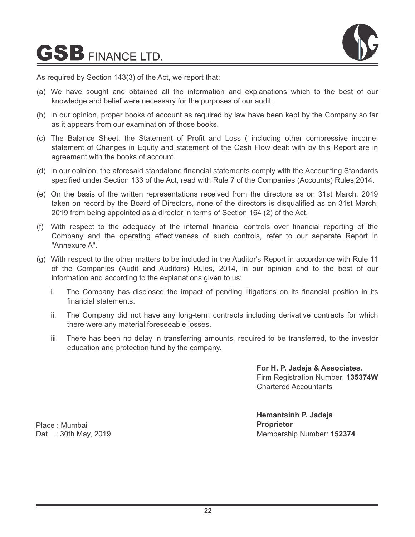

As required by Section 143(3) of the Act, we report that:

- (a) We have sought and obtained all the information and explanations which to the best of our knowledge and belief were necessary for the purposes of our audit.
- (b) In our opinion, proper books of account as required by law have been kept by the Company so far as it appears from our examination of those books.
- (c) The Balance Sheet, the Statement of Profit and Loss (including other compressive income, statement of Changes in Equity and statement of the Cash Flow dealt with by this Report are in agreement with the books of account.
- (d) In our opinion, the aforesaid standalone financial statements comply with the Accounting Standards specified under Section 133 of the Act, read with Rule 7 of the Companies (Accounts) Rules, 2014.
- (e) On the basis of the written representations received from the directors as on 31st March, 2019 taken on record by the Board of Directors, none of the directors is disqualified as on 31st March, 2019 from being appointed as a director in terms of Section 164 (2) of the Act.
- (f) With respect to the adequacy of the internal financial controls over financial reporting of the Company and the operating effectiveness of such controls, refer to our separate Report in "Annexure A".
- (g) With respect to the other matters to be included in the Auditor's Report in accordance with Rule 11 of the Companies (Audit and Auditors) Rules, 2014, in our opinion and to the best of our information and according to the explanations given to us:
	- i. The Company has disclosed the impact of pending litigations on its financial position in its financial statements
	- ii. The Company did not have any long-term contracts including derivative contracts for which there were any material foreseeable losses.
	- iii. There has been no delay in transferring amounts, required to be transferred, to the investor education and protection fund by the company.

**For H. P. Jadeja & Associates.** Firm Registration Number: **135374W** Chartered Accountants

**Hemantsinh P. Jadeja Proprietor** Membership Number: **152374**

Place : Mumbai Dat : 30th May, 2019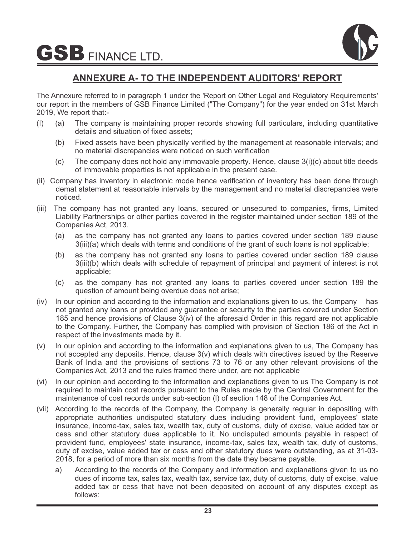

#### **ANNEXURE A- TO THE INDEPENDENT AUDITORS' REPORT**

The Annexure referred to in paragraph 1 under the 'Report on Other Legal and Regulatory Requirements' our report in the members of GSB Finance Limited ("The Company") for the year ended on 31st March 2019, We report that:-

- (I) (a) The company is maintaining proper records showing full particulars, including quantitative details and situation of fixed assets;
	- (b) Fixed assets have been physically verified by the management at reasonable intervals; and no material discrepancies were noticed on such verification
	- (c) The company does not hold any immovable property. Hence, clause  $3(i)(c)$  about title deeds of immovable properties is not applicable in the present case.
- (ii) Company has inventory in electronic mode hence verification of inventory has been done through demat statement at reasonable intervals by the management and no material discrepancies were noticed.
- (iii) The company has not granted any loans, secured or unsecured to companies, firms, Limited Liability Partnerships or other parties covered in the register maintained under section 189 of the Companies Act, 2013.
	- (a) as the company has not granted any loans to parties covered under section 189 clause 3(iii)(a) which deals with terms and conditions of the grant of such loans is not applicable;
	- (b) as the company has not granted any loans to parties covered under section 189 clause 3(iii)(b) which deals with schedule of repayment of principal and payment of interest is not applicable;
	- (c) as the company has not granted any loans to parties covered under section 189 the question of amount being overdue does not arise;
- (iv) In our opinion and according to the information and explanations given to us, the Company has not granted any loans or provided any guarantee or security to the parties covered under Section 185 and hence provisions of Clause 3(iv) of the aforesaid Order in this regard are not applicable to the Company. Further, the Company has complied with provision of Section 186 of the Act in respect of the investments made by it.
- (v) In our opinion and according to the information and explanations given to us, The Company has not accepted any deposits. Hence, clause 3(v) which deals with directives issued by the Reserve Bank of India and the provisions of sections 73 to 76 or any other relevant provisions of the Companies Act, 2013 and the rules framed there under, are not applicable
- (vi) In our opinion and according to the information and explanations given to us The Company is not required to maintain cost records pursuant to the Rules made by the Central Government for the maintenance of cost records under sub-section (l) of section 148 of the Companies Act.
- (vii) According to the records of the Company, the Company is generally regular in depositing with appropriate authorities undisputed statutory dues including provident fund, employees' state insurance, income-tax, sales tax, wealth tax, duty of customs, duty of excise, value added tax or cess and other statutory dues applicable to it. No undisputed amounts payable in respect of provident fund, employees' state insurance, income-tax, sales tax, wealth tax, duty of customs, duty of excise, value added tax or cess and other statutory dues were outstanding, as at 31-03- 2018, for a period of more than six months from the date they became payable.
	- a) According to the records of the Company and information and explanations given to us no dues of income tax, sales tax, wealth tax, service tax, duty of customs, duty of excise, value added tax or cess that have not been deposited on account of any disputes except as follows: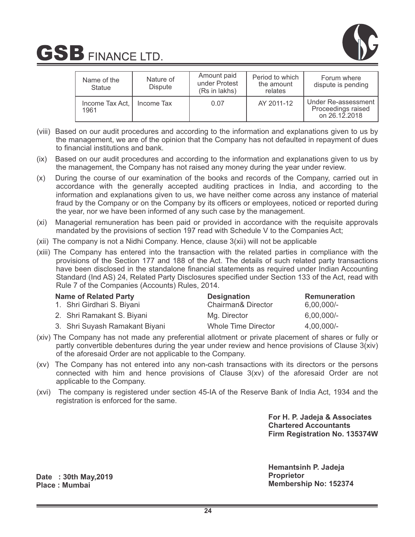

| Name of the<br><b>Statue</b> | Nature of<br><b>Dispute</b> | Amount paid<br>under Protest<br>(Rs in lakhs) | Period to which<br>the amount<br>relates | Forum where<br>dispute is pending                                 |
|------------------------------|-----------------------------|-----------------------------------------------|------------------------------------------|-------------------------------------------------------------------|
| Income Tax Act,  <br>1961    | Income Tax                  | 0.07                                          | AY 2011-12                               | <b>Under Re-assessment</b><br>Proceedings raised<br>on 26.12.2018 |

- (viii) Based on our audit procedures and according to the information and explanations given to us by the management, we are of the opinion that the Company has not defaulted in repayment of dues to financial institutions and bank.
- (ix) Based on our audit procedures and according to the information and explanations given to us by the management, the Company has not raised any money during the year under review.
- (x) During the course of our examination of the books and records of the Company, carried out in accordance with the generally accepted auditing practices in India, and according to the information and explanations given to us, we have neither come across any instance of material fraud by the Company or on the Company by its officers or employees, noticed or reported during the year, nor we have been informed of any such case by the management.
- (xi) Managerial remuneration has been paid or provided in accordance with the requisite approvals mandated by the provisions of section 197 read with Schedule V to the Companies Act;
- (xii) The company is not a Nidhi Company. Hence, clause 3(xii) will not be applicable
- (xiii) The Company has entered into the transaction with the related parties in compliance with the provisions of the Section 177 and 188 of the Act. The details of such related party transactions have been disclosed in the standalone financial statements as required under Indian Accounting Standard (Ind AS) 24, Related Party Disclosures specified under Section 133 of the Act, read with Rule 7 of the Companies (Accounts) Rules, 2014.

| <b>Name of Related Party</b> |                                | <b>Designation</b>            | <b>Remuneration</b> |
|------------------------------|--------------------------------|-------------------------------|---------------------|
|                              | 1. Shri Girdhari S. Biyani     | <b>Chairman&amp; Director</b> | $6,00,000/-$        |
|                              | 2. Shri Ramakant S. Biyani     | Mg. Director                  | $6,00,000/-$        |
|                              | 3. Shri Suyash Ramakant Biyani | <b>Whole Time Director</b>    | $4,00,000/-$        |

- (xiv) The Company has not made any preferential allotment or private placement of shares or fully or partly convertible debentures during the year under review and hence provisions of Clause 3(xiv) of the aforesaid Order are not applicable to the Company.
- (xv) The Company has not entered into any non-cash transactions with its directors or the persons connected with him and hence provisions of Clause 3(xv) of the aforesaid Order are not applicable to the Company.
- (xvi) The company is registered under section 45-IA of the Reserve Bank of India Act, 1934 and the registration is enforced for the same.

**For H. P. Jadeja & Associates Chartered Accountants Firm Registration No. 135374W**

**Hemantsinh P. Jadeja Proprietor Membership No: 152374**

**Date : 30th May,2019 Place : Mumbai**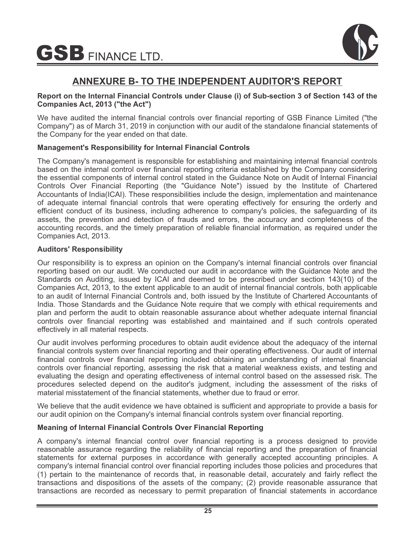

#### **ANNEXURE B- TO THE INDEPENDENT AUDITOR'S REPORT**

#### **Report on the Internal Financial Controls under Clause (i) of Sub-section 3 of Section 143 of the Companies Act, 2013 ("the Act")**

We have audited the internal financial controls over financial reporting of GSB Finance Limited ("the Company") as of March 31, 2019 in conjunction with our audit of the standalone financial statements of the Company for the year ended on that date.

#### **Management's Responsibility for Internal Financial Controls**

The Company's management is responsible for establishing and maintaining internal financial controls based on the internal control over financial reporting criteria established by the Company considering the essential components of internal control stated in the Guidance Note on Audit of Internal Financial Controls Over Financial Reporting (the "Guidance Note") issued by the Institute of Chartered Accountants of India(ICAI). These responsibilities include the design, implementation and maintenance of adequate internal financial controls that were operating effectively for ensuring the orderly and efficient conduct of its business, including adherence to company's policies, the safeguarding of its assets, the prevention and detection of frauds and errors, the accuracy and completeness of the accounting records, and the timely preparation of reliable financial information, as required under the Companies Act, 2013.

#### **Auditors' Responsibility**

Our responsibility is to express an opinion on the Company's internal financial controls over financial reporting based on our audit. We conducted our audit in accordance with the Guidance Note and the Standards on Auditing, issued by ICAI and deemed to be prescribed under section 143(10) of the Companies Act, 2013, to the extent applicable to an audit of internal financial controls, both applicable to an audit of Internal Financial Controls and, both issued by the Institute of Chartered Accountants of India. Those Standards and the Guidance Note require that we comply with ethical requirements and plan and perform the audit to obtain reasonable assurance about whether adequate internal financial controls over financial reporting was established and maintained and if such controls operated effectively in all material respects.

Our audit involves performing procedures to obtain audit evidence about the adequacy of the internal financial controls system over financial reporting and their operating effectiveness. Our audit of internal financial controls over financial reporting included obtaining an understanding of internal financial controls over financial reporting, assessing the risk that a material weakness exists, and testing and evaluating the design and operating effectiveness of internal control based on the assessed risk. The procedures selected depend on the auditor's judgment, including the assessment of the risks of material misstatement of the financial statements, whether due to fraud or error.

We believe that the audit evidence we have obtained is sufficient and appropriate to provide a basis for our audit opinion on the Company's internal financial controls system over financial reporting.

#### **Meaning of Internal Financial Controls Over Financial Reporting**

A company's internal financial control over financial reporting is a process designed to provide reasonable assurance regarding the reliability of financial reporting and the preparation of financial statements for external purposes in accordance with generally accepted accounting principles. A company's internal financial control over financial reporting includes those policies and procedures that (1) pertain to the maintenance of records that, in reasonable detail, accurately and fairly reflect the transactions and dispositions of the assets of the company; (2) provide reasonable assurance that transactions are recorded as necessary to permit preparation of financial statements in accordance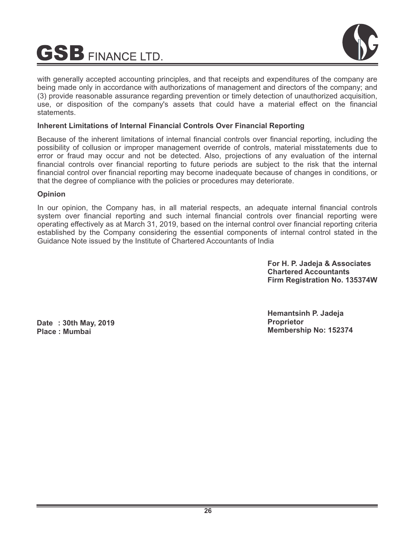

with generally accepted accounting principles, and that receipts and expenditures of the company are being made only in accordance with authorizations of management and directors of the company; and (3) provide reasonable assurance regarding prevention or timely detection of unauthorized acquisition, use, or disposition of the company's assets that could have a material effect on the financial statements.

#### **Inherent Limitations of Internal Financial Controls Over Financial Reporting**

Because of the inherent limitations of internal financial controls over financial reporting, including the possibility of collusion or improper management override of controls, material misstatements due to error or fraud may occur and not be detected. Also, projections of any evaluation of the internal financial controls over financial reporting to future periods are subject to the risk that the internal financial control over financial reporting may become inadequate because of changes in conditions, or that the degree of compliance with the policies or procedures may deteriorate.

#### **Opinion**

In our opinion, the Company has, in all material respects, an adequate internal financial controls system over financial reporting and such internal financial controls over financial reporting were operating effectively as at March 31, 2019, based on the internal control over financial reporting criteria established by the Company considering the essential components of internal control stated in the Guidance Note issued by the Institute of Chartered Accountants of India

> **For H. P. Jadeja & Associates Chartered Accountants Firm Registration No. 135374W**

**Date : 30th May, 2019 Place : Mumbai**

**Hemantsinh P. Jadeja Proprietor Membership No: 152374**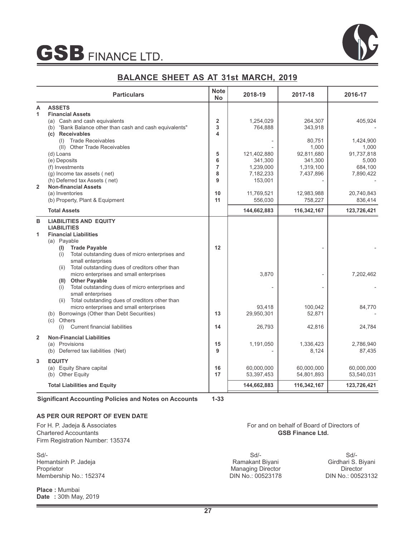

#### **BALANCE SHEET AS AT 31st MARCH, 2019**

|                                                                                          | <b>Particulars</b>                                                                                                                                                                                                                                                                                                                                                                                                                                                                                               | <b>Note</b><br><b>No</b>                                                    | 2018-19                                                                             | 2017-18                                                                                  | 2016-17                                                                      |
|------------------------------------------------------------------------------------------|------------------------------------------------------------------------------------------------------------------------------------------------------------------------------------------------------------------------------------------------------------------------------------------------------------------------------------------------------------------------------------------------------------------------------------------------------------------------------------------------------------------|-----------------------------------------------------------------------------|-------------------------------------------------------------------------------------|------------------------------------------------------------------------------------------|------------------------------------------------------------------------------|
| <b>ASSETS</b><br>A<br>1<br>(d) Loans<br>(e) Deposits                                     | <b>Financial Assets</b><br>(a) Cash and cash equivalents<br>(b) "Bank Balance other than cash and cash equivalents"<br>(c) Receivables<br>(I) Trade Receivables<br>(II) Other Trade Receivables<br>(f) Investments<br>(q) Income tax assets (net)<br>(h) Deferred tax Assets (net)                                                                                                                                                                                                                               | $\overline{2}$<br>3<br>4<br>5<br>$6\phantom{1}$<br>$\overline{7}$<br>8<br>9 | 1,254,029<br>764,888<br>121,402,880<br>341,300<br>1,239,000<br>7,182,233<br>153,001 | 264,307<br>343,918<br>80,751<br>1,000<br>92,811,680<br>341,300<br>1,319,100<br>7,437,896 | 405,924<br>1,424,900<br>1,000<br>91,737,818<br>5,000<br>684,100<br>7,890,422 |
| $\overline{2}$                                                                           | <b>Non-financial Assets</b><br>(a) Inventories<br>(b) Property, Plant & Equipment                                                                                                                                                                                                                                                                                                                                                                                                                                | 10<br>11                                                                    | 11,769,521<br>556,030                                                               | 12,983,988<br>758,227                                                                    | 20,740,843<br>836,414                                                        |
| <b>Total Assets</b>                                                                      |                                                                                                                                                                                                                                                                                                                                                                                                                                                                                                                  |                                                                             | 144,662,883                                                                         | 116,342,167                                                                              | 123,726,421                                                                  |
| в<br><b>LIABILITIES</b><br>1<br>(a) Payable<br>(I)<br>(i)<br>(ii)<br>(II)<br>(i)<br>(ii) | <b>LIABILITIES AND EQUITY</b><br><b>Financial Liabilities</b><br><b>Trade Payable</b><br>Total outstanding dues of micro enterprises and<br>small enterprises<br>Total outstanding dues of creditors other than<br>micro enterprises and small enterprises<br><b>Other Payable</b><br>Total outstanding dues of micro enterprises and<br>small enterprises<br>Total outstanding dues of creditors other than<br>micro enterprises and small enterprises<br>(b) Borrowings (Other than Debt Securities)<br>Others | 12<br>13                                                                    | 3,870<br>93,418<br>29,950,301                                                       | 100,042<br>52,871                                                                        | 7,202,462<br>84,770                                                          |
| (c)<br>(i)                                                                               | <b>Current financial liabilities</b>                                                                                                                                                                                                                                                                                                                                                                                                                                                                             | 14                                                                          | 26,793                                                                              | 42,816                                                                                   | 24,784                                                                       |
| $\overline{2}$<br><b>EQUITY</b><br>3                                                     | <b>Non-Financial Liabilities</b><br>(a) Provisions<br>(b) Deferred tax liabilities (Net)                                                                                                                                                                                                                                                                                                                                                                                                                         | 15<br>9                                                                     | 1,191,050                                                                           | 1,336,423<br>8,124                                                                       | 2,786,940<br>87,435                                                          |
|                                                                                          | (a) Equity Share capital<br>(b) Other Equity                                                                                                                                                                                                                                                                                                                                                                                                                                                                     | 16<br>17                                                                    | 60.000.000<br>53,397,453                                                            | 60.000.000<br>54,801,893                                                                 | 60.000.000<br>53,540,031                                                     |
|                                                                                          | <b>Total Liabilities and Equity</b>                                                                                                                                                                                                                                                                                                                                                                                                                                                                              |                                                                             | 144,662,883                                                                         | 116,342,167                                                                              | 123,726,421                                                                  |

**Significant Accounting Policies and Notes on Accounts 1-33**

#### **AS PER OUR REPORT OF EVEN DATE**

For H. P. Jadeja & Associates Chartered Accountants Firm Registration Number: 135374

Sd/- Hemantsinh P. Jadeja Proprietor Membership No.: 152374

**Place :** Mumbai **Date :** 30th May, 2019

#### For and on behalf of Board of Directors of **GSB Finance Ltd.**

Sd/- Ramakant Biyani Managing Director DIN No.: 00523178

Sd/- Girdhari S. Biyani **Director** DIN No.: 00523132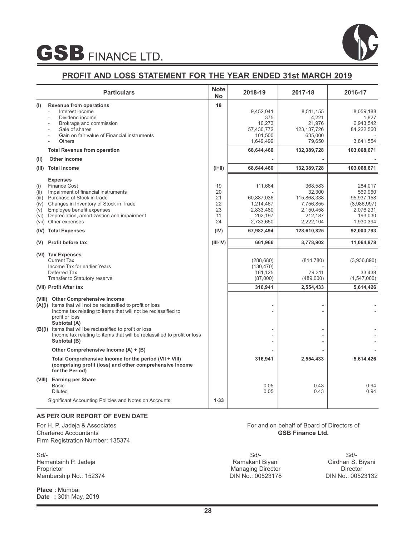



#### **PROFIT AND LOSS STATEMENT FOR THE YEAR ENDED 31st MARCH 2019**

|                                     | <b>Particulars</b>                                                                                                                                                                                                                                                                                                                                           | <b>Note</b><br><b>No</b>               | 2018-19                                                                 | 2017-18                                                                            | 2016-17                                                                              |
|-------------------------------------|--------------------------------------------------------------------------------------------------------------------------------------------------------------------------------------------------------------------------------------------------------------------------------------------------------------------------------------------------------------|----------------------------------------|-------------------------------------------------------------------------|------------------------------------------------------------------------------------|--------------------------------------------------------------------------------------|
| (1)                                 | <b>Revenue from operations</b><br>Interest income<br>Dividend income<br>$\overline{a}$<br>Brokrage and commission<br>Sale of shares<br>Gain on fair value of Financial instruments<br>Others                                                                                                                                                                 | 18                                     | 9,452,041<br>375<br>10,273<br>57,430,772<br>101,500<br>1,649,499        | 8,511,155<br>4,221<br>21,976<br>123, 137, 726<br>635,000<br>79,650                 | 8,059,188<br>1,827<br>6,943,542<br>84,222,560<br>3,841,554                           |
|                                     | <b>Total Revenue from operation</b>                                                                                                                                                                                                                                                                                                                          |                                        | 68,644,460                                                              | 132,389,728                                                                        | 103,068,671                                                                          |
| (II)                                | Other income                                                                                                                                                                                                                                                                                                                                                 |                                        |                                                                         |                                                                                    |                                                                                      |
| (III)                               | <b>Total Income</b>                                                                                                                                                                                                                                                                                                                                          | $(I+II)$                               | 68,644,460                                                              | 132,389,728                                                                        | 103,068,671                                                                          |
| (i)<br>(ii)<br>(iii)<br>(v)<br>(vi) | <b>Expenses</b><br><b>Finance Cost</b><br>Impairment of financial instruments<br>Purchase of Stock in trade<br>(iv) Changes in Inventory of Stock in Trade<br>Employee benefit expenses<br>Depreciation, amortizastion and impairment<br>(vii) Other expenses                                                                                                | 19<br>20<br>21<br>22<br>23<br>11<br>24 | 111,664<br>60,887,036<br>1,214,467<br>2,833,480<br>202,197<br>2,733,650 | 368,583<br>32,300<br>115,868,338<br>7,756,855<br>2,150,458<br>212,187<br>2,222,104 | 284,017<br>569,960<br>95,937,158<br>(8,986,997)<br>2,076,231<br>193,030<br>1,930,394 |
| (IV)                                | <b>Total Expenses</b>                                                                                                                                                                                                                                                                                                                                        | (IV)                                   | 67,982,494                                                              | 128,610,825                                                                        | 92,003,793                                                                           |
| (V)                                 | <b>Profit before tax</b>                                                                                                                                                                                                                                                                                                                                     | $(III-IV)$                             | 661,966                                                                 | 3,778,902                                                                          | 11,064,878                                                                           |
|                                     | (VI) Tax Expenses<br><b>Current Tax</b><br>Income Tax for earlier Years<br>Deferred Tax<br><b>Transfer to Statutory reserve</b>                                                                                                                                                                                                                              |                                        | (288, 680)<br>(130, 470)<br>161,125<br>(87,000)                         | (814, 780)<br>79,311<br>(489,000)                                                  | (3,936,890)<br>33,438<br>(1,547,000)                                                 |
|                                     | (VII) Profit After tax                                                                                                                                                                                                                                                                                                                                       |                                        | 316,941                                                                 | 2,554,433                                                                          | 5,614,426                                                                            |
| (VIII)                              | <b>Other Comprehensive Income</b><br>(A)(i) Items that will not be reclassified to profit or loss<br>Income tax relating to items that will not be reclassified to<br>profit or loss<br>Subtotal (A)<br>(B)(i) Items that will be reclassified to profit or loss<br>Income tax relating to items that will be reclassified to profit or loss<br>Subtotal (B) |                                        |                                                                         |                                                                                    |                                                                                      |
|                                     | Other Comprehensive Income (A) + (B)                                                                                                                                                                                                                                                                                                                         |                                        |                                                                         |                                                                                    |                                                                                      |
|                                     | Total Comprehensive Income for the period (VII + VIII)<br>(comprising profit (loss) and other comprehensive Income<br>for the Period)                                                                                                                                                                                                                        |                                        | 316,941                                                                 | 2,554,433                                                                          | 5,614,426                                                                            |
| (VIII)                              | <b>Earning per Share</b><br>Basic<br><b>Diluted</b>                                                                                                                                                                                                                                                                                                          |                                        | 0.05<br>0.05                                                            | 0.43<br>0.43                                                                       | 0.94<br>0.94                                                                         |
|                                     | Significant Accounting Policies and Notes on Accounts                                                                                                                                                                                                                                                                                                        | $1 - 33$                               |                                                                         |                                                                                    |                                                                                      |

#### **AS PER OUR REPORT OF EVEN DATE**

For H. P. Jadeja & Associates Chartered Accountants Firm Registration Number: 135374

Sd/- Hemantsinh P. Jadeja Proprietor Membership No.: 152374

**Place :** Mumbai **Date :** 30th May, 2019

#### For and on behalf of Board of Directors of **GSB Finance Ltd.**

Sd/- Ramakant Biyani Managing Director DIN No.: 00523178

Sd/- Girdhari S. Biyani **Director** DIN No.: 00523132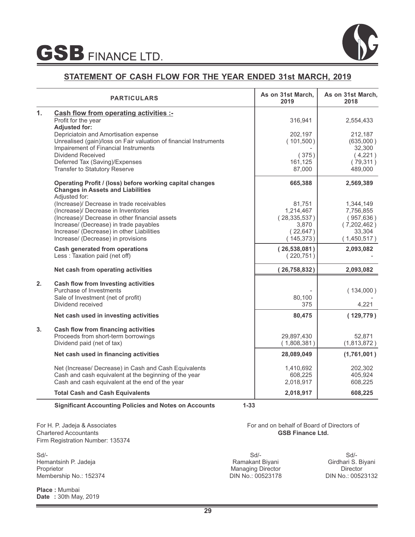



#### **STATEMENT OF CASH FLOW FOR THE YEAR ENDED 31st MARCH, 2019**

|    | <b>PARTICULARS</b>                                                                                                                                                                                                                                                               | As on 31st March,<br>2019                                                 | As on 31st March,<br>2018                                                   |
|----|----------------------------------------------------------------------------------------------------------------------------------------------------------------------------------------------------------------------------------------------------------------------------------|---------------------------------------------------------------------------|-----------------------------------------------------------------------------|
| 1. | <b>Cash flow from operating activities :-</b><br>Profit for the year                                                                                                                                                                                                             | 316,941                                                                   | 2,554,433                                                                   |
|    | <b>Adjusted for:</b><br>Depriciatoin and Amortisation expense<br>Unrealised (gain)/loss on Fair valuation of financial Instruments<br>Impairement of Financial Instruments<br>Dividend Received<br>Deferred Tax (Saving)/Expenses<br><b>Transfer to Statutory Reserve</b>        | 202,197<br>(101,500)<br>(375)<br>161,125<br>87,000                        | 212,187<br>(635,000)<br>32,300<br>(4,221)<br>(79, 311)<br>489,000           |
|    | Operating Profit / (loss) before working capital changes<br><b>Changes in Assets and Liabilities</b>                                                                                                                                                                             | 665,388                                                                   | 2,569,389                                                                   |
|    | Adjusted for:<br>(Increase)/ Decrease in trade receivables<br>(Increase)/ Decrease in Inventories<br>(Increase)/ Decrease in other financial assets<br>Increase/ (Decrease) in trade payables<br>Increase/ (Decrease) in other Liabilities<br>Increase/ (Decrease) in provisions | 81,751<br>1,214,467<br>(28, 335, 537)<br>3,870<br>(22, 647)<br>(145, 373) | 1,344,149<br>7,756,855<br>(957,636)<br>(7,202,462)<br>33,304<br>(1,450,517) |
|    | <b>Cash generated from operations</b><br>Less: Taxation paid (net off)                                                                                                                                                                                                           | (26, 538, 081)<br>(220, 751)                                              | 2,093,082                                                                   |
|    | Net cash from operating activities                                                                                                                                                                                                                                               | (26,758,832)                                                              | 2,093,082                                                                   |
| 2. | <b>Cash flow from Investing activities</b><br>Purchase of Investments<br>Sale of Investment (net of profit)<br>Dividend received                                                                                                                                                 | 80,100<br>375                                                             | (134,000)<br>4,221                                                          |
|    | Net cash used in investing activities                                                                                                                                                                                                                                            | 80,475                                                                    | (129, 779)                                                                  |
| 3. | <b>Cash flow from financing activities</b><br>Proceeds from short-term borrowings<br>Dividend paid (net of tax)                                                                                                                                                                  | 29,897,430<br>(1,808,381)                                                 | 52,871<br>(1,813,872)                                                       |
|    | Net cash used in financing activities                                                                                                                                                                                                                                            | 28,089,049                                                                | (1,761,001)                                                                 |
|    | Net (Increase/ Decrease) in Cash and Cash Equivalents<br>Cash and cash equivalent at the beginning of the year<br>Cash and cash equivalent at the end of the year                                                                                                                | 1,410,692<br>608,225<br>2,018,917                                         | 202,302<br>405,924<br>608,225                                               |
|    | <b>Total Cash and Cash Equivalents</b>                                                                                                                                                                                                                                           | 2,018,917                                                                 | 608,225                                                                     |
|    | <b>Significant Accounting Policies and Notes on Accounts</b>                                                                                                                                                                                                                     | $1 - 33$                                                                  |                                                                             |

For H. P. Jadeja & Associates Chartered Accountants Firm Registration Number: 135374

Sd/- Hemantsinh P. Jadeja Proprietor Membership No.: 152374

**Place :** Mumbai **Date :** 30th May, 2019

#### For and on behalf of Board of Directors of **GSB Finance Ltd.**

Sd/- Ramakant Biyani Managing Director DIN No.: 00523178

Sd/- Girdhari S. Biyani Director DIN No.: 00523132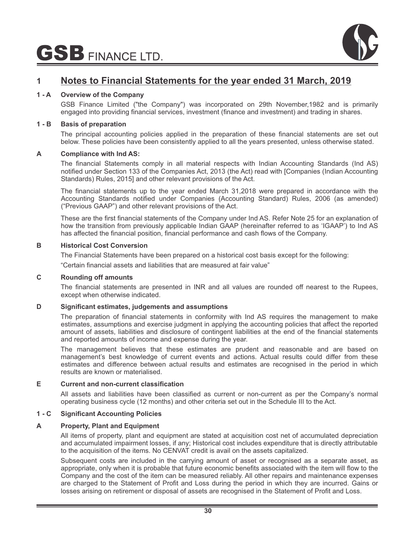

#### **1 Notes to Financial Statements for the year ended 31 March, 2019**

#### **1 - A Overview of the Company**

GSB Finance Limited ("the Company") was incorporated on 29th November,1982 and is primarily engaged into providing financial services, investment (finance and investment) and trading in shares.

#### **1 - B Basis of preparation**

The principal accounting policies applied in the preparation of these financial statements are set out below. These policies have been consistently applied to all the years presented, unless otherwise stated.

#### **A Compliance with Ind AS:**

The financial Statements comply in all material respects with Indian Accounting Standards (Ind AS) notified under Section 133 of the Companies Act, 2013 (the Act) read with [Companies (Indian Accounting Standards) Rules, 2015] and other relevant provisions of the Act.

The financial statements up to the year ended March 31,2018 were prepared in accordance with the Accounting Standards notified under Companies (Accounting Standard) Rules, 2006 (as amended) ("Previous GAAP") and other relevant provisions of the Act.

These are the first financial statements of the Company under Ind AS. Refer Note 25 for an explanation of how the transition from previously applicable Indian GAAP (hereinafter referred to as 'IGAAP') to Ind AS has affected the financial position, financial performance and cash flows of the Company.

#### **B Historical Cost Conversion**

The Financial Statements have been prepared on a historical cost basis except for the following:

"Certain financial assets and liabilities that are measured at fair value"

#### **C Rounding off amounts**

The financial statements are presented in INR and all values are rounded off nearest to the Rupees, except when otherwise indicated.

#### **D Significant estimates, judgements and assumptions**

The preparation of financial statements in conformity with Ind AS requires the management to make estimates, assumptions and exercise judgment in applying the accounting policies that affect the reported amount of assets, liabilities and disclosure of contingent liabilities at the end of the financial statements and reported amounts of income and expense during the year.

The management believes that these estimates are prudent and reasonable and are based on management's best knowledge of current events and actions. Actual results could differ from these estimates and difference between actual results and estimates are recognised in the period in which results are known or materialised.

#### **E Current and non-current classification**

All assets and liabilities have been classified as current or non-current as per the Company's normal operating business cycle (12 months) and other criteria set out in the Schedule III to the Act.

#### **1 - C Significant Accounting Policies**

#### **A Property, Plant and Equipment**

All items of property, plant and equipment are stated at acquisition cost net of accumulated depreciation and accumulated impairment losses, if any; Historical cost includes expenditure that is directly attributable to the acquisition of the items. No CENVAT credit is avail on the assets capitalized.

Subsequent costs are included in the carrying amount of asset or recognised as a separate asset, as appropriate, only when it is probable that future economic benefits associated with the item will flow to the Company and the cost of the item can be measured reliably. All other repairs and maintenance expenses are charged to the Statement of Profit and Loss during the period in which they are incurred. Gains or losses arising on retirement or disposal of assets are recognised in the Statement of Profit and Loss.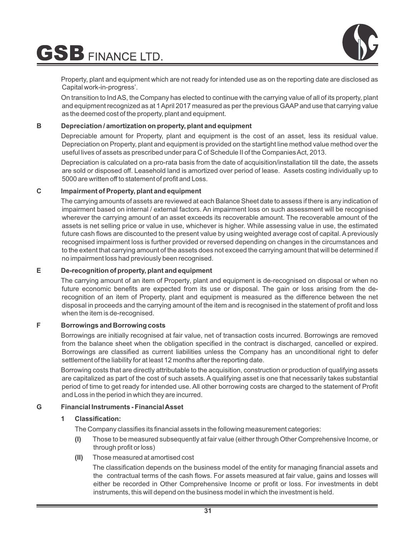

Property, plant and equipment which are not ready for intended use as on the reporting date are disclosed as Capital work-in-progress'.

On transition to Ind AS, the Company has elected to continue with the carrying value of all of its property, plant and equipment recognized as at 1 April 2017 measured as per the previous GAAPand use that carrying value as the deemed cost of the property, plant and equipment.

#### **B Depreciation / amortization on property, plant and equipment**

Depreciable amount for Property, plant and equipment is the cost of an asset, less its residual value. Depreciation on Property, plant and equipment is provided on the startight line method value method over the useful lives of assets as prescribed under para C of Schedule II of the Companies Act, 2013.

Depreciation is calculated on a pro-rata basis from the date of acquisition/installation till the date, the assets are sold or disposed off. Leasehold land is amortized over period of lease. Assets costing individually up to 5000 are written off to statement of profit and Loss.

#### **C Impairment of Property, plant and equipment**

The carrying amounts of assets are reviewed at each Balance Sheet date to assess if there is any indication of impairment based on internal / external factors. An impairment loss on such assessment will be recognised wherever the carrying amount of an asset exceeds its recoverable amount. The recoverable amount of the assets is net selling price or value in use, whichever is higher. While assessing value in use, the estimated future cash flows are discounted to the present value by using weighted average cost of capital. Apreviously recognised impairment loss is further provided or reversed depending on changes in the circumstances and to the extent that carrying amount of the assets does not exceed the carrying amount that will be determined if no impairment loss had previously been recognised.

#### **E De-recognition of property, plant and equipment**

The carrying amount of an item of Property, plant and equipment is de-recognised on disposal or when no future economic benefits are expected from its use or disposal. The gain or loss arising from the derecognition of an item of Property, plant and equipment is measured as the difference between the net disposal in proceeds and the carrying amount of the item and is recognised in the statement of profit and loss when the item is de-recognised.

#### **F Borrowings and Borrowing costs**

Borrowings are initially recognised at fair value, net of transaction costs incurred. Borrowings are removed from the balance sheet when the obligation specified in the contract is discharged, cancelled or expired. Borrowings are classified as current liabilities unless the Company has an unconditional right to defer settlement of the liability for at least 12 months after the reporting date.

Borrowing costs that are directly attributable to the acquisition, construction or production of qualifying assets are capitalized as part of the cost of such assets. A qualifying asset is one that necessarily takes substantial period of time to get ready for intended use. All other borrowing costs are charged to the statement of Profit and Loss in the period in which they are incurred.

#### **G Financial Instruments - Financial Asset**

#### **1 Classification:**

The Company classifies its financial assets in the following measurement categories:

- **(I)** Those to be measured subsequently at fair value (either through Other Comprehensive Income, or through profit or loss)
- **(II)** Those measured at amortised cost

The classification depends on the business model of the entity for managing financial assets and the contractual terms of the cash flows. For assets measured at fair value, gains and losses will either be recorded in Other Comprehensive Income or profit or loss. For investments in debt instruments, this will depend on the business model in which the investment is held.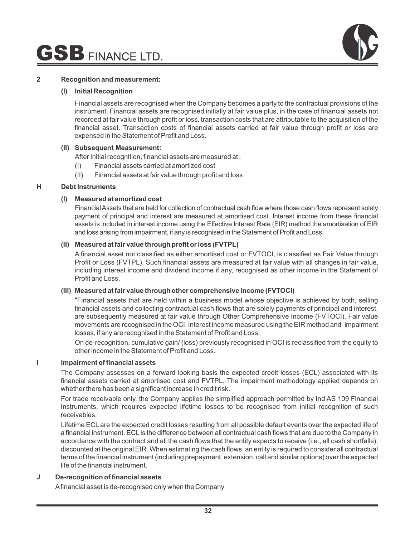

#### **2 Recognition and measurement:**

#### **(I) Initial Recognition**

Financial assets are recognised when the Company becomes a party to the contractual provisions of the instrument. Financial assets are recognised initially at fair value plus, in the case of financial assets not recorded at fair value through profit or loss, transaction costs that are attributable to the acquisition of the financial asset. Transaction costs of financial assets carried at fair value through profit or loss are expensed in the Statement of Profit and Loss.

#### **(II) Subsequent Measurement:**

After Initial recognition, financial assets are measured at ;

- (I) Financial assets carried at amortized cost
- (II) Financial assets at fair value through profit and loss

#### **H Debt Instruments**

#### **(I) Measured at amortized cost**

Financial Assets that are held for collection of contractual cash flow where those cash flows represent solely payment of principal and interest are measured at amortised cost. Interest income from these financial assets is included in interest income using the Effective Interest Rate (EIR) method the amortisation of EIR and loss arising from impairment, if any is recognised in the Statement of Profit and Loss.

#### **(II) Measured at fair value through profit or loss (FVTPL)**

A financial asset not classified as either amortised cost or FVTOCI, is classified as Fair Value through Profit or Loss (FVTPL). Such financial assets are measured at fair value with all changes in fair value, including interest income and dividend income if any, recognised as other income in the Statement of Profit and Loss.

#### **(III) Measured at fair value through other comprehensive income (FVTOCI)**

"Financial assets that are held within a business model whose objective is achieved by both, selling financial assets and collecting contractual cash flows that are solely payments of principal and interest, are subsequently measured at fair value through Other Comprehensive Income (FVTOCI). Fair value movements are recognised in the OCI. Interest income measured using the EIR method and impairment losses, if any are recognised in the Statement of Profit and Loss.

On de-recognition, cumulative gain/ (loss) previously recognised in OCI is reclassified from the equity to other income in the Statement of Profit and Loss.

#### **I Impairment of financial assets**

The Company assesses on a forward looking basis the expected credit losses (ECL) associated with its financial assets carried at amortised cost and FVTPL. The impairment methodology applied depends on whether there has been a significant increase in credit risk.

For trade receivable only, the Company applies the simplified approach permitted by Ind AS 109 Financial Instruments, which requires expected lifetime losses to be recognised from initial recognition of such receivables.

Lifetime ECLare the expected credit losses resulting from all possible default events over the expected life of a financial instrument. ECLis the difference between all contractual cash flows that are due to the Company in accordance with the contract and all the cash flows that the entity expects to receive (i.e., all cash shortfalls), discounted at the original EIR. When estimating the cash flows, an entity is required to consider all contractual terms of the financial instrument (including prepayment, extension, call and similar options) over the expected life of the financial instrument.

#### **J De-recognition of financial assets**

Afinancial asset is de-recognised only when the Company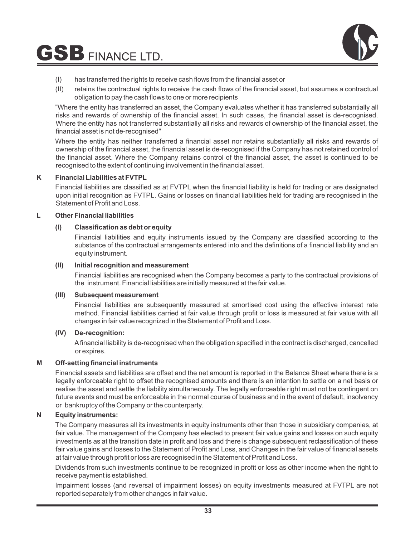

- (I) has transferred the rights to receive cash flows from the financial asset or
- (II) retains the contractual rights to receive the cash flows of the financial asset, but assumes a contractual obligation to pay the cash flows to one or more recipients

"Where the entity has transferred an asset, the Company evaluates whether it has transferred substantially all risks and rewards of ownership of the financial asset. In such cases, the financial asset is de-recognised. Where the entity has not transferred substantially all risks and rewards of ownership of the financial asset, the financial asset is not de-recognised"

Where the entity has neither transferred a financial asset nor retains substantially all risks and rewards of ownership of the financial asset, the financial asset is de-recognised if the Company has not retained control of the financial asset. Where the Company retains control of the financial asset, the asset is continued to be recognised to the extent of continuing involvement in the financial asset.

#### **K Financial Liabilities at FVTPL**

Financial liabilities are classified as at FVTPL when the financial liability is held for trading or are designated upon initial recognition as FVTPL. Gains or losses on financial liabilities held for trading are recognised in the Statement of Profit and Loss.

#### **L Other Financial liabilities**

#### **(I) Classification as debt or equity**

Financial liabilities and equity instruments issued by the Company are classified according to the substance of the contractual arrangements entered into and the definitions of a financial liability and an equity instrument.

#### **(II) Initial recognition and measurement**

Financial liabilities are recognised when the Company becomes a party to the contractual provisions of the instrument. Financial liabilities are initially measured at the fair value.

#### **(III) Subsequent measurement**

Financial liabilities are subsequently measured at amortised cost using the effective interest rate method. Financial liabilities carried at fair value through profit or loss is measured at fair value with all changes in fair value recognized in the Statement of Profit and Loss.

#### **(IV) De-recognition:**

Afinancial liability is de-recognised when the obligation specified in the contract is discharged, cancelled or expires.

#### **M Off-setting financial instruments**

Financial assets and liabilities are offset and the net amount is reported in the Balance Sheet where there is a legally enforceable right to offset the recognised amounts and there is an intention to settle on a net basis or realise the asset and settle the liability simultaneously. The legally enforceable right must not be contingent on future events and must be enforceable in the normal course of business and in the event of default, insolvency or bankruptcy of the Company or the counterparty.

#### **N Equity instruments:**

The Company measures all its investments in equity instruments other than those in subsidiary companies, at fair value. The management of the Company has elected to present fair value gains and losses on such equity investments as at the transition date in profit and loss and there is change subsequent reclassification of these fair value gains and losses to the Statement of Profit and Loss, and Changes in the fair value of financial assets at fair value through profit or loss are recognised in the Statement of Profit and Loss.

Dividends from such investments continue to be recognized in profit or loss as other income when the right to receive payment is established.

Impairment losses (and reversal of impairment losses) on equity investments measured at FVTPL are not reported separately from other changes in fair value.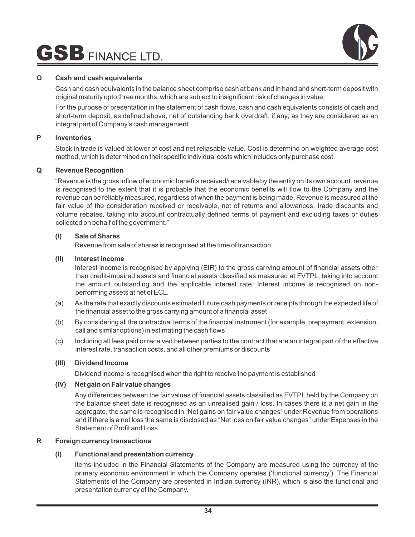

#### **O Cash and cash equivalents**

Cash and cash equivalents in the balance sheet comprise cash at bank and in hand and short-term deposit with original maturity upto three months, which are subject to insignificant risk of changes in value.

For the purpose of presentation in the statement of cash flows, cash and cash equivalents consists of cash and short-term deposit, as defined above, net of outstanding bank overdraft, if any; as they are considered as an integral part of Company's cash management.

#### **P Inventories**

Stock in trade is valued at lower of cost and net reliasable value. Cost is determind on weighted average cost method, which is determined on their specific individual costs which includes only purchase cost.

#### **Q Revenue Recognition**

"Revenue is the gross inflow of economic benefits received/receivable by the entity on its own account. revenue is recognised to the extent that it is probable that the economic benefits will flow to the Company and the revenue can be reliably measured, regardless of when the payment is being made. Revenue is measured at the fair value of the consideration received or receivable, net of returns and allowances, trade discounts and volume rebates, taking into account contractually defined terms of payment and excluding taxes or duties collected on behalf of the government."

#### **(I) Sale of Shares**

Revenue from sale of shares is recognised at the time of transaction

#### **(II) Interest Income**

Interest income is recognised by applying (EIR) to the gross carrying amount of financial assets other than credit-impaired assets and financial assets classified as measured at FVTPL, taking into account the amount outstanding and the applicable interest rate. Interest income is recognised on nonperforming assets at net of ECL.

- (a) As the rate that exactly discounts estimated future cash payments or receipts through the expected life of the financial asset to the gross carrying amount of a financial asset
- (b) By considering all the contractual terms of the financial instrument (for example, prepayment, extension, call and similar options) in estimating the cash flows
- (c) Including all fees paid or received between parties to the contract that are an integral part of the effective interest rate, transaction costs, and all other premiums or discounts

#### **(III) Dividend Income**

Dividend income is recognised when the right to receive the payment is established

#### **(IV) Net gain on Fair value changes**

Any differences between the fair values of financial assets classified as FVTPLheld by the Company on the balance sheet date is recognised as an unrealised gain / loss. In cases there is a net gain in the aggregate, the same is recognised in "Net gains on fair value changes" under Revenue from operations and if there is a net loss the same is disclosed as "Net loss on fair value changes" under Expenses in the Statement of Profit and Loss.

#### **R Foreign currency transactions**

#### **(I) Functional and presentation currency**

Items included in the Financial Statements of the Company are measured using the currency of the primary economic environment in which the Company operates ('functional currency'). The Financial Statements of the Company are presented in Indian currency (INR), which is also the functional and presentation currency of the Company.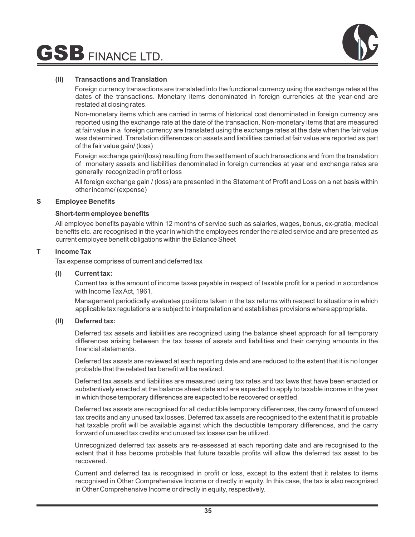

#### **(II) Transactions and Translation**

Foreign currency transactions are translated into the functional currency using the exchange rates at the dates of the transactions. Monetary items denominated in foreign currencies at the year-end are restated at closing rates.

Non-monetary items which are carried in terms of historical cost denominated in foreign currency are reported using the exchange rate at the date of the transaction. Non-monetary items that are measured at fair value in a foreign currency are translated using the exchange rates at the date when the fair value was determined. Translation differences on assets and liabilities carried at fair value are reported as part of the fair value gain/ (loss)

Foreign exchange gain/(loss) resulting from the settlement of such transactions and from the translation of monetary assets and liabilities denominated in foreign currencies at year end exchange rates are generally recognized in profit or loss

All foreign exchange gain / (loss) are presented in the Statement of Profit and Loss on a net basis within other income/ (expense)

#### **S Employee Benefits**

#### **Short-term employee benefits**

All employee benefits payable within 12 months of service such as salaries, wages, bonus, ex-gratia, medical benefits etc. are recognised in the year in which the employees render the related service and are presented as current employee benefit obligations within the Balance Sheet

#### **T Income Tax**

Tax expense comprises of current and deferred tax

#### **(I) Current tax:**

Current tax is the amount of income taxes payable in respect of taxable profit for a period in accordance with Income Tax Act, 1961.

Management periodically evaluates positions taken in the tax returns with respect to situations in which applicable tax regulations are subject to interpretation and establishes provisions where appropriate.

#### **(II) Deferred tax:**

Deferred tax assets and liabilities are recognized using the balance sheet approach for all temporary differences arising between the tax bases of assets and liabilities and their carrying amounts in the financial statements.

Deferred tax assets are reviewed at each reporting date and are reduced to the extent that it is no longer probable that the related tax benefit will be realized.

Deferred tax assets and liabilities are measured using tax rates and tax laws that have been enacted or substantively enacted at the balance sheet date and are expected to apply to taxable income in the year in which those temporary differences are expected to be recovered or settled.

Deferred tax assets are recognised for all deductible temporary differences, the carry forward of unused tax credits and any unused tax losses. Deferred tax assets are recognised to the extent that it is probable hat taxable profit will be available against which the deductible temporary differences, and the carry forward of unused tax credits and unused tax losses can be utilized.

Unrecognized deferred tax assets are re-assessed at each reporting date and are recognised to the extent that it has become probable that future taxable profits will allow the deferred tax asset to be recovered.

Current and deferred tax is recognised in profit or loss, except to the extent that it relates to items recognised in Other Comprehensive Income or directly in equity. In this case, the tax is also recognised in Other Comprehensive Income or directly in equity, respectively.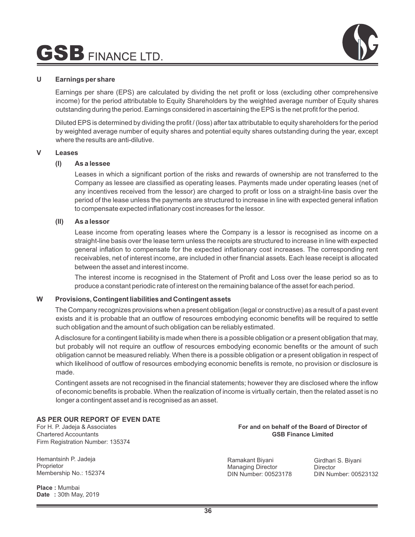

#### **U Earnings per share**

Earnings per share (EPS) are calculated by dividing the net profit or loss (excluding other comprehensive income) for the period attributable to Equity Shareholders by the weighted average number of Equity shares outstanding during the period. Earnings considered in ascertaining the EPS is the net profit for the period.

Diluted EPS is determined by dividing the profit / (loss) after tax attributable to equity shareholders for the period by weighted average number of equity shares and potential equity shares outstanding during the year, except where the results are anti-dilutive.

#### **V Leases**

#### **(I) As a lessee**

Leases in which a significant portion of the risks and rewards of ownership are not transferred to the Company as lessee are classified as operating leases. Payments made under operating leases (net of any incentives received from the lessor) are charged to profit or loss on a straight-line basis over the period of the lease unless the payments are structured to increase in line with expected general inflation to compensate expected inflationary cost increases for the lessor.

#### **(II) As a lessor**

Lease income from operating leases where the Company is a lessor is recognised as income on a straight-line basis over the lease term unless the receipts are structured to increase in line with expected general inflation to compensate for the expected inflationary cost increases. The corresponding rent receivables, net of interest income, are included in other financial assets. Each lease receipt is allocated between the asset and interest income.

The interest income is recognised in the Statement of Profit and Loss over the lease period so as to produce a constant periodic rate of interest on the remaining balance of the asset for each period.

#### **W Provisions, Contingent liabilities and Contingent assets**

The Company recognizes provisions when a present obligation (legal or constructive) as a result of a past event exists and it is probable that an outflow of resources embodying economic benefits will be required to settle such obligation and the amount of such obligation can be reliably estimated.

Adisclosure for a contingent liability is made when there is a possible obligation or a present obligation that may, but probably will not require an outflow of resources embodying economic benefits or the amount of such obligation cannot be measured reliably. When there is a possible obligation or a present obligation in respect of which likelihood of outflow of resources embodying economic benefits is remote, no provision or disclosure is made.

Contingent assets are not recognised in the financial statements; however they are disclosed where the inflow of economic benefits is probable. When the realization of income is virtually certain, then the related asset is no longer a contingent asset and is recognised as an asset.

#### **AS PER OUR REPORT OF EVEN DATE**

For H. P. Jadeja & Associates Chartered Accountants Firm Registration Number: 135374

Hemantsinh P. Jadeja Proprietor Membership No.: 152374

**Place :** Mumbai **Date :** 30th May, 2019 **For and on behalf of the Board of Director of GSB Finance Limited**

Ramakant Biyani Managing Director DIN Number: 00523178 Girdhari S. Biyani **Director** DIN Number: 00523132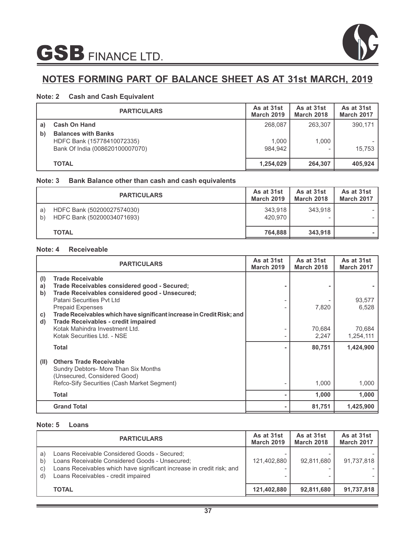

#### **Note: 2 Cash and Cash Equivalent**

|              | <b>PARTICULARS</b>                                                                          | As at 31st<br><b>March 2019</b> | As at 31st<br><b>March 2018</b> | As at 31st<br>March 2017 |
|--------------|---------------------------------------------------------------------------------------------|---------------------------------|---------------------------------|--------------------------|
| a)           | <b>Cash On Hand</b>                                                                         | 268,087                         | 263,307                         | 390,171                  |
| $\mathbf{b}$ | <b>Balances with Banks</b><br>HDFC Bank (15778410072335)<br>Bank Of India (008620100007070) | 1.000<br>984.942                | 1.000                           | 15.753                   |
|              | <b>TOTAL</b>                                                                                | 1,254,029                       | 264.307                         | 405.924                  |

#### **Note: 3 Bank Balance other than cash and cash equivalents**

|                    | <b>PARTICULARS</b>                                       | As at 31st<br><b>March 2019</b> | As at 31st<br><b>March 2018</b> | As at 31st<br><b>March 2017</b> |
|--------------------|----------------------------------------------------------|---------------------------------|---------------------------------|---------------------------------|
| a)<br>$\mathbf{b}$ | HDFC Bank (50200027574030)<br>HDFC Bank (50200034071693) | 343.918<br>420.970              | 343.918                         |                                 |
|                    | <b>TOTAL</b>                                             | 764.888                         | 343.918                         |                                 |

#### **Note: 4 Receiveable**

|      | <b>PARTICULARS</b>                                                           | As at 31st<br><b>March 2019</b> | As at 31st<br><b>March 2018</b> | As at 31st<br><b>March 2017</b> |
|------|------------------------------------------------------------------------------|---------------------------------|---------------------------------|---------------------------------|
| (1)  | <b>Trade Receivable</b>                                                      |                                 |                                 |                                 |
| a)   | Trade Receivables considered good - Secured;                                 |                                 |                                 |                                 |
| b)   | Trade Receivables considered good - Unsecured;                               |                                 |                                 |                                 |
|      | Patani Securities Pyt Ltd                                                    |                                 |                                 | 93,577                          |
|      | <b>Prepaid Expenses</b>                                                      | $\overline{\phantom{0}}$        | 7,820                           | 6,528                           |
| C)   | Trade Receivables which have significant increase in Credit Risk; and        |                                 |                                 |                                 |
| d)   | <b>Trade Receivables - credit impaired</b><br>Kotak Mahindra Investment Ltd. | $\blacksquare$                  | 70,684                          | 70,684                          |
|      | Kotak Securities Ltd. - NSE                                                  |                                 | 2,247                           | 1,254,111                       |
|      |                                                                              |                                 |                                 |                                 |
|      | Total                                                                        |                                 | 80,751                          | 1,424,900                       |
|      | <b>Others Trade Receivable</b>                                               |                                 |                                 |                                 |
| (II) | Sundry Debtors- More Than Six Months                                         |                                 |                                 |                                 |
|      | (Unsecured, Considered Good)                                                 |                                 |                                 |                                 |
|      | Refco-Sify Securities (Cash Market Segment)                                  |                                 | 1,000                           | 1,000                           |
|      |                                                                              |                                 |                                 |                                 |
|      | <b>Total</b>                                                                 |                                 | 1,000                           | 1,000                           |
|      | <b>Grand Total</b>                                                           |                                 | 81,751                          | 1,425,900                       |

#### **Note: 5 Loans**

|                      | <b>PARTICULARS</b>                                                                                                                                                                                             | As at 31st<br><b>March 2019</b> | As at 31st<br><b>March 2018</b> | As at 31st<br><b>March 2017</b> |
|----------------------|----------------------------------------------------------------------------------------------------------------------------------------------------------------------------------------------------------------|---------------------------------|---------------------------------|---------------------------------|
| a)<br>b)<br>C)<br>d) | Loans Receivable Considered Goods - Secured;<br>Loans Receivable Considered Goods - Unsecured;<br>Loans Receivables which have significant increase in credit risk; and<br>Loans Receivables - credit impaired | 121.402.880                     | 92.811.680                      | 91.737.818                      |
|                      | <b>TOTAL</b>                                                                                                                                                                                                   | 121.402.880                     | 92.811.680                      | 91,737,818                      |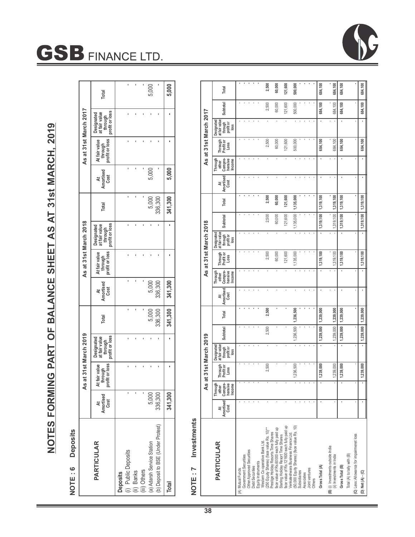# NOTES FORMING PART OF BALANCE SHEET AS AT 31st MARCH, 2019 **NOTES FORMING PART OF BALANCE SHEET AS AT 31st MARCH, 2019**

# **Deposits NOTE : 6 Deposits** NOTE: 6

|                                    |                             | ⋖                                          | s at 31st March 2019                                     |         |                        |                                            | As at 31st March 2018                                    |         |                   |                                            | As at 31st March 2017                                    |       |
|------------------------------------|-----------------------------|--------------------------------------------|----------------------------------------------------------|---------|------------------------|--------------------------------------------|----------------------------------------------------------|---------|-------------------|--------------------------------------------|----------------------------------------------------------|-------|
| <b>PARTICULAR</b>                  | At I<br>Amortised<br>I Cost | At fair value<br>profit or loss<br>through | profit or loss<br>Designated<br>at fair value<br>through | Total   | Amortised<br>Cost<br>ŧ | At fair value<br>profit or loss<br>through | profit or loss<br>Designated<br>at fair value<br>through | Total   | Amortised<br>Cost | At fair value<br>profit or loss<br>through | profit or loss<br>Besignated<br>at fair value<br>through | Total |
| deposits                           |                             |                                            |                                                          |         |                        |                                            |                                                          |         |                   |                                            |                                                          |       |
| (i) Public Deposits                |                             |                                            | ı                                                        |         | ı                      | ī                                          |                                                          | ı       | ı                 | ī                                          |                                                          |       |
| (ii) Banks                         |                             |                                            | ı                                                        | ı       | ī                      | ı                                          | ī                                                        | ı       | ı                 | ī                                          |                                                          |       |
| (iii) Others                       |                             |                                            | ı                                                        | ı       | ı                      | ı                                          | ı                                                        | ı       | ı                 | ī                                          |                                                          |       |
| (a) Adarsh Service Station         | 5,000                       |                                            | ĭ                                                        | 5,000   | 5,000                  |                                            |                                                          | 5,000   | 5,000             |                                            |                                                          | 5,000 |
| (b) Deposit to BSE (Under Protest) | 336,300                     |                                            |                                                          | 336,300 | 336,300                |                                            |                                                          | 336,300 |                   |                                            |                                                          |       |
| Total                              | 341,300                     |                                            |                                                          | 341,300 | 341,300                |                                            |                                                          | 341,300 | 5,000             |                                            |                                                          | 5,000 |

# Investments **NOTE : 7 Investments** NOTE: 7

|                                                                                   |                        | ås                                               |                              | at 31st March 2019                                          |           |           |                        |                                                 | As at 31st March 2018        |                                                             |           |           |                        |                                                 |                              | As at 31st March 2017                                       |          |         |
|-----------------------------------------------------------------------------------|------------------------|--------------------------------------------------|------------------------------|-------------------------------------------------------------|-----------|-----------|------------------------|-------------------------------------------------|------------------------------|-------------------------------------------------------------|-----------|-----------|------------------------|-------------------------------------------------|------------------------------|-------------------------------------------------------------|----------|---------|
| PARTICULAR                                                                        | Amortised<br>Cost<br>₹ | Compre-<br>hensive<br>Through<br>Income<br>other | Through<br>Profit or<br>Loss | at fair value<br>Designated<br>through<br>profit or<br>loss | Subtotal  | Total     | Amortised<br>Cost<br>₹ | Compre-<br>Through<br>hensive<br>ncome<br>other | Through<br>Profit or<br>Loss | at fair value<br>Designated<br>through<br>profit or<br>loss | Subtotal  | Total     | Amortised<br>Cost<br>ä | Compre-<br>hensive<br>Through<br>ncome<br>other | Profit or<br>Through<br>Loss | Designated<br>at fair value<br>through<br>profit or<br>loss | Subtotal | Total   |
| (A) Mutual Funds                                                                  |                        |                                                  |                              |                                                             |           |           |                        |                                                 |                              |                                                             |           |           |                        |                                                 |                              |                                                             |          |         |
| Government Securities                                                             |                        |                                                  |                              |                                                             |           |           |                        |                                                 |                              |                                                             |           |           |                        |                                                 |                              |                                                             |          |         |
| Other Approved Securities                                                         |                        |                                                  |                              |                                                             |           |           |                        |                                                 |                              |                                                             |           |           |                        |                                                 |                              |                                                             |          |         |
| Equity instruments<br><b>Debt Securities</b>                                      |                        |                                                  |                              |                                                             |           |           |                        |                                                 |                              |                                                             |           |           |                        |                                                 |                              |                                                             |          |         |
| <b>Nestern Co-operative Bank Ltd.</b>                                             |                        |                                                  |                              |                                                             |           |           |                        |                                                 |                              |                                                             |           |           |                        |                                                 |                              |                                                             |          |         |
| 250 Equity Shares) (face value Rs. 10)**                                          |                        |                                                  | 2,500                        |                                                             | 2,500     | 2,500     |                        |                                                 | 2,500                        |                                                             | 2,500     | 2,500     | ï                      |                                                 | 2,500                        |                                                             | 2,500    | 2,500   |
| face value of Rs.60000 each fully paid up<br>Prestige Holiday Resorts Time Shares |                        |                                                  |                              |                                                             |           |           |                        |                                                 | 60,000                       |                                                             | 60,000    | 60,000    | ï                      |                                                 | 60,000                       |                                                             | 60,000   | 60,000  |
| face value of Rs.121600 each fully paid up<br>Sterling Holiday Resort Time Shares |                        |                                                  |                              |                                                             |           |           |                        |                                                 | 121,600                      |                                                             | 121,600   | 121,600   | í,                     |                                                 | 121,600                      |                                                             | 121,600  | 121,600 |
| Venkateshwara Business Finance Ltd.                                               |                        |                                                  |                              |                                                             |           |           |                        |                                                 |                              |                                                             |           |           |                        |                                                 |                              |                                                             |          |         |
| (50,000 Equity Shares) (face value Rs. 10)                                        |                        |                                                  | 1,236,500                    |                                                             | 1,236,500 | 1,236,500 |                        |                                                 | 1,135,000                    |                                                             | 1,135,000 | 1,135,000 | ï                      |                                                 | 500,000                      |                                                             | 500,000  | 500,000 |
| Subsidiaries<br>Associates                                                        |                        |                                                  |                              |                                                             |           |           |                        |                                                 |                              |                                                             |           |           |                        |                                                 |                              |                                                             |          |         |
| Joint ventures                                                                    |                        |                                                  |                              |                                                             |           |           |                        |                                                 |                              |                                                             |           |           |                        |                                                 |                              |                                                             |          |         |
| <b>Others</b>                                                                     |                        |                                                  |                              |                                                             |           |           |                        |                                                 |                              |                                                             |           |           |                        |                                                 |                              |                                                             |          |         |
| Gross Total (A)                                                                   |                        |                                                  | 1,239,000                    |                                                             | 1,239,000 | 1,239,000 |                        |                                                 | 1,319,100                    |                                                             | 1,319,100 | 1,319,100 |                        |                                                 | 684,100                      |                                                             | 684,100  | 684,100 |
| (B) (i) Investments outside India<br>(ii) Investments in India                    |                        |                                                  | 1,239,000                    |                                                             | 1,239,000 | 1,239,000 |                        |                                                 | 1,319,100                    |                                                             | 1,319,100 | 1,319,100 |                        |                                                 | 684,100                      |                                                             | 684,100  | 684,100 |
| Gross Total (B)                                                                   |                        |                                                  | 1,239,000                    |                                                             | 1,239,000 | 1,239,000 |                        |                                                 | 1,319,100                    |                                                             | 1,319,100 | 1,319,100 |                        |                                                 | 684,100                      |                                                             | 684,100  | 684,100 |
| Total (A) to tally with (B)                                                       |                        |                                                  |                              |                                                             |           |           |                        |                                                 |                              |                                                             |           |           |                        |                                                 |                              |                                                             |          |         |
| (C) Less: Allowance for impairmenet loss                                          |                        |                                                  |                              |                                                             |           |           |                        |                                                 |                              |                                                             |           |           |                        |                                                 |                              |                                                             |          |         |
| (D) Net (A) - (C)                                                                 |                        |                                                  | 1,239,000                    |                                                             | 1,239,000 | 1,239,000 |                        |                                                 | 1,319,100                    |                                                             | 1,319,100 | 1,319,100 | ï                      |                                                 | 684,100                      |                                                             | 684,100  | 684,100 |
|                                                                                   |                        |                                                  |                              |                                                             |           |           |                        |                                                 |                              |                                                             |           |           |                        |                                                 |                              |                                                             |          |         |



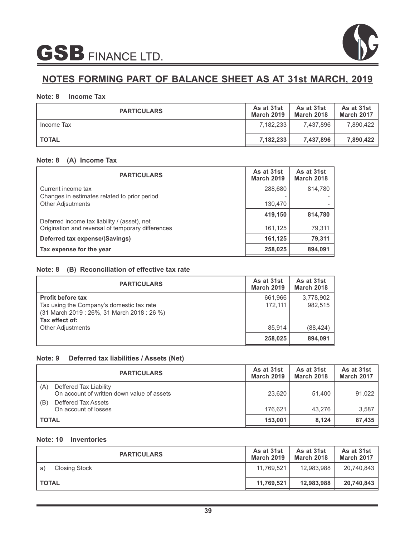



#### **Note: 8 Income Tax**

| <b>PARTICULARS</b> | As at 31st<br><b>March 2019</b> | As at 31st<br><b>March 2018</b> | As at 31st<br><b>March 2017</b> |
|--------------------|---------------------------------|---------------------------------|---------------------------------|
| Income Tax         | 7.182.233                       | 7.437.896                       | 7.890.422                       |
| I TOTAL            | 7.182.233                       | 7.437.896                       | 7.890.422                       |

#### **Note: 8 (A) Income Tax**

| <b>PARTICULARS</b>                                | As at 31st<br><b>March 2019</b> | As at 31st<br><b>March 2018</b> |
|---------------------------------------------------|---------------------------------|---------------------------------|
| Current income tax                                | 288,680                         | 814,780                         |
| Changes in estimates related to prior period      |                                 |                                 |
| <b>Other Adjsutments</b>                          | 130,470                         |                                 |
|                                                   | 419,150                         | 814,780                         |
| Deferred income tax liability / (asset), net      |                                 |                                 |
| Origination and reversal of temporary differences | 161,125                         | 79,311                          |
| Deferred tax expense/(Savings)                    | 161,125                         | 79,311                          |
| Tax expense for the year                          | 258,025                         | 894,091                         |

#### **Note: 8 (B) Reconciliation of effective tax rate**

| <b>PARTICULARS</b>                        | As at 31st<br><b>March 2019</b> | As at 31st<br><b>March 2018</b> |
|-------------------------------------------|---------------------------------|---------------------------------|
| <b>Profit before tax</b>                  | 661,966                         | 3,778,902                       |
| Tax using the Company's domestic tax rate | 172.111                         | 982.515                         |
| (31 March 2019: 26%, 31 March 2018: 26 %) |                                 |                                 |
| Tax effect of:                            |                                 |                                 |
| <b>Other Adjustments</b>                  | 85.914                          | (88, 424)                       |
|                                           | 258,025                         | 894.091                         |

#### **Note: 9 Deferred tax liabilities / Assets (Net)**

| <b>PARTICULARS</b>                                                          | As at 31st<br><b>March 2019</b> | As at 31st<br><b>March 2018</b> | As at 31st<br>March 2017 |
|-----------------------------------------------------------------------------|---------------------------------|---------------------------------|--------------------------|
| Deffered Tax Liability<br>(A)<br>On account of written down value of assets | 23.620                          | 51.400                          | 91.022                   |
| (B)<br>Deffered Tax Assets<br>On account of losses                          | 176.621                         | 43.276                          | 3.587                    |
| <b>TOTAL</b>                                                                | 153.001                         | 8.124                           | 87.435                   |

#### **Note: 10 Inventories**

| <b>PARTICULARS</b>         | As at 31st<br><b>March 2019</b> | As at 31st<br><b>March 2018</b> | As at 31st<br><b>March 2017</b> |
|----------------------------|---------------------------------|---------------------------------|---------------------------------|
| <b>Closing Stock</b><br>a) | 11.769.521                      | 12.983.988                      | 20.740.843                      |
| ' TOTAL                    | 11.769.521                      | 12.983.988                      | 20.740.843                      |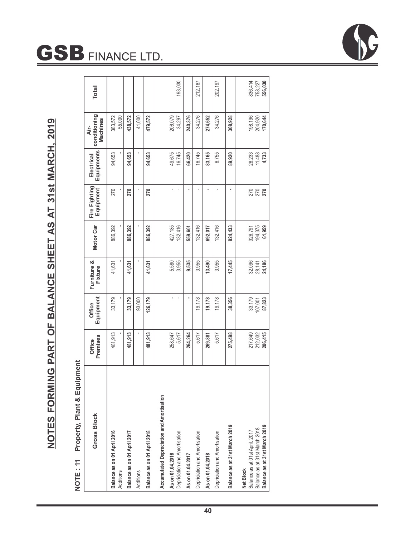NOTES FORMING PART OF BALANCE SHEET AS AT 31st MARCH, 2019 **NOTES FORMING PART OF BALANCE SHEET AS AT 31st MARCH, 2019**

# Property, Plant & Equipment **NOTE : 11 Property, Plant & Equipment** NOTE: 11

| <b>Gross Block</b>                        | Premises<br>Office | Equipment<br>Office | Furniture &<br>Fixture | Motor Car | Fire Fighting<br>Equipment | Equipments<br>Electrical         | conditioning<br><b>Machines</b><br>Air- | <b>Total</b> |  |
|-------------------------------------------|--------------------|---------------------|------------------------|-----------|----------------------------|----------------------------------|-----------------------------------------|--------------|--|
| Balance as on 01 April 2016<br>Additions  | 481,913            | 33,179              | 41,631                 | 886,392   | 270                        | 94,653                           | 383,572<br>55,000                       |              |  |
| Balance as on 01 April 2017               | 481,913            | 33,179              | 41,631                 | 886,392   | 270                        | 94,653                           | 438,572                                 |              |  |
| Additions                                 |                    | 93,000              |                        | ı         |                            |                                  | 41,000                                  |              |  |
| Balance as on 01 April 2018               | 481,913            | 126,179             | 41,631                 | 886,392   | 270                        | 94,653                           | 479,572                                 |              |  |
| Accumulated Depreciation and Amortisation |                    |                     |                        |           |                            |                                  |                                         |              |  |
| As on 01.04.2016                          | 258,647            |                     | 5,580                  | 427,185   |                            | 49,675                           | 206,079                                 |              |  |
| Depriciation and Amortisation             | 5,617              |                     | 3,955                  | 132,416   |                            | 16,745                           | 34,297                                  | 193,030      |  |
| As on 01.04.2017                          | 264,264            |                     | 9,535                  | 559,601   |                            | 66,420                           | 240,376                                 |              |  |
| Depriciation and Amortisation             | 5,617              | 19,178              | 3,955                  | 132,416   |                            | 16,745                           | 34,276                                  | 212,187      |  |
| As on 01.04.2018                          | 269,881            | 19,178              | 13,490                 | 692,017   |                            | 83,165                           | 274,652                                 |              |  |
| Depriciation and Amortisation             | 5,617              | 19,178              | 3,955                  | 132,416   |                            | 6,755                            | 34,276                                  | 202,197      |  |
| Balance as at 31st March 2019             | 275,498            | 38,356              | 17,445                 | 824,433   |                            | 89,920                           | 308,928                                 |              |  |
| Net Block                                 |                    |                     |                        |           |                            |                                  |                                         |              |  |
| Balance as at 01st April, 2017            | 217,649            | 33,179              | 32,096                 | 326,791   | 270<br>270                 | 28,233<br>11,488<br><b>4,733</b> | 198,196                                 | 836,414      |  |
| Balance as at 31st March 2018             | 212,032<br>206,415 | 107,001<br>87,823   | 28,141<br>24,186       | 194,375   |                            |                                  | 204,920                                 | 758,227      |  |
| Balance as at 31st March 2019             |                    |                     |                        | 61,959    | 270                        |                                  | 170,644                                 | 556,030      |  |



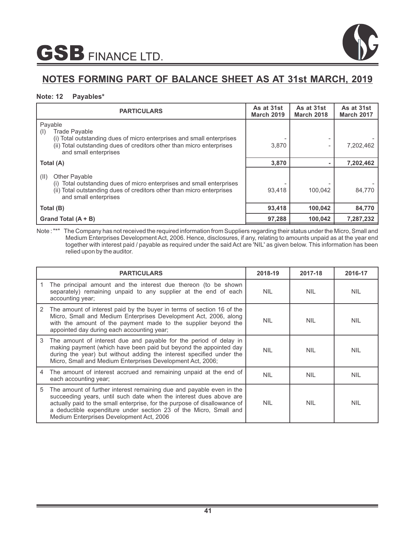

#### **Note: 12 Payables\***

| <b>PARTICULARS</b>                                                                                                                                                                                         | As at 31st<br><b>March 2019</b> | As at 31st<br><b>March 2018</b> | As at 31st<br><b>March 2017</b> |
|------------------------------------------------------------------------------------------------------------------------------------------------------------------------------------------------------------|---------------------------------|---------------------------------|---------------------------------|
| Payable<br>Trade Payable<br>(1)<br>(i) Total outstanding dues of micro enterprises and small enterprises<br>(ii) Total outstanding dues of creditors other than micro enterprises<br>and small enterprises | 3,870                           | -<br>-                          | 7,202,462                       |
| Total (A)                                                                                                                                                                                                  | 3,870                           |                                 | 7,202,462                       |
| <b>Other Payable</b><br>(II)<br>Total outstanding dues of micro enterprises and small enterprises<br>(1)<br>(ii) Total outstanding dues of creditors other than micro enterprises<br>and small enterprises | 93,418                          | -<br>100.042                    | 84,770                          |
| Total (B)                                                                                                                                                                                                  | 93,418                          | 100,042                         | 84,770                          |
| Grand Total (A + B)                                                                                                                                                                                        | 97,288                          | 100.042                         | 7,287,232                       |

Note : "\*" The Company has not received the required information from Suppliers regarding their status under the Micro, Small and Medium Enterprises Development Act, 2006. Hence, disclosures, if any, relating to amounts unpaid as at the year end together with interest paid / payable as required under the said Act are 'NIL' as given below. This information has been relied upon by the auditor.

|   | <b>PARTICULARS</b>                                                                                                                                                                                                                                                                                                                       | 2018-19    | 2017-18    | 2016-17    |
|---|------------------------------------------------------------------------------------------------------------------------------------------------------------------------------------------------------------------------------------------------------------------------------------------------------------------------------------------|------------|------------|------------|
|   | The principal amount and the interest due thereon (to be shown<br>separately) remaining unpaid to any supplier at the end of each<br>accounting year;                                                                                                                                                                                    | <b>NIL</b> | <b>NIL</b> | <b>NIL</b> |
| 2 | The amount of interest paid by the buyer in terms of section 16 of the<br>Micro, Small and Medium Enterprises Development Act, 2006, along<br>with the amount of the payment made to the supplier beyond the<br>appointed day during each accounting year;                                                                               | <b>NIL</b> | <b>NIL</b> | <b>NIL</b> |
| 3 | The amount of interest due and payable for the period of delay in<br>making payment (which have been paid but beyond the appointed day<br>during the year) but without adding the interest specified under the<br>Micro, Small and Medium Enterprises Development Act, 2006;                                                             | <b>NIL</b> | <b>NIL</b> | <b>NIL</b> |
| 4 | The amount of interest accrued and remaining unpaid at the end of<br>each accounting year;                                                                                                                                                                                                                                               | <b>NIL</b> | <b>NIL</b> | <b>NIL</b> |
| 5 | The amount of further interest remaining due and payable even in the<br>succeeding years, until such date when the interest dues above are<br>actually paid to the small enterprise, for the purpose of disallowance of<br>a deductible expenditure under section 23 of the Micro, Small and<br>Medium Enterprises Development Act, 2006 | <b>NIL</b> | <b>NIL</b> | <b>NIL</b> |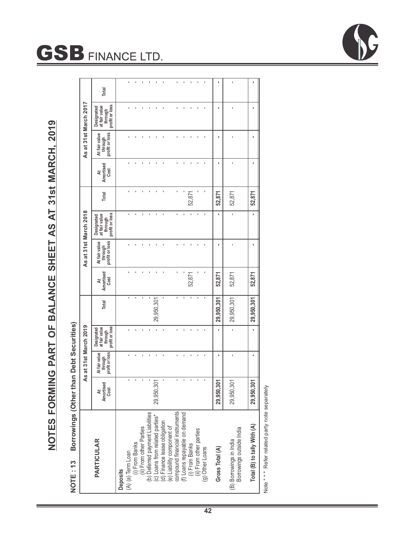NOTES FORMING PART OF BALANCE SHEET AS AT 31st MARCH, 2019 **NOTES FORMING PART OF BALANCE SHEET AS AT 31st MARCH, 2019**

# **Borrowings (Other than Debt Securities) NOTE : 13 Borrowings (Other than Debt Securities)** NOTE: 13

|                       |                                                          |                 |                   |                |   |   |                                                                                                |                              |                            |                                |                               |                |                         |                 | ٠               | t                                                   |                             |
|-----------------------|----------------------------------------------------------|-----------------|-------------------|----------------|---|---|------------------------------------------------------------------------------------------------|------------------------------|----------------------------|--------------------------------|-------------------------------|----------------|-------------------------|-----------------|-----------------|-----------------------------------------------------|-----------------------------|
|                       | Total                                                    |                 |                   |                |   |   |                                                                                                |                              |                            |                                |                               |                |                         |                 |                 |                                                     |                             |
|                       | profit or loss<br>at fair value<br>Designated<br>through |                 |                   |                |   |   |                                                                                                |                              |                            |                                |                               |                |                         |                 | ı               |                                                     |                             |
| As at 31st March 2017 | profit or loss<br>At fair value<br>through               |                 |                   |                |   |   |                                                                                                |                              |                            |                                |                               |                |                         |                 |                 |                                                     |                             |
|                       | Amortised<br>Cost<br>ä                                   |                 |                   |                |   |   |                                                                                                |                              |                            |                                |                               |                |                         |                 |                 |                                                     |                             |
|                       | Total                                                    |                 |                   |                |   |   |                                                                                                |                              |                            |                                |                               | 52,871         |                         |                 | 52,871          | 52,871                                              | 52,871                      |
| As at 31st March 2018 | profit or loss<br>Designated<br>at fair value<br>through |                 |                   |                | ı |   | ı                                                                                              | ı                            |                            | ı                              |                               |                |                         | t               |                 |                                                     |                             |
|                       | profit or loss<br>At fair value<br>through               |                 |                   |                |   |   |                                                                                                |                              |                            |                                |                               |                |                         |                 |                 |                                                     |                             |
|                       | Amortised<br>Cost<br>ä                                   |                 |                   |                |   |   |                                                                                                |                              |                            |                                |                               | 52,871         |                         |                 | 52,871          | 52,871                                              | 52,871                      |
|                       | Total                                                    |                 | ı                 | ı              | t |   | 29,950,301                                                                                     |                              |                            | ı                              |                               |                |                         | t               | 29,950,301      | 29,950,301                                          | 29,950,301                  |
|                       | profit or loss<br>at fair value<br>Designated<br>through |                 |                   |                |   |   |                                                                                                |                              |                            |                                |                               |                |                         |                 |                 |                                                     |                             |
| As at 31st March 2019 | profit or loss<br>At fair value<br>through               |                 |                   |                |   |   |                                                                                                |                              |                            | ī                              |                               |                |                         |                 | ٠               | ı                                                   |                             |
|                       | Amortised<br>Cost<br>₹                                   |                 | ı                 | ı              | ı | ٠ | 29,950,301                                                                                     | ı                            |                            | ı                              | ı                             | ı              |                         | ı               | 29,950,30       | 29,950,30                                           | 29,950,30                   |
|                       | <b>PARTICULAR</b>                                        | <b>Deposits</b> | (A) (a) Term Loan | (i) From Banks |   |   | (ii) From other Parties<br>(b) Deferred payment Liabilities<br>(c) Loans from related parties* | (d) Finance lease obligation | (e) Liability component of | compound financial instruments | (f) Loans repayable on demand | [i) From Banks | (ii) From other parties | (g) Other Loans | Gross Total (A) | Borrowings outside India<br>(B) Borrowings in India | Total (B) to tally With (A) |

Note " \* " Refer related party note separately Note " \* " Refer related party note separately



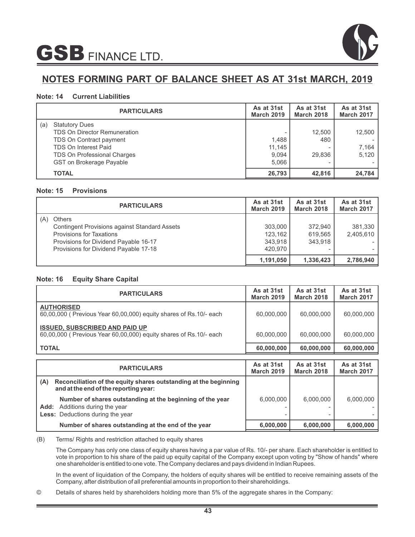

#### **Note: 14 Current Liabilities**

|     | <b>PARTICULARS</b>                  | As at 31st<br><b>March 2019</b> | As at 31st<br><b>March 2018</b> | As at 31st<br><b>March 2017</b> |
|-----|-------------------------------------|---------------------------------|---------------------------------|---------------------------------|
| (a) | <b>Statutory Dues</b>               |                                 |                                 |                                 |
|     | <b>TDS On Director Remuneration</b> |                                 | 12,500                          | 12,500                          |
|     | <b>TDS On Contract payment</b>      | 1,488                           | 480                             |                                 |
|     | <b>TDS On Interest Paid</b>         | 11,145                          |                                 | 7.164                           |
|     | <b>TDS On Professional Charges</b>  | 9.094                           | 29,836                          | 5.120                           |
|     | GST on Brokerage Payable            | 5.066                           |                                 |                                 |
|     | <b>TOTAL</b>                        | 26,793                          | 42.816                          | 24.784                          |

#### **Note: 15 Provisions**

| <b>PARTICULARS</b>                                   | As at 31st<br><b>March 2019</b> | As at 31st<br><b>March 2018</b> | As at 31st<br><b>March 2017</b> |
|------------------------------------------------------|---------------------------------|---------------------------------|---------------------------------|
| <b>Others</b><br>(A)                                 |                                 |                                 |                                 |
| <b>Contingent Provisions against Standard Assets</b> | 303,000                         | 372,940                         | 381,330                         |
| <b>Provisions for Taxations</b>                      | 123,162                         | 619,565                         | 2,405,610                       |
| Provisions for Dividend Payable 16-17                | 343.918                         | 343.918                         |                                 |
| Provisions for Dividend Payable 17-18                | 420.970                         |                                 |                                 |
|                                                      | 1,191,050                       | 1,336,423                       | 2,786,940                       |

#### **Note: 16 Equity Share Capital**

| <b>PARTICULARS</b>                                                                                          | As at 31st<br><b>March 2019</b> | As at 31st<br><b>March 2018</b> | As at 31st<br>March 2017 |
|-------------------------------------------------------------------------------------------------------------|---------------------------------|---------------------------------|--------------------------|
| <b>AUTHORISED</b><br>60,00,000 ( Previous Year 60,00,000) equity shares of Rs.10/- each                     | 60,000,000                      | 60,000,000                      | 60.000.000               |
| <b>ISSUED, SUBSCRIBED AND PAID UP</b><br>60,00,000 ( Previous Year 60,00,000) equity shares of Rs.10/- each | 60,000,000                      | 60,000,000                      | 60,000,000               |
| <b>TOTAL</b>                                                                                                | 60,000,000                      | 60,000,000                      | 60,000,000               |

| <b>PARTICULARS</b>                                                                                                                     | As at 31st<br><b>March 2019</b> | As at 31st<br><b>March 2018</b> | As at 31st<br><b>March 2017</b> |
|----------------------------------------------------------------------------------------------------------------------------------------|---------------------------------|---------------------------------|---------------------------------|
| Reconciliation of the equity shares outstanding at the beginning<br>(A)<br>and at the end of the reporting year:                       |                                 |                                 |                                 |
| Number of shares outstanding at the beginning of the year<br><b>Add:</b> Additions during the year<br>Less: Deductions during the year | 6.000.000                       | 6.000.000                       | 6.000.000                       |
| Number of shares outstanding at the end of the year                                                                                    | 6,000,000                       | 6,000,000                       | 6,000,000                       |

(B) Terms/ Rights and restriction attached to equity shares

The Company has only one class of equity shares having a par value of Rs. 10/- per share. Each shareholder is entitled to vote in proportion to his share of the paid up equity capital of the Company except upon voting by "Show of hands" where one shareholder is entitled to one vote. The Company declares and pays dividend in Indian Rupees.

In the event of liquidation of the Company, the holders of equity shares will be entitled to receive remaining assets of the Company, after distribution of all preferential amounts in proportion to their shareholdings.

© Details of shares held by shareholders holding more than 5% of the aggregate shares in the Company: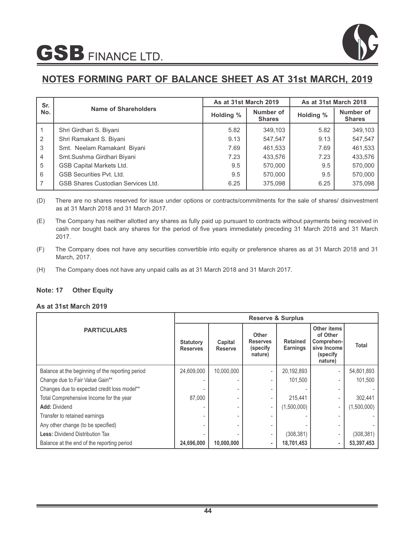

| Sr.            |                                           | As at 31st March 2019 |                            |                  | As at 31st March 2018      |
|----------------|-------------------------------------------|-----------------------|----------------------------|------------------|----------------------------|
| No.            | Name of Shareholders                      | <b>Holding %</b>      | Number of<br><b>Shares</b> | <b>Holding %</b> | Number of<br><b>Shares</b> |
|                | Shri Girdhari S. Biyani                   | 5.82                  | 349,103                    | 5.82             | 349,103                    |
| 2              | Shri Ramakant S. Biyani                   | 9.13                  | 547,547                    | 9.13             | 547,547                    |
| 3              | Smt. Neelam Ramakant Biyani               | 7.69                  | 461,533                    | 7.69             | 461,533                    |
| $\overline{4}$ | Smt.Sushma Girdhari Biyani                | 7.23                  | 433,576                    | 7.23             | 433,576                    |
| 5              | <b>GSB Capital Markets Ltd.</b>           | 9.5                   | 570,000                    | 9.5              | 570,000                    |
| 6              | <b>GSB Securities Pvt. Ltd.</b>           | 9.5                   | 570,000                    | 9.5              | 570,000                    |
| 7              | <b>GSB Shares Custodian Services Ltd.</b> | 6.25                  | 375,098                    | 6.25             | 375,098                    |

(D) There are no shares reserved for issue under options or contracts/commitments for the sale of shares/ disinvestment as at 31 March 2018 and 31 March 2017.

(E) The Company has neither allotted any shares as fully paid up pursuant to contracts without payments being received in cash nor bought back any shares for the period of five years immediately preceding 31 March 2018 and 31 March 2017.

(F) The Company does not have any securities convertible into equity or preference shares as at 31 March 2018 and 31 March, 2017.

(H) The Company does not have any unpaid calls as at 31 March 2018 and 31 March 2017.

#### **Note: 17 Other Equity**

#### **As at 31st March 2019**

|                                                  |                                     |                           | <b>Reserve &amp; Surplus</b>                     |                                    |                                                                              |             |
|--------------------------------------------------|-------------------------------------|---------------------------|--------------------------------------------------|------------------------------------|------------------------------------------------------------------------------|-------------|
| <b>PARTICULARS</b>                               | <b>Statutory</b><br><b>Reserves</b> | Capital<br><b>Reserve</b> | Other<br><b>Reserves</b><br>(specify)<br>nature) | <b>Retained</b><br><b>Earnings</b> | Other items<br>of Other<br>Comprehen-<br>sive Income<br>(specify)<br>nature) | Total       |
| Balance at the beginning of the reporting period | 24,609,000                          | 10,000,000                |                                                  | 20,192,893                         | $\overline{\phantom{0}}$                                                     | 54,801,893  |
| Change due to Fair Value Gain**                  |                                     |                           |                                                  | 101.500                            | -                                                                            | 101,500     |
| Changes due to expected credit loss model**      |                                     |                           |                                                  |                                    | $\overline{\phantom{0}}$                                                     |             |
| Total Comprehensive Income for the year          | 87,000                              |                           |                                                  | 215,441                            | -                                                                            | 302,441     |
| Add: Dividend                                    |                                     |                           | -                                                | (1,500,000)                        | $\overline{\phantom{0}}$                                                     | (1,500,000) |
| Transfer to retained earnings                    |                                     |                           |                                                  |                                    | $\overline{\phantom{0}}$                                                     |             |
| Any other change (to be specified)               |                                     |                           |                                                  |                                    | -                                                                            |             |
| <b>Less: Dividend Distribution Tax</b>           |                                     |                           |                                                  | (308, 381)                         | -                                                                            | (308, 381)  |
| Balance at the end of the reporting period       | 24,696,000                          | 10,000,000                | ٠                                                | 18,701,453                         | ٠                                                                            | 53,397,453  |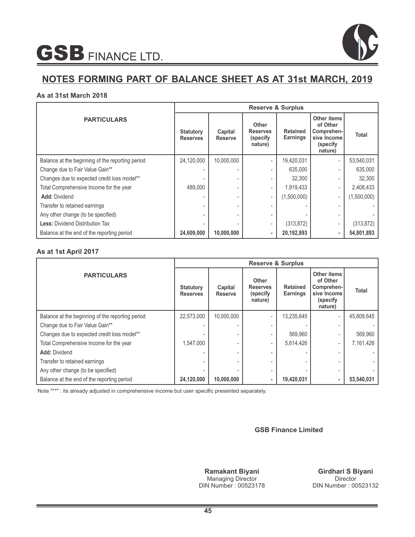

#### **As at 31st March 2018**

|                                                  |                                     |                           | <b>Reserve &amp; Surplus</b>                     |                                    |                                                                                    |             |
|--------------------------------------------------|-------------------------------------|---------------------------|--------------------------------------------------|------------------------------------|------------------------------------------------------------------------------------|-------------|
| <b>PARTICULARS</b>                               | <b>Statutory</b><br><b>Reserves</b> | Capital<br><b>Reserve</b> | Other<br><b>Reserves</b><br>(specify)<br>nature) | <b>Retained</b><br><b>Earnings</b> | <b>Other items</b><br>of Other<br>Comprehen-<br>sive Income<br>(specify<br>nature) | Total       |
| Balance at the beginning of the reporting period | 24,120,000                          | 10,000,000                | $\overline{\phantom{0}}$                         | 19,420,031                         | ٠                                                                                  | 53,540,031  |
| Change due to Fair Value Gain**                  |                                     |                           | $\overline{\phantom{0}}$                         | 635,000                            | -                                                                                  | 635,000     |
| Changes due to expected credit loss model**      |                                     |                           |                                                  | 32,300                             | -                                                                                  | 32,300      |
| Total Comprehensive Income for the year          | 489,000                             |                           | -                                                | 1,919,433                          | ۰                                                                                  | 2,408,433   |
| Add: Dividend                                    |                                     |                           | $\overline{\phantom{a}}$                         | (1,500,000)                        | ۰                                                                                  | (1,500,000) |
| Transfer to retained earnings                    |                                     |                           |                                                  |                                    |                                                                                    |             |
| Any other change (to be specified)               |                                     |                           |                                                  |                                    | ۰                                                                                  |             |
| <b>Less: Dividend Distribution Tax</b>           |                                     |                           | -                                                | (313, 872)                         | -                                                                                  | (313, 872)  |
| Balance at the end of the reporting period       | 24,609,000                          | 10,000,000                | ٠                                                | 20,192,893                         | ٠                                                                                  | 54,801,893  |

#### **As at 1st April 2017**

|                                                  |                                     |                           |                                                  | <b>Reserve &amp; Surplus</b>       |                                                                             |              |
|--------------------------------------------------|-------------------------------------|---------------------------|--------------------------------------------------|------------------------------------|-----------------------------------------------------------------------------|--------------|
| <b>PARTICULARS</b>                               | <b>Statutory</b><br><b>Reserves</b> | Capital<br><b>Reserve</b> | Other<br><b>Reserves</b><br>(specify)<br>nature) | <b>Retained</b><br><b>Earnings</b> | Other items<br>of Other<br>Comprehen-<br>sive Income<br>(specify<br>nature) | <b>Total</b> |
| Balance at the beginning of the reporting period | 22,573,000                          | 10,000,000                | $\blacksquare$                                   | 13,235,645                         |                                                                             | 45,808,645   |
| Change due to Fair Value Gain**                  |                                     |                           |                                                  |                                    |                                                                             |              |
| Changes due to expected credit loss model**      |                                     |                           |                                                  | 569.960                            |                                                                             | 569,960      |
| Total Comprehensive Income for the year          | 1,547,000                           |                           |                                                  | 5,614,426                          |                                                                             | 7,161,426    |
| <b>Add: Dividend</b>                             |                                     |                           |                                                  |                                    |                                                                             |              |
| Transfer to retained earnings                    |                                     |                           |                                                  |                                    |                                                                             |              |
| Any other change (to be specified)               |                                     |                           |                                                  |                                    | $\overline{\phantom{a}}$                                                    |              |
| Balance at the end of the reporting period       | 24,120,000                          | 10,000,000                | ٠                                                | 19,420,031                         |                                                                             | 53,540,031   |

Note "\*\*" : its already adjusted in comprehensive income but user specific presented separately.

**GSB Finance Limited** 

**Ramakant Biyani**  Managing Director DIN Number : 00523178

**Girdhari S Biyani**  Director DIN Number : 00523132

 $\sim$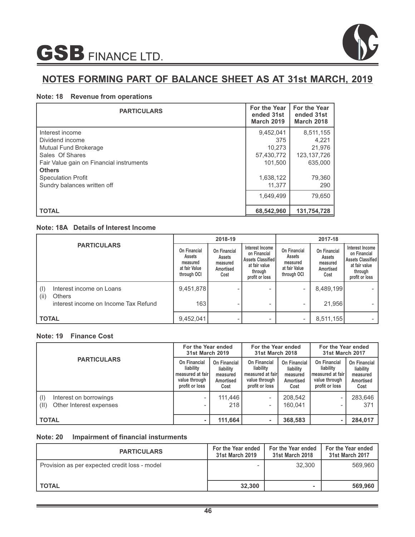

#### **Note: 18 Revenue from operations**

| <b>PARTICULARS</b>                       | For the Year<br>ended 31st<br><b>March 2019</b> | For the Year<br>ended 31st<br><b>March 2018</b> |
|------------------------------------------|-------------------------------------------------|-------------------------------------------------|
| Interest income                          | 9,452,041                                       | 8,511,155                                       |
| Dividend income                          | 375                                             | 4.221                                           |
| Mutual Fund Brokerage                    | 10,273                                          | 21,976                                          |
| Sales Of Shares                          | 57,430,772                                      | 123, 137, 726                                   |
| Fair Value gain on Financial instruments | 101.500                                         | 635,000                                         |
| <b>Others</b>                            |                                                 |                                                 |
| <b>Speculation Profit</b>                | 1,638,122                                       | 79,360                                          |
| Sundry balances written off              | 11,377                                          | 290                                             |
|                                          | 1,649,499                                       | 79,650                                          |
| <b>TOTAL</b>                             | 68,542,960                                      | 131,754,728                                     |

#### **Note: 18A Details of Interest Income**

|      |                                                       | 2018-19                                                                          |                                                         |                                                                                                           | 2017-18                                                            |                                                                |                                                                                                           |
|------|-------------------------------------------------------|----------------------------------------------------------------------------------|---------------------------------------------------------|-----------------------------------------------------------------------------------------------------------|--------------------------------------------------------------------|----------------------------------------------------------------|-----------------------------------------------------------------------------------------------------------|
|      | <b>PARTICULARS</b>                                    | <b>On Financial</b><br><b>Assets</b><br>measured<br>at fair Value<br>through OCI | On Financial<br>Assets<br>measured<br>Amortised<br>Cost | Interest Income<br>on Financial<br><b>Assets Classified</b><br>at fair value<br>through<br>profit or loss | On Financial<br>Assets<br>measured<br>at fair Value<br>through OCI | <b>On Financial</b><br>Assets<br>measured<br>Amortised<br>Cost | Interest Income<br>on Financial<br><b>Assets Classified</b><br>at fair value<br>through<br>profit or loss |
| (1)  | Interest income on Loans                              | 9,451,878                                                                        |                                                         |                                                                                                           | -                                                                  | 8,489,199                                                      |                                                                                                           |
| (ii) | <b>Others</b><br>interest income on Income Tax Refund | 163                                                                              |                                                         |                                                                                                           | $\overline{\phantom{0}}$                                           | 21.956                                                         |                                                                                                           |
|      | <b>TOTAL</b>                                          | 9,452,041                                                                        |                                                         |                                                                                                           | $\blacksquare$                                                     | 8,511,155                                                      |                                                                                                           |

#### **Note: 19 Finance Cost**

|                                                                  | For the Year ended<br><b>31st March 2019</b>                                            |                                                                   | For the Year ended<br><b>31st March 2018</b>                                     |                                                                   | For the Year ended<br><b>31st March 2017</b>                                                |                                                                   |
|------------------------------------------------------------------|-----------------------------------------------------------------------------------------|-------------------------------------------------------------------|----------------------------------------------------------------------------------|-------------------------------------------------------------------|---------------------------------------------------------------------------------------------|-------------------------------------------------------------------|
| <b>PARTICULARS</b>                                               | <b>On Financial</b><br>liability<br>measured at fair<br>value through<br>profit or loss | <b>On Financial</b><br>liability<br>measured<br>Amortised<br>Cost | On Financial<br>liability<br>measured at fair<br>value through<br>profit or loss | <b>On Financial</b><br>liability<br>measured<br>Amortised<br>Cost | <b>On Financial</b><br>liability<br>l measured at fair l<br>value through<br>profit or loss | <b>On Financial</b><br>liability<br>measured<br>Amortised<br>Cost |
| (1)<br>Interest on borrowings<br>Other Interest expenses<br>(II) |                                                                                         | 111.446<br>218                                                    | $\overline{\phantom{0}}$                                                         | 208.542<br>160.041                                                |                                                                                             | 283,646<br>371                                                    |
| <b>TOTAL</b>                                                     |                                                                                         | 111,664                                                           |                                                                                  | 368,583                                                           |                                                                                             | 284,017                                                           |

#### **Note: 20 Impairment of financial insturments**

| <b>PARTICULARS</b>                            | For the Year ended<br>31st March 2019 | For the Year ended<br>31st March 2018 | For the Year ended<br>31st March 2017 |
|-----------------------------------------------|---------------------------------------|---------------------------------------|---------------------------------------|
| Provision as per expected credit loss - model |                                       | 32,300                                | 569,960                               |
| <b>TOTAL</b>                                  | 32.300                                |                                       | 569,960                               |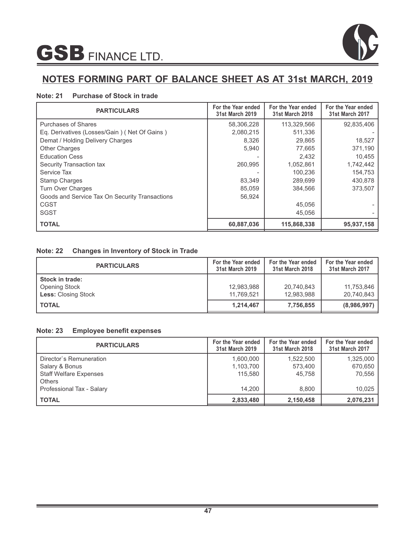

#### **Note: 21 Purchase of Stock in trade**

| <b>PARTICULARS</b>                             | For the Year ended<br>31st March 2019 | For the Year ended<br><b>31st March 2018</b> | For the Year ended<br><b>31st March 2017</b> |
|------------------------------------------------|---------------------------------------|----------------------------------------------|----------------------------------------------|
| Purchases of Shares                            | 58,306,228                            | 113,329,566                                  | 92,835,406                                   |
| Eq. Derivatives (Losses/Gain) (Net Of Gains)   | 2,080,215                             | 511.336                                      |                                              |
| Demat / Holding Delivery Charges               | 8,326                                 | 29,865                                       | 18,527                                       |
| <b>Other Charges</b>                           | 5,940                                 | 77,665                                       | 371,190                                      |
| <b>Education Cess</b>                          |                                       | 2,432                                        | 10,455                                       |
| Security Transaction tax                       | 260,995                               | 1,052,861                                    | 1,742,442                                    |
| Service Tax                                    | $\overline{\phantom{0}}$              | 100,236                                      | 154,753                                      |
| <b>Stamp Charges</b>                           | 83.349                                | 289.699                                      | 430,878                                      |
| <b>Turn Over Charges</b>                       | 85,059                                | 384.566                                      | 373.507                                      |
| Goods and Service Tax On Security Transactions | 56,924                                |                                              |                                              |
| <b>CGST</b>                                    |                                       | 45.056                                       |                                              |
| <b>SGST</b>                                    |                                       | 45.056                                       |                                              |
| <b>TOTAL</b>                                   | 60,887,036                            | 115,868,338                                  | 95,937,158                                   |

#### **Note: 22 Changes in Inventory of Stock in Trade**

| <b>PARTICULARS</b>                                                           | For the Year ended<br>31st March 2019 | For the Year ended<br>31st March 2018 | For the Year ended<br>31st March 2017 |
|------------------------------------------------------------------------------|---------------------------------------|---------------------------------------|---------------------------------------|
| <b>Stock in trade:</b><br><b>Opening Stock</b><br><b>Less: Closing Stock</b> | 12,983,988<br>11.769.521              | 20,740,843<br>12,983,988              | 11,753,846<br>20,740,843              |
| <b>TOTAL</b>                                                                 | 1,214,467                             | 7,756,855                             | (8,986,997)                           |

#### **Note: 23 Employee benefit expenses**

| <b>PARTICULARS</b>                                                                          | For the Year ended<br>31st March 2019 | For the Year ended<br>31st March 2018 | For the Year ended<br>31st March 2017 |
|---------------------------------------------------------------------------------------------|---------------------------------------|---------------------------------------|---------------------------------------|
| Director's Remuneration<br>Salary & Bonus<br><b>Staff Welfare Expenses</b><br><b>Others</b> | 1,600,000<br>1,103,700<br>115,580     | 1,522,500<br>573,400<br>45.758        | 1,325,000<br>670,650<br>70.556        |
| Professional Tax - Salary                                                                   | 14.200                                | 8.800                                 | 10.025                                |
| <b>TOTAL</b>                                                                                | 2.833.480                             | 2.150.458                             | 2.076.231                             |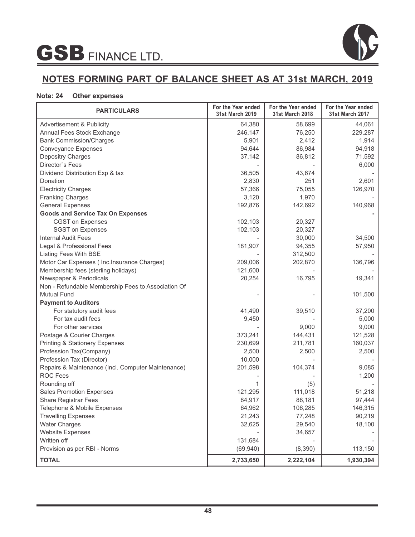

#### **Note: 24 Other expenses**

| <b>PARTICULARS</b>                                 | For the Year ended<br>31st March 2019 | For the Year ended<br>31st March 2018 | For the Year ended<br>31st March 2017 |
|----------------------------------------------------|---------------------------------------|---------------------------------------|---------------------------------------|
| Advertisement & Publicity                          | 64,380                                | 58,699                                | 44,061                                |
| Annual Fees Stock Exchange                         | 246,147                               | 76,250                                | 229,287                               |
| <b>Bank Commission/Charges</b>                     | 5,901                                 | 2,412                                 | 1,914                                 |
| <b>Conveyance Expenses</b>                         | 94,644                                | 86,984                                | 94,918                                |
| Depositry Charges                                  | 37,142                                | 86,812                                | 71,592                                |
| Director's Fees                                    |                                       |                                       | 6,000                                 |
| Dividend Distribution Exp & tax                    | 36,505                                | 43,674                                |                                       |
| Donation                                           | 2,830                                 | 251                                   | 2,601                                 |
| <b>Electricity Charges</b>                         | 57,366                                | 75,055                                | 126,970                               |
| <b>Franking Charges</b>                            | 3,120                                 | 1,970                                 |                                       |
| <b>General Expenses</b>                            | 192,876                               | 142,692                               | 140,968                               |
| <b>Goods and Service Tax On Expenses</b>           |                                       |                                       |                                       |
| <b>CGST on Expenses</b>                            | 102,103                               | 20,327                                |                                       |
| <b>SGST on Expenses</b>                            | 102,103                               | 20,327                                |                                       |
| <b>Internal Audit Fees</b>                         |                                       | 30,000                                | 34,500                                |
| Legal & Professional Fees                          | 181,907                               | 94,355                                | 57,950                                |
| Listing Fees With BSE                              |                                       | 312,500                               |                                       |
| Motor Car Expenses (Inc.Insurance Charges)         | 209,006                               | 202,870                               | 136,796                               |
| Membership fees (sterling holidays)                | 121,600                               |                                       |                                       |
| Newspaper & Periodicals                            | 20,254                                | 16,795                                | 19,341                                |
| Non - Refundable Membership Fees to Association Of |                                       |                                       |                                       |
| <b>Mutual Fund</b>                                 |                                       |                                       | 101,500                               |
| <b>Payment to Auditors</b>                         |                                       |                                       |                                       |
| For statutory audit fees                           | 41,490                                | 39,510                                | 37,200                                |
| For tax audit fees                                 | 9,450                                 |                                       | 5,000                                 |
| For other services                                 |                                       | 9,000                                 | 9,000                                 |
| Postage & Courier Charges                          | 373,241                               | 144,431                               | 121,528                               |
| <b>Printing &amp; Stationery Expenses</b>          | 230,699                               | 211,781                               | 160,037                               |
| Profession Tax(Company)                            | 2,500                                 | 2,500                                 | 2,500                                 |
| Profession Tax (Director)                          | 10,000                                |                                       |                                       |
| Repairs & Maintenance (Incl. Computer Maintenance) | 201,598                               | 104,374                               | 9,085                                 |
| <b>ROC Fees</b>                                    |                                       |                                       | 1,200                                 |
| Rounding off                                       | 1                                     | (5)                                   |                                       |
| <b>Sales Promotion Expenses</b>                    | 121,295                               | 111,018                               | 51,218                                |
| <b>Share Registrar Fees</b>                        | 84,917                                | 88,181                                | 97,444                                |
| Telephone & Mobile Expenses                        | 64,962                                | 106,285                               | 146,315                               |
| <b>Travelling Expenses</b>                         | 21,243                                | 77,248                                | 90,219                                |
| <b>Water Charges</b>                               | 32,625                                | 29,540                                | 18,100                                |
| <b>Website Expenses</b>                            |                                       | 34,657                                |                                       |
| Written off                                        | 131,684                               |                                       |                                       |
| Provision as per RBI - Norms                       | (69, 940)                             | (8,390)                               | 113,150                               |
| <b>TOTAL</b>                                       | 2,733,650                             | 2,222,104                             | 1,930,394                             |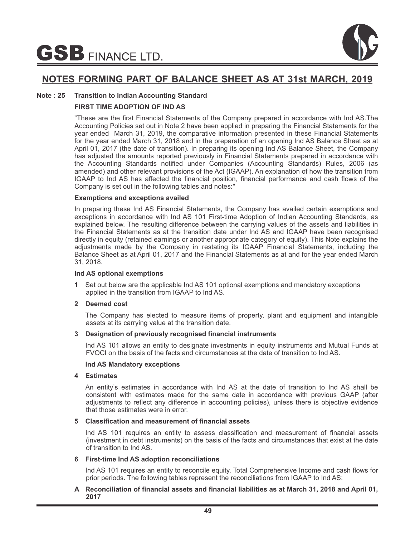

#### **Note : 25 Transition to Indian Accounting Standard**

#### **FIRST TIME ADOPTION OF IND AS**

"These are the first Financial Statements of the Company prepared in accordance with Ind AS.The Accounting Policies set out in Note 2 have been applied in preparing the Financial Statements for the year ended March 31, 2019, the comparative information presented in these Financial Statements for the year ended March 31, 2018 and in the preparation of an opening Ind AS Balance Sheet as at April 01, 2017 (the date of transition). In preparing its opening Ind AS Balance Sheet, the Company has adjusted the amounts reported previously in Financial Statements prepared in accordance with the Accounting Standards notified under Companies (Accounting Standards) Rules, 2006 (as amended) and other relevant provisions of the Act (IGAAP). An explanation of how the transition from IGAAP to Ind AS has affected the financial position, financial performance and cash flows of the Company is set out in the following tables and notes:"

#### **Exemptions and exceptions availed**

In preparing these Ind AS Financial Statements, the Company has availed certain exemptions and exceptions in accordance with Ind AS 101 First-time Adoption of Indian Accounting Standards, as explained below. The resulting difference between the carrying values of the assets and liabilities in the Financial Statements as at the transition date under Ind AS and IGAAP have been recognised directly in equity (retained earnings or another appropriate category of equity). This Note explains the adjustments made by the Company in restating its IGAAP Financial Statements, including the Balance Sheet as at April 01, 2017 and the Financial Statements as at and for the year ended March 31, 2018.

#### **Ind AS optional exemptions**

**1** Set out below are the applicable Ind AS 101 optional exemptions and mandatory exceptions applied in the transition from IGAAP to Ind AS.

#### **2 Deemed cost**

The Company has elected to measure items of property, plant and equipment and intangible assets at its carrying value at the transition date.

#### **3 Designation of previously recognised financial instruments**

Ind AS 101 allows an entity to designate investments in equity instruments and Mutual Funds at FVOCI on the basis of the facts and circumstances at the date of transition to Ind AS.

#### **Ind AS Mandatory exceptions**

**4 Estimates**

An entity's estimates in accordance with Ind AS at the date of transition to Ind AS shall be consistent with estimates made for the same date in accordance with previous GAAP (after adjustments to reflect any difference in accounting policies), unless there is objective evidence that those estimates were in error.

#### **5 Classification and measurement of financial assets**

Ind AS 101 requires an entity to assess classification and measurement of financial assets (investment in debt instruments) on the basis of the facts and circumstances that exist at the date of transition to Ind AS.

#### **6 First-time Ind AS adoption reconciliations**

Ind AS 101 requires an entity to reconcile equity, Total Comprehensive Income and cash flows for prior periods. The following tables represent the reconciliations from IGAAP to Ind AS:

#### **A Reconciliation of financial assets and financial liabilities as at March 31, 2018 and April 01, 2017**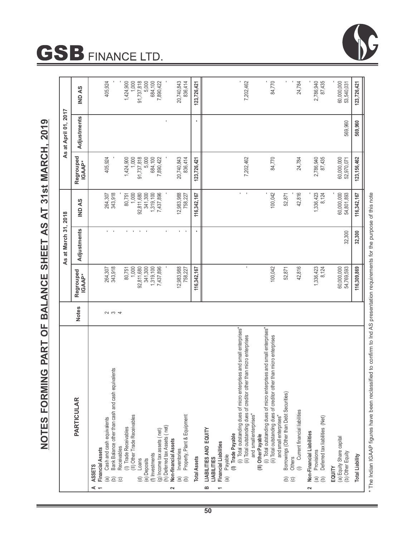| $\frac{1}{2}$                  |  |
|--------------------------------|--|
| $\overline{\phantom{a}}$       |  |
|                                |  |
|                                |  |
| IV CV FLLTC L<br>I             |  |
|                                |  |
|                                |  |
|                                |  |
| S IS C L C HESE CIS            |  |
| $\frac{1}{2}$<br>$\frac{1}{3}$ |  |
| j                              |  |

|                                                                                                                                                                                                                                                                                                                                |                  |                                         | As at March 31, 2018         |                                         |                                           | As at April 01, 2017 |                                         |
|--------------------------------------------------------------------------------------------------------------------------------------------------------------------------------------------------------------------------------------------------------------------------------------------------------------------------------|------------------|-----------------------------------------|------------------------------|-----------------------------------------|-------------------------------------------|----------------------|-----------------------------------------|
| PARTICULAR                                                                                                                                                                                                                                                                                                                     | <b>Notes</b>     | Regrouped<br>IGAAP*                     | Adjustments                  | IND AS                                  | Regrouped<br>IGAAP*                       | Adjustments          | IND AS                                  |
| Bank Balance other than cash and cash equivalents<br>Cash and cash equivalents<br><b>Financial Assets</b><br>ASSETS<br>$\widehat{a}$<br>$\widehat{e}$<br>⋖ ←                                                                                                                                                                   | 2<br>2<br>3<br>4 | 343,918<br>264,307                      |                              | 343,918<br>264,307                      | 405,924                                   |                      | 405,924                                 |
| (II) Other Trade Receivables<br>(I) Trade Receivables<br>Receivables<br>Loans<br>ਰਿ<br>$\odot$                                                                                                                                                                                                                                 |                  | 1,000<br>92,811,680<br>80,751           | $\mathbf{r}$<br>$\mathbf{I}$ | 92,811,680<br>1,000<br>80,751           | 1,000<br>91,737,818<br>1,424,900          |                      | 91,737,818<br>1,424,900<br>1,000        |
| (h) Deferred tax Assets (net)<br>(g) Income tax assets (net)<br>Non-financial Assets<br>(f) Investments<br>e) Deposits<br>$\mathbf{\tilde{c}}$                                                                                                                                                                                 |                  | 341,300<br>1,319,100<br>7,437,896       |                              | 341,300<br>1,319,100<br>7,437,896       | 5,000<br>684,100<br>7,890,422             |                      | 5,000<br>684,100<br>7,890,422           |
| Property, Plant & Equipment<br>Inventories<br><b>Total Assets</b><br>$\widehat{a}$<br>$\widehat{e}$                                                                                                                                                                                                                            |                  | 12,983,988<br>758,227<br>116,342,167    | $\blacksquare$               | 12,983,988<br>758,227<br>116,342,167    | 20,740,843<br>836,414<br>123,726,421      | ٠                    | 20,740,843<br>836,414<br>123,726,421    |
| (i) Total outstanding dues of micro enterprises and small enterprises"<br>(ii) Total outstanding dues of creditor other than micro enterprises<br>and small enterprises"<br>LIABILITIES AND EQUITY<br>(I) Trade Payable<br><b>Financial Liabilities</b><br>Payable<br><b>LIABILITIES</b><br>$\widehat{a}$<br>$\mathbf{a}$<br>↽ |                  | $\blacksquare$                          |                              | $\mathbf{I}$                            | 7,202,462                                 |                      | 7,202,462                               |
| (i) Total outstanding dues of micro enterprises and small enterprises"<br>(ii) Total outstanding dues of creditor other than micro enterprises<br>Borrowings (Other than Debt Securities)<br>Current financial liabilities<br>and small enterprises"<br>(II) Other Payable<br>Others<br>$\oplus$<br>$\widehat{e}$<br>$\Theta$  |                  | 100,042<br>42,816<br>52,871             |                              | 100,042<br>42,816<br>52,871             | 84,770<br>24,784                          |                      | 84,770<br>24,784                        |
| Deferred tax liabilities (Net)<br>Non-Financial Liabilities<br>Provisions<br>$\widehat{a}$<br>$\widehat{e}$<br>$\sim$                                                                                                                                                                                                          |                  | 1,336,423<br>8,124                      |                              | 1,336,423<br>8,124                      | 2,786,940<br>87,435                       |                      | 2,786,940<br>87,435                     |
| (a) Equity Share capital<br>(b) Other Equity<br><b>Total Liability</b><br>EQUITY                                                                                                                                                                                                                                               |                  | 60,000,000<br>54,769,593<br>116,309,869 | 32,300<br>32,300             | 60,000,000<br>54,801,893<br>116,342,167 | 60,000,000<br>123, 156, 462<br>52,970,071 | 569,960<br>569,960   | 60,000,000<br>53,540,031<br>123,726,421 |
|                                                                                                                                                                                                                                                                                                                                |                  |                                         |                              |                                         |                                           |                      |                                         |

\* The Indian IGAAP figures have been reclassified to confirm to Ind AS presentation requirements for the purpose of this note \* The Indian IGAAP figures have been reclassified to confirm to Ind AS presentation requirements for the purpose of this note



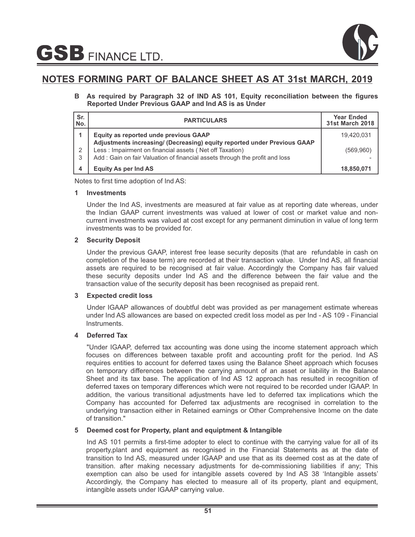

**B As required by Paragraph 32 of IND AS 101, Equity reconciliation between the figures Reported Under Previous GAAP and Ind AS is as Under**

| Sr.<br>No. | <b>PARTICULARS</b>                                                                                                                     | <b>Year Ended</b><br><b>31st March 2018</b> |
|------------|----------------------------------------------------------------------------------------------------------------------------------------|---------------------------------------------|
|            | Equity as reported unde previous GAAP<br>Adjustments increasing/ (Decreasing) equity reported under Previous GAAP                      | 19,420,031                                  |
| 3          | Less: Impairment on financial assets (Net off Taxation)<br>Add: Gain on fair Valuation of financial assets through the profit and loss | (569,960)                                   |
|            | <b>Equity As per Ind AS</b>                                                                                                            | 18,850,071                                  |

Notes to first time adoption of Ind AS:

#### **1 Investments**

Under the Ind AS, investments are measured at fair value as at reporting date whereas, under the Indian GAAP current investments was valued at lower of cost or market value and noncurrent investments was valued at cost except for any permanent diminution in value of long term investments was to be provided for.

#### **2 Security Deposit**

Under the previous GAAP, interest free lease security deposits (that are refundable in cash on completion of the lease term) are recorded at their transaction value. Under Ind AS, all financial assets are required to be recognised at fair value. Accordingly the Company has fair valued these security deposits under Ind AS and the difference between the fair value and the transaction value of the security deposit has been recognised as prepaid rent.

#### **3 Expected credit loss**

Under IGAAP allowances of doubtful debt was provided as per management estimate whereas under Ind AS allowances are based on expected credit loss model as per Ind - AS 109 - Financial Instruments.

#### **4 Deferred Tax**

"Under IGAAP, deferred tax accounting was done using the income statement approach which focuses on differences between taxable profit and accounting profit for the period. Ind AS requires entities to account for deferred taxes using the Balance Sheet approach which focuses on temporary differences between the carrying amount of an asset or liability in the Balance Sheet and its tax base. The application of Ind AS 12 approach has resulted in recognition of deferred taxes on temporary differences which were not required to be recorded under IGAAP. In addition, the various transitional adjustments have led to deferred tax implications which the Company has accounted for Deferred tax adjustments are recognised in correlation to the underlying transaction either in Retained earnings or Other Comprehensive Income on the date of transition."

#### **5 Deemed cost for Property, plant and equiptment & Intangible**

Ind AS 101 permits a first-time adopter to elect to continue with the carrying value for all of its property,plant and equipment as recognised in the Financial Statements as at the date of transition to Ind AS, measured under IGAAP and use that as its deemed cost as at the date of transition. after making necessary adjustments for de-commissioning liabilities if any; This exemption can also be used for intangible assets covered by Ind AS 38 'Intangible assets' Accordingly, the Company has elected to measure all of its property, plant and equipment, intangible assets under IGAAP carrying value.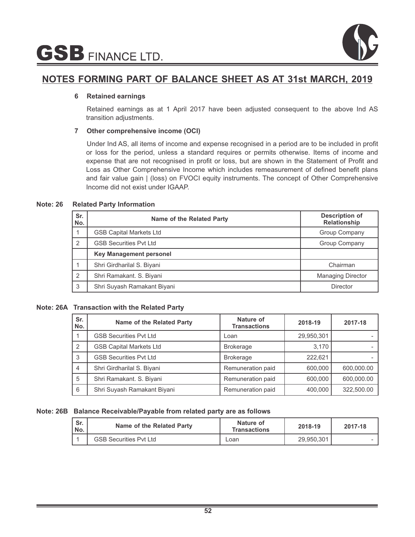

#### **6 Retained earnings**

Retained earnings as at 1 April 2017 have been adjusted consequent to the above Ind AS transition adjustments.

#### **7 Other comprehensive income (OCI)**

Under Ind AS, all items of income and expense recognised in a period are to be included in profit or loss for the period, unless a standard requires or permits otherwise. Items of income and expense that are not recognised in profit or loss, but are shown in the Statement of Profit and Loss as Other Comprehensive Income which includes remeasurement of defined benefit plans and fair value gain | (loss) on FVOCI equity instruments. The concept of Other Comprehensive Income did not exist under IGAAP.

#### **Note: 26 Related Party Information**

| Sr.<br>No. | Name of the Related Party      | <b>Description of</b><br>Relationship |
|------------|--------------------------------|---------------------------------------|
|            | <b>GSB Capital Markets Ltd</b> | Group Company                         |
| 2          | <b>GSB Securities Pvt Ltd</b>  | Group Company                         |
|            | <b>Key Management personel</b> |                                       |
|            | Shri Girdharilal S. Biyani     | Chairman                              |
| 2          | Shri Ramakant, S. Biyani       | <b>Managing Director</b>              |
| 3          | Shri Suyash Ramakant Biyani    | <b>Director</b>                       |

#### **Note: 26A Transaction with the Related Party**

| Sr.<br>No.    | Name of the Related Party      | Nature of<br><b>Transactions</b> | 2018-19    | 2017-18    |
|---------------|--------------------------------|----------------------------------|------------|------------|
|               | <b>GSB Securities Pvt Ltd</b>  | Loan                             | 29,950,301 |            |
| $\mathcal{P}$ | <b>GSB Capital Markets Ltd</b> | <b>Brokerage</b>                 | 3.170      |            |
| 3             | <b>GSB Securities Pvt Ltd</b>  | <b>Brokerage</b>                 | 222.621    |            |
| 4             | Shri Girdharilal S. Biyani     | Remuneration paid                | 600,000    | 600.000.00 |
| 5             | Shri Ramakant. S. Biyani       | Remuneration paid                | 600,000    | 600.000.00 |
| 6             | Shri Suyash Ramakant Biyani    | Remuneration paid                | 400,000    | 322,500.00 |

#### **Note: 26B Balance Receivable/Payable from related party are as follows**

| Sr.<br>No. | Name of the Related Party     | Nature of<br><b>Transactions</b> | 2018-19    | 2017-18 |
|------------|-------------------------------|----------------------------------|------------|---------|
|            | <b>GSB Securities Pvt Ltd</b> | Loan                             | 29.950.301 |         |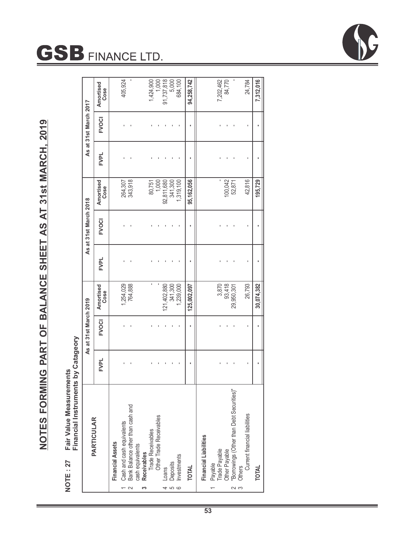NOTES FORMING PART OF BALANCE SHEET AS AT 31st MARCH, 2019 **NOTES FORMING PART OF BALANCE SHEET AS AT 31st MARCH, 2019**

# Fair Value Measurements<br>Financial Instruments by Catageory **NOTE : 27 Fair Value Measurements** NOTE: 27

 **Financial Instruments by Catageory**

|                                                                         |             | As at 31st March 2019 |                   |             | As at 31st March 2018 |                   |             | As at 31st March 2017 |                   |
|-------------------------------------------------------------------------|-------------|-----------------------|-------------------|-------------|-----------------------|-------------------|-------------|-----------------------|-------------------|
| <b>PARTICULAR</b>                                                       | <b>FVPL</b> | <b>FVOCI</b>          | Amortised<br>Cose | <b>FVPL</b> | <b>FVOCI</b>          | Amortised<br>Cose | <b>FVPL</b> | <b>FVOCI</b>          | Amortised<br>Cose |
| <b>Financial Assets</b>                                                 |             |                       |                   |             |                       |                   |             |                       |                   |
|                                                                         |             |                       | 1,254,029         |             | ı                     | 264,307           |             |                       | 405,924           |
| Cash and cash equivalents<br>Bank Balance other than cash and<br>$\sim$ |             |                       | 764,888           |             | ı                     | 343,918           |             |                       |                   |
| cash equivalents                                                        |             |                       |                   |             |                       |                   |             |                       |                   |
| Receivables<br>∾                                                        |             |                       |                   |             |                       |                   |             |                       |                   |
| <b>Trade Receivables</b>                                                |             |                       | ı                 |             |                       | 80,751            |             |                       | 1,424,900         |
| Other Trade Receivables                                                 |             |                       |                   |             |                       | 1,000             |             |                       | 1,000             |
| Loans<br>4                                                              |             |                       | 121,402,880       |             |                       | 92,811,680        |             |                       | 91,737,818        |
| Deposits<br>5                                                           |             |                       | 341,300           |             |                       | 341,300           |             |                       | 5,000             |
| Investments<br>ပ                                                        |             |                       | ,239,000          |             |                       | 1,319,100         |             |                       | 684,100           |
| <b>TOTAL</b>                                                            |             |                       | 125,002,097       |             |                       | 95,162,056        |             |                       | 94,258,742        |
| Financial Liabilities                                                   |             |                       |                   |             |                       |                   |             |                       |                   |
|                                                                         |             |                       |                   |             |                       |                   |             |                       |                   |
| Payable<br>Trade Payable                                                |             |                       | 3,870             |             |                       |                   |             |                       | 7,202,462         |
| Other Payable                                                           |             |                       | 93,418            |             |                       | 100,042           |             |                       | 84,770            |
| Borrowings (Other than Debt Securities)"<br>$\sim$                      |             |                       | 29,950,301        |             |                       | 52,871            |             |                       | ı                 |
| <b>Others</b><br>က                                                      |             |                       |                   |             |                       |                   |             |                       |                   |
| Current financial liabilities                                           |             |                       | 26,793            |             | ٠                     | 42,816            |             |                       | 24,784            |
| TOTAL                                                                   |             |                       | 30,074,382        |             |                       | 195,729           |             |                       | 7,312,016         |
|                                                                         |             |                       |                   |             |                       |                   |             |                       |                   |



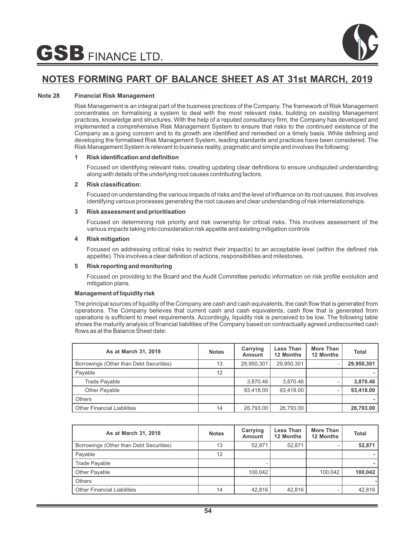

#### **Note 28 Financial Risk Management**

Risk Management is an integral part of the business practices of the Company. The framework of Risk Management concentrates on formalising a system to deal with the most relevant risks, building on existing Management practices, knowledge and structures. With the help of a reputed consultancy firm, the Company has developed and implemented a comprehensive Risk Management System to ensure that risks to the continued existence of the Company as a going concern and to its growth are identified and remedied on a timely basis. While defining and developing the formalised Risk Management System, leading standards and practices have been considered. The Risk Management System is relevant to business reality, pragmatic and simple and involves the following:

#### **1 Risk identification and definition**

Focused on identifying relevant risks, creating updating clear definitions to ensure undisputed understanding along with details of the underlying root causes contributing factors.

#### **2 Risk classification:**

Focused on understanding the various impacts of risks and the level of influence on its root causes. this involves identifying various processes generating the root causes and clear understanding of risk interrelationships.

#### **3 Risk assessment and prioritisation**

Focused on determining risk priority and risk ownership for critical risks. This involves assessment of the various impacts taking into consideration risk appetite and existing mitigation controls

#### **4 Risk mitigation**

Focused on addressing critical risks to restrict their impact(s) to an acceptable level (within the defined risk appetite). This involves a clear definition of actions, responsibilities and milestones.

#### **5 Risk reporting and monitoring**

Focused on providing to the Board and the Audit Committee periodic information on risk profile evolution and mitigation plans.

#### **Management of liquidity risk**

The principal sources of liquidity of the Company are cash and cash equivalents, the cash flow that is generated from operations. The Company believes that current cash and cash equivalents, cash flow that is generated from operations is sufficient to meet requirements. Accordingly, liquidity risk is perceived to be low. The following table shows the maturity analysis of financial liabilities of the Company based on contractually agreed undiscounted cash flows as at the Balance Sheet date:

| As at March 31, 2019                    | <b>Notes</b> | Carrying<br>Amount | Less Than<br>12 Months | More Than<br><b>12 Months</b> | <b>Total</b> |
|-----------------------------------------|--------------|--------------------|------------------------|-------------------------------|--------------|
| Borrowings (Other than Debt Securities) | 13           | 29,950,301         | 29,950,301             |                               | 29,950,301   |
| Payable                                 | 12           |                    |                        |                               |              |
| <b>Trade Payable</b>                    |              | 3.870.46           | 3.870.46               |                               | 3,870.46     |
| Other Payable                           |              | 93.418.00          | 93.418.00              |                               | 93.418.00    |
| <b>Others</b>                           |              |                    |                        |                               |              |
| <b>Other Financial Liabilities</b>      | 14           | 26.793.00          | 26.793.00              |                               | 26,793.00    |

| As at March 31, 2018                    | <b>Notes</b> | Carrying<br><b>Amount</b> | <b>Less Than</b><br>12 Months | More Than<br><b>12 Months</b> | <b>Total</b> |
|-----------------------------------------|--------------|---------------------------|-------------------------------|-------------------------------|--------------|
| Borrowings (Other than Debt Securities) | 13           | 52,871                    | 52,871                        |                               | 52,871       |
| Payable                                 | 12           |                           |                               |                               |              |
| <b>Trade Payable</b>                    |              |                           |                               |                               |              |
| <b>Other Payable</b>                    |              | 100,042                   |                               | 100.042                       | 100,042      |
| Others                                  |              |                           |                               |                               |              |
| <b>Other Financial Liabilities</b>      | 14           | 42.816                    | 42.816                        |                               | 42,816       |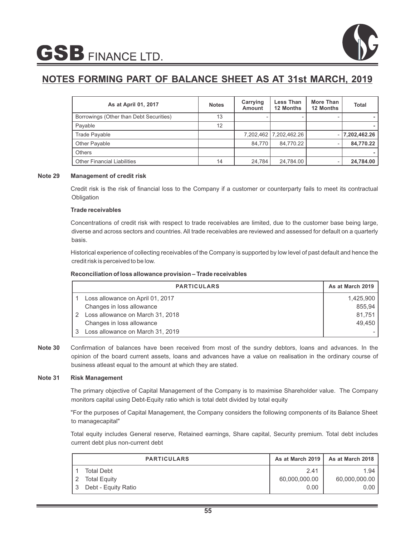

| As at April 01, 2017                    | <b>Notes</b> | Carrying<br><b>Amount</b> | Less Than<br>12 Months | More Than<br><b>12 Months</b> | <b>Total</b>     |
|-----------------------------------------|--------------|---------------------------|------------------------|-------------------------------|------------------|
| Borrowings (Other than Debt Securities) | 13           |                           |                        |                               |                  |
| Payable                                 | 12           |                           |                        |                               |                  |
| <b>Trade Payable</b>                    |              |                           | 7,202,462 7,202,462.26 |                               | $- 7,202,462.26$ |
| Other Payable                           |              | 84.770                    | 84.770.22              |                               | 84,770.22        |
| <b>Others</b>                           |              |                           |                        |                               |                  |
| <b>Other Financial Liabilities</b>      | 14           | 24.784                    | 24.784.00              |                               | 24,784.00        |

#### **Note 29 Management of credit risk**

Credit risk is the risk of financial loss to the Company if a customer or counterparty fails to meet its contractual **Obligation** 

#### **Trade receivables**

Concentrations of credit risk with respect to trade receivables are limited, due to the customer base being large, diverse and across sectors and countries. All trade receivables are reviewed and assessed for default on a quarterly basis.

Historical experience of collecting receivables of the Company is supported by low level of past default and hence the credit risk is perceived to be low.

#### **Reconciliation of loss allowance provision – Trade receivables**

| <b>PARTICULARS</b>               | As at March 2019 |
|----------------------------------|------------------|
| Loss allowance on April 01, 2017 | 1,425,900        |
| Changes in loss allowance        | 855.94           |
| Loss allowance on March 31, 2018 | 81.751           |
| Changes in loss allowance        | 49.450           |
| Loss allowance on March 31, 2019 |                  |

**Note 30** Confirmation of balances have been received from most of the sundry debtors, loans and advances. In the opinion of the board current assets, loans and advances have a value on realisation in the ordinary course of business atleast equal to the amount at which they are stated.

#### **Note 31 Risk Management**

The primary objective of Capital Management of the Company is to maximise Shareholder value. The Company monitors capital using Debt-Equity ratio which is total debt divided by total equity

"For the purposes of Capital Management, the Company considers the following components of its Balance Sheet to managecapital"

Total equity includes General reserve, Retained earnings, Share capital, Security premium. Total debt includes current debt plus non-current debt

|   | <b>PARTICULARS</b>  | As at March 2019 | As at March 2018 |
|---|---------------------|------------------|------------------|
|   | Total Debt          | 2.41             | 1.94             |
|   | <b>Total Equity</b> | 60.000.000.00    | 60.000.000.00    |
| 3 | Debt - Equity Ratio | 0.00             | 0.00             |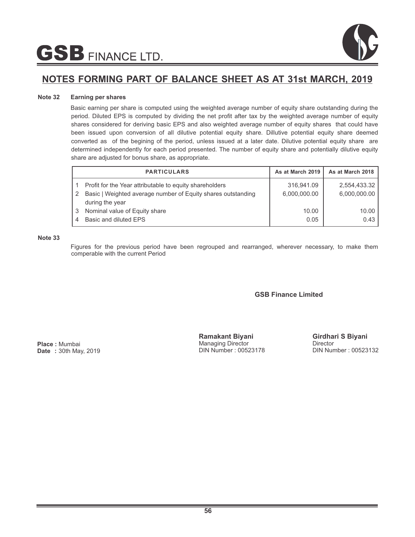

#### **Note 32 Earning per shares**

Basic earning per share is computed using the weighted average number of equity share outstanding during the period. Diluted EPS is computed by dividing the net profit after tax by the weighted average number of equity shares considered for deriving basic EPS and also weighted average number of equity shares that could have been issued upon conversion of all dilutive potential equity share. Dillutive potential equity share deemed converted as of the begining of the period, unless issued at a later date. Dilutive potential equity share are determined independently for each period presented. The number of equity share and potentially dilutive equity share are adjusted for bonus share, as appropriate.

|   | <b>PARTICULARS</b>                                           | As at March 2019 | As at March 2018 |
|---|--------------------------------------------------------------|------------------|------------------|
|   | Profit for the Year attributable to equity shareholders      | 316,941.09       | 2,554,433.32     |
|   | Basic   Weighted average number of Equity shares outstanding | 6,000,000.00     | 6,000,000.00     |
|   | during the year                                              |                  |                  |
| 3 | Nominal value of Equity share                                | 10.00            | 10.00            |
|   | Basic and diluted EPS                                        | 0.05             | 0.43             |

#### **Note 33**

Figures for the previous period have been regrouped and rearranged, wherever necessary, to make them comperable with the current Period

#### **GSB Finance Limited**

**Place :** Mumbai **Date :** 30th May, 2019 **Ramakant Biyani**  Managing Director DIN Number : 00523178

**Girdhari S Biyani Director** DIN Number : 00523132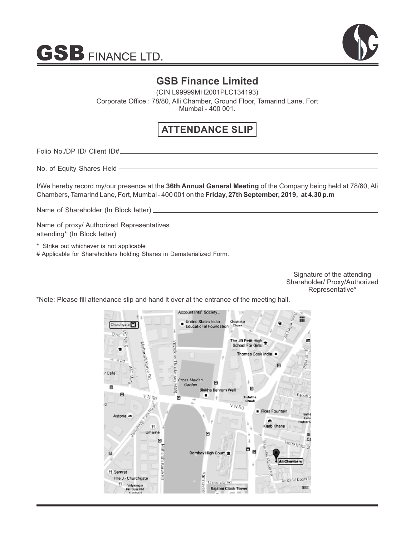



#### **GSB Finance Limited**

(CIN L99999MH2001PLC134193) Corporate Office : 78/80, Alli Chamber, Ground Floor, Tamarind Lane, Fort Mumbai - 400 001.

#### **ATTENDANCE SLIP**

Folio No./DP ID/ Client ID#

No. of Equity Shares Held

I/We hereby record my/our presence at the **36th Annual General Meeting** of the Company being held at 78/80, Ali Chambers, Tamarind Lane, Fort, Mumbai - 400 001 on the **Friday, 27th September, 2019, at 4.30 p.m**

Name of Shareholder (In Block letter)

Name of proxy/ Authorized Representatives attending\* (In Block letter)

\* Strike out whichever is not applicable

# Applicable for Shareholders holding Shares in Dematerialized Form.

Signature of the attending Shareholder/ Proxy/Authorized Representative\*

\*Note: Please fill attendance slip and hand it over at the entrance of the meeting hall.

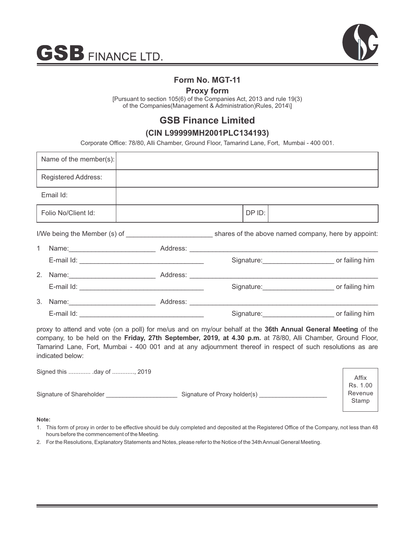



Revenue Stamp

#### **Form No. MGT-11**

#### **Proxy form**

[Pursuant to section 105(6) of the Companies Act, 2013 and rule 19(3) of the Companies(Management & Administration)Rules, 2014\]

#### **GSB Finance Limited**

#### **(CIN L99999MH2001PLC134193)**

Corporate Office: 78/80, Alli Chamber, Ground Floor, Tamarind Lane, Fort, Mumbai - 400 001.

| Name of the member(s):                          |                                                                                                                |                                                                                                                                                                                                                                                                                                                                            |                   |
|-------------------------------------------------|----------------------------------------------------------------------------------------------------------------|--------------------------------------------------------------------------------------------------------------------------------------------------------------------------------------------------------------------------------------------------------------------------------------------------------------------------------------------|-------------------|
| <b>Registered Address:</b>                      |                                                                                                                |                                                                                                                                                                                                                                                                                                                                            |                   |
| Email Id:                                       |                                                                                                                |                                                                                                                                                                                                                                                                                                                                            |                   |
| Folio No/Client Id:                             |                                                                                                                | DP ID:                                                                                                                                                                                                                                                                                                                                     |                   |
|                                                 |                                                                                                                | I/We being the Member (s) of ______________________________shares of the above named company, here by appoint:                                                                                                                                                                                                                             |                   |
| 1                                               |                                                                                                                |                                                                                                                                                                                                                                                                                                                                            |                   |
|                                                 |                                                                                                                | Signature: ___________________________ or failing him                                                                                                                                                                                                                                                                                      |                   |
| 2.                                              |                                                                                                                |                                                                                                                                                                                                                                                                                                                                            |                   |
|                                                 |                                                                                                                | Signature: or failing him                                                                                                                                                                                                                                                                                                                  |                   |
| 3.                                              | Name: Name: 2008 2010 2020 2020 2031 2040 2051 2052 2053 2054 2056 2057 2058 2059 2059 2059 2059 2059 2059 205 | the control of the control of the control of the control of the control of                                                                                                                                                                                                                                                                 |                   |
|                                                 |                                                                                                                | Signature: or failing him                                                                                                                                                                                                                                                                                                                  |                   |
| indicated below:<br>Signed this  .day of , 2019 |                                                                                                                | proxy to attend and vote (on a poll) for me/us and on my/our behalf at the 36th Annual General Meeting of the<br>company, to be held on the Friday, 27th September, 2019, at 4.30 p.m. at 78/80, Alli Chamber, Ground Floor,<br>Tamarind Lane, Fort, Mumbai - 400 001 and at any adjournment thereof in respect of such resolutions as are | Affix<br>Rs. 1.00 |

Signature of Shareholder \_\_\_\_\_\_\_\_\_\_\_\_\_\_\_\_\_\_\_\_\_\_\_\_\_\_\_\_\_\_ Signature of Proxy holder(s)

**Note:** 

- 1. This form of proxy in order to be effective should be duly completed and deposited at the Registered Office of the Company, not less than 48 hours before the commencement of the Meeting.
- 2. For the Resolutions, Explanatory Statements and Notes, please refer to the Notice of the 34th Annual General Meeting.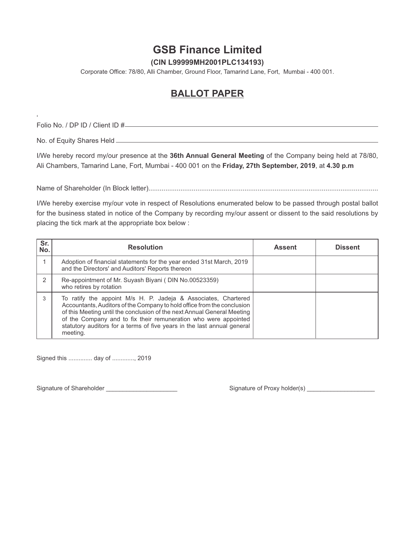#### **GSB Finance Limited**

#### **(CIN L99999MH2001PLC134193)**

Corporate Office: 78/80, Alli Chamber, Ground Floor, Tamarind Lane, Fort, Mumbai - 400 001.

#### **BALLOT PAPER**

' Folio No. / DP ID / Client ID #

No. of Equity Shares Held

I/We hereby record my/our presence at the **36th Annual General Meeting** of the Company being held at 78/80, Ali Chambers, Tamarind Lane, Fort, Mumbai - 400 001 on the **Friday, 27th September, 2019**, at **4.30 p.m**

Name of Shareholder (In Block letter)..........................................................................................................................

I/We hereby exercise my/our vote in respect of Resolutions enumerated below to be passed through postal ballot for the business stated in notice of the Company by recording my/our assent or dissent to the said resolutions by placing the tick mark at the appropriate box below :

| Sr.<br>No.    | <b>Resolution</b>                                                                                                                                                                                                                                                                                                                                                              | <b>Assent</b> | <b>Dissent</b> |
|---------------|--------------------------------------------------------------------------------------------------------------------------------------------------------------------------------------------------------------------------------------------------------------------------------------------------------------------------------------------------------------------------------|---------------|----------------|
|               | Adoption of financial statements for the year ended 31st March, 2019<br>and the Directors' and Auditors' Reports thereon                                                                                                                                                                                                                                                       |               |                |
| $\mathcal{P}$ | Re-appointment of Mr. Suyash Biyani (DIN No.00523359)<br>who retires by rotation                                                                                                                                                                                                                                                                                               |               |                |
| 3             | To ratify the appoint M/s H. P. Jadeja & Associates, Chartered<br>Accountants, Auditors of the Company to hold office from the conclusion<br>of this Meeting until the conclusion of the next Annual General Meeting<br>of the Company and to fix their remuneration who were appointed<br>statutory auditors for a terms of five years in the last annual general<br>meeting. |               |                |

Signed this .............. day of ............., 2019

Signature of Shareholder \_\_\_\_\_\_\_\_\_\_\_\_\_\_\_\_\_\_\_\_\_ Signature of Proxy holder(s) \_\_\_\_\_\_\_\_\_\_\_\_\_\_\_\_\_\_\_\_